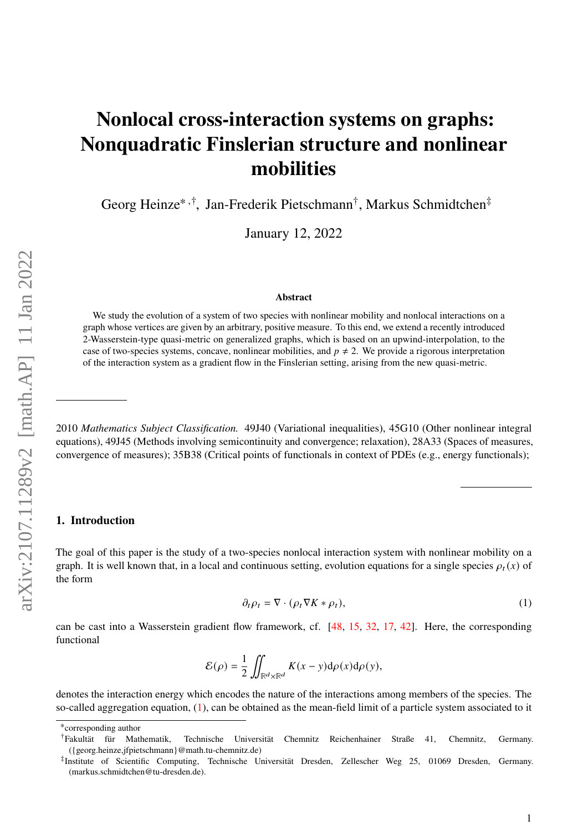# <span id="page-0-1"></span>**Nonlocal cross-interaction systems on graphs: Nonquadratic Finslerian structure and nonlinear mobilities**

Georg Heinze<sup>∗</sup> ,† , Jan-Frederik Pietschmann† , Markus Schmidtchen‡

January 12, 2022

## **Abstract**

We study the evolution of a system of two species with nonlinear mobility and nonlocal interactions on a graph whose vertices are given by an arbitrary, positive measure. To this end, we extend a recently introduced 2-Wasserstein-type quasi-metric on generalized graphs, which is based on an upwind-interpolation, to the case of two-species systems, concave, nonlinear mobilities, and  $p \neq 2$ . We provide a rigorous interpretation of the interaction system as a gradient flow in the Finslerian setting, arising from the new quasi-metric.

2010 *Mathematics Subject Classification.* 49J40 (Variational inequalities), 45G10 (Other nonlinear integral equations), 49J45 (Methods involving semicontinuity and convergence; relaxation), 28A33 (Spaces of measures, convergence of measures); 35B38 (Critical points of functionals in context of PDEs (e.g., energy functionals);

#### **1. Introduction**

The goal of this paper is the study of a two-species nonlocal interaction system with nonlinear mobility on a graph. It is well known that, in a local and continuous setting, evolution equations for a single species  $\rho_t(x)$  of the form

<span id="page-0-0"></span>
$$
\partial_t \rho_t = \nabla \cdot (\rho_t \nabla K * \rho_t),\tag{1}
$$

can be cast into a Wasserstein gradient flow framework, cf. [\[48,](#page-36-0) [15,](#page-35-0) [32,](#page-36-1) [17,](#page-35-1) [42\]](#page-36-2). Here, the corresponding functional

$$
\mathcal{E}(\rho) = \frac{1}{2} \iint_{\mathbb{R}^d \times \mathbb{R}^d} K(x - y) \mathrm{d}\rho(x) \mathrm{d}\rho(y),
$$

denotes the interaction energy which encodes the nature of the interactions among members of the species. The so-called aggregation equation, [\(1\)](#page-0-0), can be obtained as the mean-field limit of a particle system associated to it

<sup>∗</sup> corresponding author

<sup>†</sup>Fakultät für Mathematik, Technische Universität Chemnitz Reichenhainer Straße 41, Chemnitz, Germany. ({georg.heinze,jfpietschmann}@math.tu-chemnitz.de)

<sup>‡</sup> Institute of Scientific Computing, Technische Universität Dresden, Zellescher Weg 25, 01069 Dresden, Germany. (markus.schmidtchen@tu-dresden.de).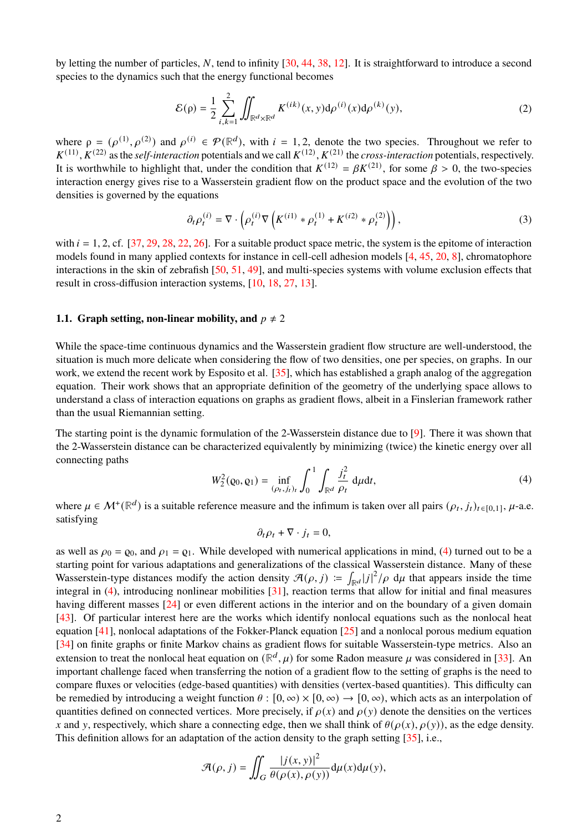by letting the number of particles, N, tend to infinity  $[30, 44, 38, 12]$  $[30, 44, 38, 12]$  $[30, 44, 38, 12]$  $[30, 44, 38, 12]$  $[30, 44, 38, 12]$  $[30, 44, 38, 12]$  $[30, 44, 38, 12]$ . It is straightforward to introduce a second species to the dynamics such that the energy functional becomes

<span id="page-1-1"></span>
$$
\mathcal{E}(\rho) = \frac{1}{2} \sum_{i,k=1}^{2} \iint_{\mathbb{R}^d \times \mathbb{R}^d} K^{(ik)}(x, y) \, d\rho^{(i)}(x) \, d\rho^{(k)}(y),\tag{2}
$$

where  $\rho = (\rho^{(1)}, \rho^{(2)})$  and  $\rho^{(i)} \in \mathcal{P}(\mathbb{R}^d)$ , with  $i = 1, 2$ , denote the two species. Throughout we refer to  $K^{(11)}$ ,  $K^{(22)}$  as the *self-interaction* potentials and we call  $K^{(12)}$ ,  $K^{(21)}$  the *cross-interaction* potentials, respectively. It is worthwhile to highlight that, under the condition that  $K^{(12)} = \beta K^{(21)}$ , for some  $\beta > 0$ , the two-species interaction energy gives rise to a Wasserstein gradient flow on the product space and the evolution of the two densities is governed by the equations

$$
\partial_t \rho_t^{(i)} = \nabla \cdot \left( \rho_t^{(i)} \nabla \left( K^{(i1)} * \rho_t^{(1)} + K^{(i2)} * \rho_t^{(2)} \right) \right),\tag{3}
$$

with  $i = 1, 2$ , cf. [\[37,](#page-36-6) [29,](#page-36-7) [28,](#page-35-3) [22,](#page-35-4) [26\]](#page-35-5). For a suitable product space metric, the system is the epitome of interaction models found in many applied contexts for instance in cell-cell adhesion models [\[4,](#page-34-0) [45,](#page-36-8) [20,](#page-35-6) [8\]](#page-34-1), chromatophore interactions in the skin of zebrafish [\[50,](#page-37-0) [51,](#page-37-1) [49\]](#page-36-9), and multi-species systems with volume exclusion effects that result in cross-diffusion interaction systems, [\[10,](#page-34-2) [18,](#page-35-7) [27,](#page-35-8) [13\]](#page-35-9).

## **1.1. Graph setting, non-linear mobility, and**  $p \neq 2$

While the space-time continuous dynamics and the Wasserstein gradient flow structure are well-understood, the situation is much more delicate when considering the flow of two densities, one per species, on graphs. In our work, we extend the recent work by Esposito et al. [\[35\]](#page-36-10), which has established a graph analog of the aggregation equation. Their work shows that an appropriate definition of the geometry of the underlying space allows to understand a class of interaction equations on graphs as gradient flows, albeit in a Finslerian framework rather than the usual Riemannian setting.

The starting point is the dynamic formulation of the 2-Wasserstein distance due to [\[9\]](#page-34-3). There it was shown that the 2-Wasserstein distance can be characterized equivalently by minimizing (twice) the kinetic energy over all connecting paths

<span id="page-1-0"></span>
$$
W_2^2(\mathbf{Q}_0, \mathbf{Q}_1) = \inf_{(\rho_t, j_t)_t} \int_0^1 \int_{\mathbb{R}^d} \frac{j_t^2}{\rho_t} \, \mathrm{d}\mu \mathrm{d}t,\tag{4}
$$

where  $\mu \in \mathcal{M}^+(\mathbb{R}^d)$  is a suitable reference measure and the infimum is taken over all pairs  $(\rho_t, j_t)_{t \in [0,1]}, \mu$ -a.e. satisfying

$$
\partial_t \rho_t + \nabla \cdot j_t = 0,
$$

as well as  $\rho_0 = \rho_0$ , and  $\rho_1 = \rho_1$ . While developed with numerical applications in mind, [\(4\)](#page-1-0) turned out to be a starting point for various adaptations and generalizations of the classical Wasserstein distance. Many of these Wasserstein-type distances modify the action density  $\mathcal{A}(\rho, j) := \int_{\mathbb{R}^d} |j|^2 / \rho \ d\mu$  that appears inside the time integral in [\(4\)](#page-1-0), introducing nonlinear mobilities [\[31\]](#page-36-11), reaction terms that allow for initial and final measures having different masses [\[24\]](#page-35-10) or even different actions in the interior and on the boundary of a given domain [\[43\]](#page-36-12). Of particular interest here are the works which identify nonlocal equations such as the nonlocal heat equation [\[41\]](#page-36-13), nonlocal adaptations of the Fokker-Planck equation [\[25\]](#page-35-11) and a nonlocal porous medium equation [\[34\]](#page-36-14) on finite graphs or finite Markov chains as gradient flows for suitable Wasserstein-type metrics. Also an extension to treat the nonlocal heat equation on  $(\mathbb{R}^d, \mu)$  for some Radon measure  $\mu$  was considered in [\[33\]](#page-36-15). An important challenge faced when transferring the notion of a gradient flow to the setting of graphs is the need to compare fluxes or velocities (edge-based quantities) with densities (vertex-based quantities). This difficulty can be remedied by introducing a weight function  $\theta$ :  $[0, \infty) \times [0, \infty) \to [0, \infty)$ , which acts as an interpolation of quantities defined on connected vertices. More precisely, if  $\rho(x)$  and  $\rho(y)$  denote the densities on the vertices x and y, respectively, which share a connecting edge, then we shall think of  $\theta(\rho(x), \rho(y))$ , as the edge density. This definition allows for an adaptation of the action density to the graph setting [\[35\]](#page-36-10), i.e.,

$$
\mathcal{A}(\rho, j) = \iint_G \frac{|j(x, y)|^2}{\theta(\rho(x), \rho(y))} \mathrm{d}\mu(x) \mathrm{d}\mu(y),
$$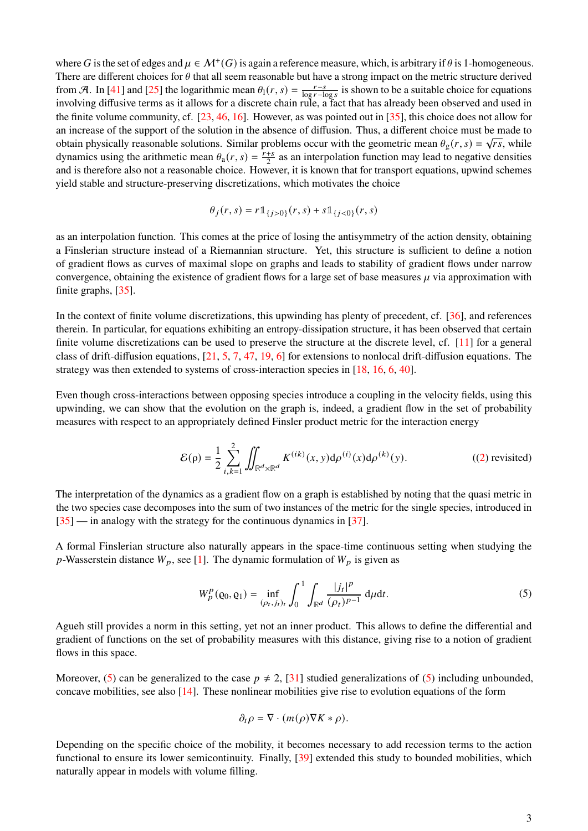where G is the set of edges and  $\mu \in \mathcal{M}^+(G)$  is again a reference measure, which, is arbitrary if  $\theta$  is 1-homogeneous. There are different choices for  $\theta$  that all seem reasonable but have a strong impact on the metric structure derived from A. In [\[41\]](#page-36-13) and [\[25\]](#page-35-11) the logarithmic mean  $\theta_1(r, s) = \frac{r-s}{\log r - h}$  $\frac{r-s}{\log r - \log s}$  is shown to be a suitable choice for equations involving diffusive terms as it allows for a discrete chain rule, a fact that has already been observed and used in the finite volume community, cf. [\[23,](#page-35-12) [46,](#page-36-16) [16\]](#page-35-13). However, as was pointed out in [\[35\]](#page-36-10), this choice does not allow for an increase of the support of the solution in the absence of diffusion. Thus, a different choice must be made to obtain physically reasonable solutions. Similar problems occur with the geometric mean  $\theta_g(r, s) = \sqrt{rs}$ , while dynamics using the arithmetic mean  $\theta_a(r, s) = \frac{r+s}{2}$  $\frac{+s}{2}$  as an interpolation function may lead to negative densities and is therefore also not a reasonable choice. However, it is known that for transport equations, upwind schemes yield stable and structure-preserving discretizations, which motivates the choice

$$
\theta_j(r,s) = r \mathbb{1}_{\{j>0\}}(r,s) + s \mathbb{1}_{\{j<0\}}(r,s)
$$

as an interpolation function. This comes at the price of losing the antisymmetry of the action density, obtaining a Finslerian structure instead of a Riemannian structure. Yet, this structure is sufficient to define a notion of gradient flows as curves of maximal slope on graphs and leads to stability of gradient flows under narrow convergence, obtaining the existence of gradient flows for a large set of base measures  $\mu$  via approximation with finite graphs, [\[35\]](#page-36-10).

In the context of finite volume discretizations, this upwinding has plenty of precedent, cf. [\[36\]](#page-36-17), and references therein. In particular, for equations exhibiting an entropy-dissipation structure, it has been observed that certain finite volume discretizations can be used to preserve the structure at the discrete level, cf. [\[11\]](#page-35-14) for a general class of drift-diffusion equations, [\[21,](#page-35-15) [5,](#page-34-4) [7,](#page-34-5) [47,](#page-36-18) [19,](#page-35-16) [6\]](#page-34-6) for extensions to nonlocal drift-diffusion equations. The strategy was then extended to systems of cross-interaction species in [\[18,](#page-35-7) [16,](#page-35-13) [6,](#page-34-6) [40\]](#page-36-19).

Even though cross-interactions between opposing species introduce a coupling in the velocity fields, using this upwinding, we can show that the evolution on the graph is, indeed, a gradient flow in the set of probability measures with respect to an appropriately defined Finsler product metric for the interaction energy

$$
\mathcal{E}(\rho) = \frac{1}{2} \sum_{i,k=1}^{2} \iint_{\mathbb{R}^d \times \mathbb{R}^d} K^{(ik)}(x,y) \, d\rho^{(i)}(x) \, d\rho^{(k)}(y). \tag{2) revisited}
$$

The interpretation of the dynamics as a gradient flow on a graph is established by noting that the quasi metric in the two species case decomposes into the sum of two instances of the metric for the single species, introduced in [\[35\]](#page-36-10) — in analogy with the strategy for the continuous dynamics in [\[37\]](#page-36-6).

A formal Finslerian structure also naturally appears in the space-time continuous setting when studying the p-Wasserstein distance  $W_p$ , see [\[1\]](#page-34-7). The dynamic formulation of  $W_p$  is given as

<span id="page-2-0"></span>
$$
W_p^p(\mathbf{Q}_0, \mathbf{Q}_1) = \inf_{(\rho_t, j_t)_t} \int_0^1 \int_{\mathbb{R}^d} \frac{|j_t|^p}{(\rho_t)^{p-1}} \, \mathrm{d}\mu \mathrm{d}t. \tag{5}
$$

Agueh still provides a norm in this setting, yet not an inner product. This allows to define the differential and gradient of functions on the set of probability measures with this distance, giving rise to a notion of gradient flows in this space.

Moreover, [\(5\)](#page-2-0) can be generalized to the case  $p \neq 2$ , [\[31\]](#page-36-11) studied generalizations of (5) including unbounded, concave mobilities, see also  $[14]$ . These nonlinear mobilities give rise to evolution equations of the form

$$
\partial_t \rho = \nabla \cdot (m(\rho) \nabla K * \rho).
$$

Depending on the specific choice of the mobility, it becomes necessary to add recession terms to the action functional to ensure its lower semicontinuity. Finally, [\[39\]](#page-36-20) extended this study to bounded mobilities, which naturally appear in models with volume filling.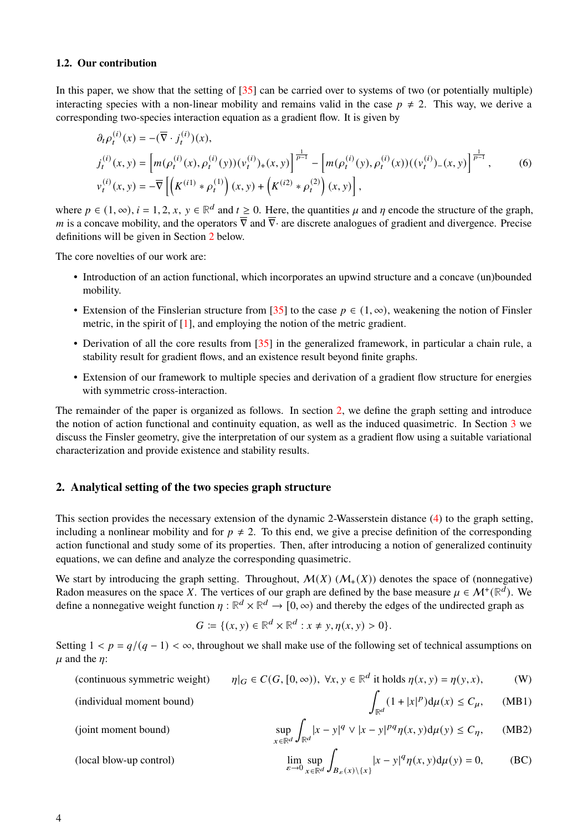## **1.2. Our contribution**

In this paper, we show that the setting of [\[35\]](#page-36-10) can be carried over to systems of two (or potentially multiple) interacting species with a non-linear mobility and remains valid in the case  $p \neq 2$ . This way, we derive a corresponding two-species interaction equation as a gradient flow. It is given by

<span id="page-3-5"></span>
$$
\partial_t \rho_t^{(i)}(x) = -(\overline{\nabla} \cdot j_t^{(i)})(x),
$$
\n
$$
j_t^{(i)}(x, y) = \left[ m(\rho_t^{(i)}(x), \rho_t^{(i)}(y)) (v_t^{(i)})_+(x, y) \right]^{\frac{1}{p-1}} - \left[ m(\rho_t^{(i)}(y), \rho_t^{(i)}(x)) ((v_t^{(i)})_-(x, y) \right]^{\frac{1}{p-1}},
$$
\n
$$
v_t^{(i)}(x, y) = -\overline{\nabla} \left[ \left( K^{(i1)} * \rho_t^{(1)} \right) (x, y) + \left( K^{(i2)} * \rho_t^{(2)} \right) (x, y) \right],
$$
\n(6)

where  $p \in (1, \infty)$ ,  $i = 1, 2, x, y \in \mathbb{R}^d$  and  $t \ge 0$ . Here, the quantities  $\mu$  and  $\eta$  encode the structure of the graph, m is a concave mobility, and the operators  $\overline{\nabla}$  and  $\overline{\nabla}$  are discrete analogues of gradient and divergence. Precise definitions will be given in Section [2](#page-3-0) below.

The core novelties of our work are:

- Introduction of an action functional, which incorporates an upwind structure and a concave (un)bounded mobility.
- Extension of the Finslerian structure from [\[35\]](#page-36-10) to the case  $p \in (1, \infty)$ , weakening the notion of Finsler metric, in the spirit of [\[1\]](#page-34-7), and employing the notion of the metric gradient.
- Derivation of all the core results from [\[35\]](#page-36-10) in the generalized framework, in particular a chain rule, a stability result for gradient flows, and an existence result beyond finite graphs.
- Extension of our framework to multiple species and derivation of a gradient flow structure for energies with symmetric cross-interaction.

The remainder of the paper is organized as follows. In section [2,](#page-3-0) we define the graph setting and introduce the notion of action functional and continuity equation, as well as the induced quasimetric. In Section [3](#page-16-0) we discuss the Finsler geometry, give the interpretation of our system as a gradient flow using a suitable variational characterization and provide existence and stability results.

# <span id="page-3-0"></span>**2. Analytical setting of the two species graph structure**

This section provides the necessary extension of the dynamic 2-Wasserstein distance [\(4\)](#page-1-0) to the graph setting, including a nonlinear mobility and for  $p \neq 2$ . To this end, we give a precise definition of the corresponding action functional and study some of its properties. Then, after introducing a notion of generalized continuity equations, we can define and analyze the corresponding quasimetric.

We start by introducing the graph setting. Throughout,  $M(X)$  ( $M_{+}(X)$ ) denotes the space of (nonnegative) Radon measures on the space X. The vertices of our graph are defined by the base measure  $\mu \in \mathcal{M}^+(\mathbb{R}^d)$ . We define a nonnegative weight function  $\eta : \mathbb{R}^d \times \mathbb{R}^d \to [0, \infty)$  and thereby the edges of the undirected graph as

<span id="page-3-4"></span><span id="page-3-3"></span><span id="page-3-2"></span><span id="page-3-1"></span>
$$
G \coloneqq \{ (x, y) \in \mathbb{R}^d \times \mathbb{R}^d : x \neq y, \eta(x, y) > 0 \}.
$$

Setting  $1 < p = q/(q - 1) < \infty$ , throughout we shall make use of the following set of technical assumptions on  $\mu$  and the  $\eta$ :

(continuous symmetric weight) 
$$
\eta|_G \in C(G, [0, \infty)), \forall x, y \in \mathbb{R}^d
$$
 it holds  $\eta(x, y) = \eta(y, x)$ , (W)

(individual moment bound) 
$$
\int_{\mathbb{R}^d} (1+|x|^p) d\mu(x) \le C_\mu, \quad \text{(MB1)}
$$

(joint moment bound) 
$$
\sup_{x \in \mathbb{R}^d} \int_{\mathbb{R}^d} |x - y|^q \vee |x - y|^{pq} \eta(x, y) d\mu(y) \le C_\eta, \quad (MB2)
$$

(local blow-up control) 
$$
\lim_{\varepsilon \to 0} \sup_{x \in \mathbb{R}^d} \int_{B_{\varepsilon}(x) \setminus \{x\}} |x - y|^q \eta(x, y) d\mu(y) = 0,
$$
 (BC)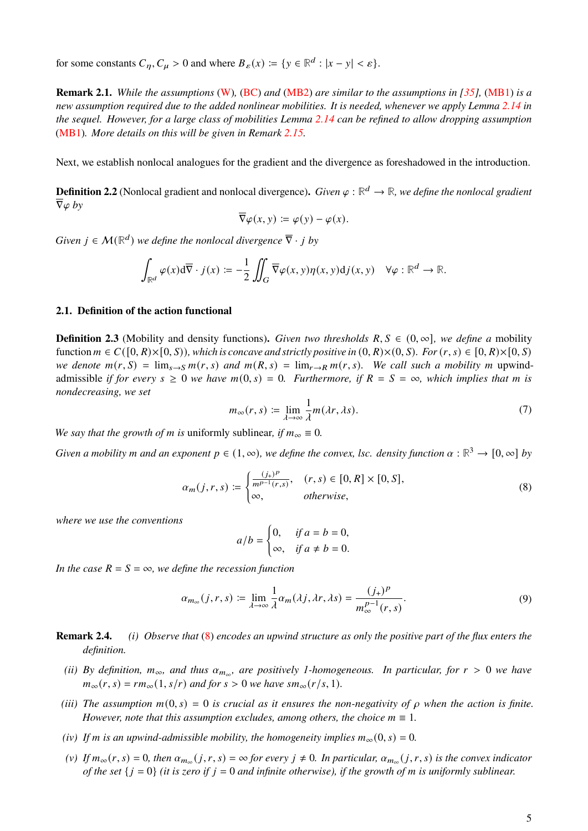for some constants  $C_n, C_\mu > 0$  and where  $B_\varepsilon(x) := \{ y \in \mathbb{R}^d : |x - y| < \varepsilon \}.$ 

**Remark 2.1.** *While the assumptions* [\(W\)](#page-3-1)*,* [\(BC\)](#page-3-2) *and* [\(MB2\)](#page-3-3) *are similar to the assumptions in [\[35\]](#page-36-10),* [\(MB1\)](#page-3-4) *is a new assumption required due to the added nonlinear mobilities. It is needed, whenever we apply Lemma [2.14](#page-8-0) in the sequel. However, for a large class of mobilities Lemma [2.14](#page-8-0) can be refined to allow dropping assumption* [\(MB1\)](#page-3-4)*. More details on this will be given in Remark [2.15.](#page-9-0)*

Next, we establish nonlocal analogues for the gradient and the divergence as foreshadowed in the introduction.

**Definition 2.2** (Nonlocal gradient and nonlocal divergence). Given  $\varphi : \mathbb{R}^d \to \mathbb{R}$ *, we define the nonlocal gradient*  $\nabla \varphi$  *by* 

$$
\overline{\nabla}\varphi(x,y) \coloneqq \varphi(y) - \varphi(x).
$$

*Given*  $j \in \mathcal{M}(\mathbb{R}^d)$  *we define the nonlocal divergence*  $\overline{\nabla} \cdot j$  *by* 

$$
\int_{\mathbb{R}^d} \varphi(x) \mathrm{d} \overline{\nabla} \cdot j(x) \coloneqq -\frac{1}{2} \iint_G \overline{\nabla} \varphi(x, y) \eta(x, y) \mathrm{d} j(x, y) \quad \forall \varphi : \mathbb{R}^d \to \mathbb{R}.
$$

## **2.1. Definition of the action functional**

**Definition 2.3** (Mobility and density functions). *Given two thresholds*  $R, S \in (0, \infty]$ *, we define a* mobility function  $m \in C([0, R) \times [0, S))$ *, which is concave and strictly positive in*  $(0, R) \times (0, S)$ *. For*  $(r, s) \in [0, R) \times [0, S)$ *we denote*  $m(r, S) = \lim_{s\to S} m(r, s)$  *and*  $m(R, s) = \lim_{r\to R} m(r, s)$ *. We call such a mobility m* upwindadmissible *if for every*  $s \geq 0$  *we have*  $m(0, s) = 0$ *. Furthermore, if*  $R = S = \infty$ *, which implies that m* is *nondecreasing, we set*

$$
m_{\infty}(r,s) \coloneqq \lim_{\lambda \to \infty} \frac{1}{\lambda} m(\lambda r, \lambda s). \tag{7}
$$

*We say that the growth of m is uniformly sublinear, if*  $m_{\infty} \equiv 0$ *.* 

*Given a mobility m and an exponent*  $p \in (1, \infty)$ , we define the convex, lsc. density function  $\alpha : \mathbb{R}^3 \to [0, \infty]$  by

<span id="page-4-0"></span>
$$
\alpha_m(j,r,s) := \begin{cases} \frac{(j_+)^p}{m^{p-1}(r,s)}, & (r,s) \in [0,R] \times [0,S],\\ \infty, & \text{otherwise}, \end{cases}
$$
(8)

*where we use the conventions*

$$
a/b = \begin{cases} 0, & \text{if } a = b = 0, \\ \infty, & \text{if } a \neq b = 0. \end{cases}
$$

*In the case*  $R = S = \infty$ *, we define the recession function* 

$$
\alpha_{m_{\infty}}(j,r,s) \coloneqq \lim_{\lambda \to \infty} \frac{1}{\lambda} \alpha_m(\lambda j, \lambda r, \lambda s) = \frac{(j_+)^p}{m_{\infty}^{p-1}(r,s)}.
$$
\n(9)

- **Remark 2.4.** *(i) Observe that* [\(8\)](#page-4-0) *encodes an upwind structure as only the positive part of the flux enters the definition.*
	- (*ii*) By definition,  $m_{\infty}$ , and thus  $\alpha_{m_{\infty}}$ , are positively 1-homogeneous. In particular, for  $r > 0$  we have  $m_{\infty}(r, s) = rm_{\infty}(1, s/r)$  and for  $s > 0$  we have  $sm_{\infty}(r/s, 1)$ .
- *(iii)* The assumption  $m(0, s) = 0$  is crucial as it ensures the non-negativity of  $\rho$  when the action is finite. *However, note that this assumption excludes, among others, the choice*  $m \equiv 1$ *.*
- *(iv) If m is an upwind-admissible mobility, the homogeneity implies*  $m_{\infty}(0, s) = 0$ *.*
- (*v*) If  $m_{\infty}(r, s) = 0$ , then  $\alpha_{m_{\infty}}(j, r, s) = \infty$  for every  $j \neq 0$ . In particular,  $\alpha_{m_{\infty}}(j, r, s)$  is the convex indicator *of the set*  $\{j = 0\}$  *(it is zero if*  $j = 0$  *and infinite otherwise), if the growth of m is uniformly sublinear.*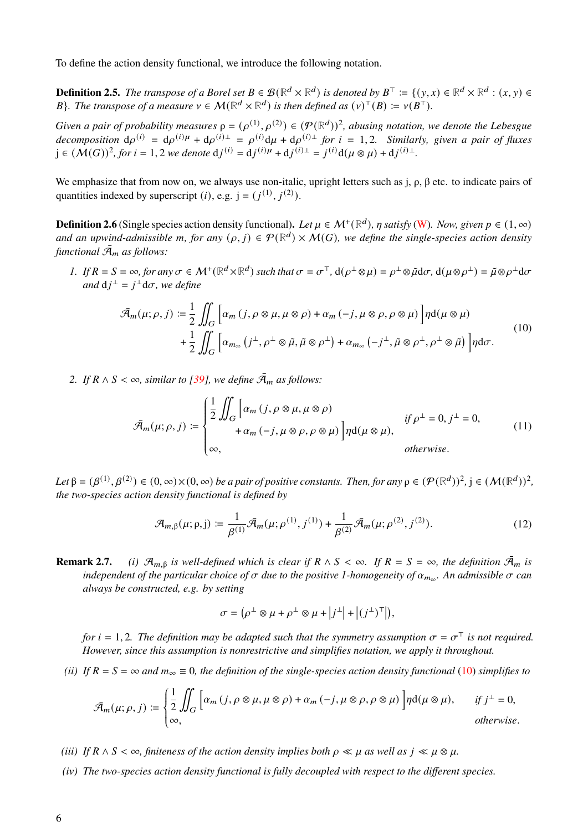To define the action density functional, we introduce the following notation.

**Definition 2.5.** The transpose of a Borel set  $B \in \mathcal{B}(\mathbb{R}^d \times \mathbb{R}^d)$  is denoted by  $B^{\top} \coloneqq \{(y, x) \in \mathbb{R}^d \times \mathbb{R}^d : (x, y) \in \mathbb{R}^d\}$ *B*}. The transpose of a measure  $v \in M(\mathbb{R}^d \times \mathbb{R}^d)$  is then defined as  $(v)^\top(B) \coloneqq v(B^\top)$ .

*Given a pair of probability measures*  $\rho = (\rho^{(1)}, \rho^{(2)}) \in (\mathcal{P}(\mathbb{R}^d))^2$ , *abusing notation, we denote the Lebesgue*  $decomposition \ d\rho^{(i)} = d\rho^{(i)\mu} + d\rho^{(i)\perp} = \rho^{(i)}d\mu + d\rho^{(i)\perp}$  *for*  $i = 1, 2$ *. Similarly, given a pair of fluxes*  $j \in (M(G))^{2}$ , for  $i = 1, 2$  *we denote*  $dj^{(i)} = dj^{(i)\mu} + dj^{(i)\perp} = j^{(i)}d(\mu \otimes \mu) + dj^{(i)\perp}$ .

We emphasize that from now on, we always use non-italic, upright letters such as j, ρ, β etc. to indicate pairs of quantities indexed by superscript (*i*), e.g.  $j = (j^{(1)}, j^{(2)})$ .

<span id="page-5-1"></span>**Definition 2.6** (Single species action density functional). Let  $\mu \in M^+(\mathbb{R}^d)$ ,  $\eta$  satisfy [\(W\)](#page-3-1). Now, given  $p \in (1, \infty)$ and an upwind-admissible m, for any  $(\rho, j) \in \mathcal{P}(\mathbb{R}^d) \times \mathcal{M}(G)$ , we define the single-species action density *functional*  $\bar{A}_m$  *as follows:* 

*1. If*  $R = S = \infty$ , for any  $\sigma \in M^+(\mathbb{R}^d \times \mathbb{R}^d)$  such that  $\sigma = \sigma^{\top}$ ,  $d(\rho^{\perp} \otimes \mu) = \rho^{\perp} \otimes \tilde{\mu} d\sigma$ ,  $d(\mu \otimes \rho^{\perp}) = \tilde{\mu} \otimes \rho^{\perp} d\sigma$ and  $dj^{\perp} = j^{\perp}d\sigma$ , we define

<span id="page-5-0"></span>
$$
\bar{\mathcal{A}}_m(\mu;\rho,j) \coloneqq \frac{1}{2} \iint_G \left[ \alpha_m(j,\rho \otimes \mu, \mu \otimes \rho) + \alpha_m(-j,\mu \otimes \rho, \rho \otimes \mu) \right] \eta d(\mu \otimes \mu) + \frac{1}{2} \iint_G \left[ \alpha_{m_\infty} (j^\perp, \rho^\perp \otimes \tilde{\mu}, \tilde{\mu} \otimes \rho^\perp) + \alpha_{m_\infty} (-j^\perp, \tilde{\mu} \otimes \rho^\perp, \rho^\perp \otimes \tilde{\mu}) \right] \eta d\sigma.
$$
\n(10)

*2. If*  $R \wedge S < \infty$ , similar to [\[39\]](#page-36-20), we define  $\bar{\mathcal{A}}_m$  as follows:

$$
\bar{\mathcal{A}}_m(\mu;\rho,j) := \begin{cases} \frac{1}{2} \iint_G \left[ \alpha_m(j,\rho \otimes \mu, \mu \otimes \rho) \right] & \text{if } \rho^\perp = 0, j^\perp = 0, \\ +\alpha_m(-j, \mu \otimes \rho, \rho \otimes \mu) \right] \eta \mathbf{d}(\mu \otimes \mu), & \text{otherwise.} \end{cases} \tag{11}
$$

 $Let \beta = (\beta^{(1)}, \beta^{(2)}) \in (0, \infty) \times (0, \infty)$  *be a pair of positive constants. Then, for any*  $\rho \in (\mathcal{P}(\mathbb{R}^d))^2$ ,  $j \in (\mathcal{M}(\mathbb{R}^d))^2$ , *the two-species action density functional is defined by*

$$
\mathcal{A}_{m,\beta}(\mu;\rho,j) \coloneqq \frac{1}{\beta^{(1)}} \bar{\mathcal{A}}_m(\mu;\rho^{(1)},j^{(1)}) + \frac{1}{\beta^{(2)}} \bar{\mathcal{A}}_m(\mu;\rho^{(2)},j^{(2)}). \tag{12}
$$

**Remark 2.7.** *(i)*  $\mathcal{A}_{m,\beta}$  *is well-defined which is clear if*  $R \wedge S < \infty$ *. If*  $R = S = \infty$ *, the definition*  $\bar{\mathcal{A}}_m$  *is* independent of the particular choice of  $\sigma$  due to the positive 1-homogeneity of  $\alpha_{m_\infty}$ . An admissible  $\sigma$  can *always be constructed, e.g. by setting*

$$
\sigma = (\rho^{\perp} \otimes \mu + \rho^{\perp} \otimes \mu + |j^{\perp}| + |(j^{\perp})^{\perp}|),
$$

*for*  $i = 1, 2$ . The definition may be adapted such that the symmetry assumption  $\sigma = \sigma^{\top}$  is not required. *However, since this assumption is nonrestrictive and simplifies notation, we apply it throughout.*

*(ii)* If  $R = S = \infty$  and  $m_{\infty} \equiv 0$ , the definition of the single-species action density functional [\(10\)](#page-5-0) simplifies to

$$
\bar{\mathcal{A}}_m(\mu;\rho,j) := \begin{cases} \frac{1}{2} \iint_G \left[ \alpha_m(j,\rho \otimes \mu, \mu \otimes \rho) + \alpha_m(-j,\mu \otimes \rho, \rho \otimes \mu) \right] \eta d(\mu \otimes \mu), & \text{if } j^{\perp} = 0, \\ \infty, & \text{otherwise.} \end{cases}
$$

- *(iii) If*  $R \wedge S < \infty$ , finiteness of the action density implies both  $\rho \ll \mu$  as well as  $j \ll \mu \otimes \mu$ .
- *(iv) The two-species action density functional is fully decoupled with respect to the different species.*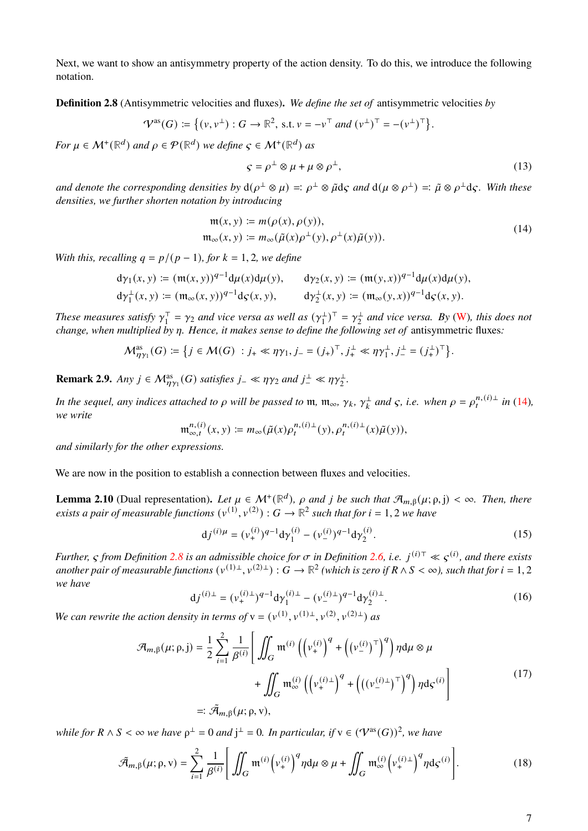Next, we want to show an antisymmetry property of the action density. To do this, we introduce the following notation.

<span id="page-6-1"></span>**Definition 2.8** (Antisymmetric velocities and fluxes)**.** *We define the set of* antisymmetric velocities *by*

$$
\mathcal{V}^{\mathrm{as}}(G) \coloneqq \big\{ (v, v^{\perp}) : G \to \mathbb{R}^2, \text{ s.t. } v = -v^{\top} \text{ and } (v^{\perp})^{\top} = - (v^{\perp})^{\top} \big\}.
$$

*For*  $\mu \in \mathcal{M}^+(\mathbb{R}^d)$  *and*  $\rho \in \mathcal{P}(\mathbb{R}^d)$  *we define*  $\varsigma \in \mathcal{M}^+(\mathbb{R}^d)$  *as* 

$$
\varsigma = \rho^{\perp} \otimes \mu + \mu \otimes \rho^{\perp},\tag{13}
$$

and denote the corresponding densities by  $d(\rho^{\perp} \otimes \mu) =: \rho^{\perp} \otimes \tilde{\mu} d\zeta$  and  $d(\mu \otimes \rho^{\perp}) =: \tilde{\mu} \otimes \rho^{\perp} d\zeta$ . With these *densities, we further shorten notation by introducing*

<span id="page-6-0"></span>
$$
\mathfrak{m}(x, y) \coloneqq m(\rho(x), \rho(y)), \mathfrak{m}_{\infty}(x, y) \coloneqq m_{\infty}(\tilde{\mu}(x)\rho^{\perp}(y), \rho^{\perp}(x)\tilde{\mu}(y)).
$$
\n(14)

*With this, recalling*  $q = p/(p - 1)$ *, for*  $k = 1, 2$ *, we define* 

$$
d\gamma_1(x, y) := (m(x, y))^{q-1} d\mu(x) d\mu(y), \qquad d\gamma_2(x, y) := (m(y, x))^{q-1} d\mu(x) d\mu(y),
$$
  

$$
d\gamma_1^{\perp}(x, y) := (m_{\infty}(x, y))^{q-1} d\varsigma(x, y), \qquad d\gamma_2^{\perp}(x, y) := (m_{\infty}(y, x))^{q-1} d\varsigma(x, y).
$$

*These measures satisfy*  $\gamma_1^{\top}$  $\sigma_1^{\top} = \gamma_2$  and vice versa as well as  $(\gamma_1^{\perp})$  $(\frac{1}{1})^{\top} = \gamma_2^{\perp}$  $a_2^{\perp}$  and vice versa. By [\(W\)](#page-3-1), this does not *change, when multiplied by*  $\eta$ *. Hence, it makes sense to define the following set of antisymmetric fluxes:* 

$$
\mathcal{M}^{\mathrm{as}}_{\eta\gamma_1}(G) \coloneqq \big\{ j \in \mathcal{M}(G) \; : j_+ \ll \eta\gamma_1, j_- = (j_+)^{\top}, j_+^{\perp} \ll \eta\gamma_1^{\perp}, j_-^{\perp} = (j_+^{\perp})^{\top} \big\}.
$$

<span id="page-6-7"></span>**Remark 2.9.** *Any*  $j \in \mathcal{M}_{\eta\gamma_1}^{as}(G)$  *satisfies*  $j_- \ll \eta\gamma_2$  *and*  $j_-^{\perp} \ll \eta\gamma_2^{\perp}$ *.* 

*In the sequel, any indices attached to*  $\rho$  *will be passed to*  $m$ ,  $m_{\infty}$ ,  $\gamma_k$ ,  $\gamma_k^{\perp}$  *and*  $\varsigma$ , *i.e. when*  $\rho = \rho_t^{n,(i)\perp}$  *in* [\(14\)](#page-6-0), *we write*

$$
\mathfrak{m}^{n,(i)}_{\infty,t}(x,y) \coloneqq m_\infty(\tilde{\mu}(x)\rho^{n,(i)\perp}_t(y),\rho^{n,(i)\perp}_t(x)\tilde{\mu}(y)),
$$

*and similarly for the other expressions.*

We are now in the position to establish a connection between fluxes and velocities.

<span id="page-6-6"></span>**Lemma 2.10** (Dual representation). Let  $\mu \in M^+(\mathbb{R}^d)$ ,  $\rho$  and j be such that  $\mathcal{A}_{m,\beta}(\mu;\rho,j) < \infty$ . Then, there *exists a pair of measurable functions*  $(v^{(1)}, v^{(2)}) : G \to \mathbb{R}^2$  such that for  $i = 1, 2$  we have

<span id="page-6-2"></span>
$$
dj^{(i)\mu} = (\nu_+^{(i)})^{q-1} d\gamma_1^{(i)} - (\nu_-^{(i)})^{q-1} d\gamma_2^{(i)}.
$$
\n(15)

*Further,*  $\varsigma$  from Definition [2.8](#page-6-1) is an admissible choice for  $\sigma$  in Definition [2.6,](#page-5-1) i.e.  $j^{(i)\tau} \ll \varsigma^{(i)}$ , and there exists another pair of measurable functions  $(v^{(1) \pm}, v^{(2) \pm}): G \to \R^2$  (which is zero if  $R \wedge S < \infty$ ), such that for  $i=1,2$ *we have*

<span id="page-6-3"></span>
$$
dj^{(i)\perp} = (\nu_+^{(i)\perp})^{q-1} d\gamma_1^{(i)\perp} - (\nu_-^{(i)\perp})^{q-1} d\gamma_2^{(i)\perp}.
$$
 (16)

*We can rewrite the action density in terms of*  $v = (v^{(1)}, v^{(1)}\text{+}, v^{(2)}, v^{(2)}\text{+})$  *as* 

<span id="page-6-4"></span>
$$
\mathcal{A}_{m,\beta}(\mu;\rho,j) = \frac{1}{2} \sum_{i=1}^{2} \frac{1}{\beta^{(i)}} \left[ \iint_{G} \mathfrak{m}^{(i)} \left( \left( v_{+}^{(i)} \right)^{q} + \left( (v_{-}^{(i)})^{\top} \right)^{q} \right) \eta d\mu \otimes \mu \right. \\
\left. + \iint_{G} \mathfrak{m}_{\infty}^{(i)} \left( \left( v_{+}^{(i)\perp} \right)^{q} + \left( \left( (v_{-}^{(i)\perp})^{\top} \right)^{q} \right) \eta d\varsigma^{(i)} \right] \\
=:\tilde{\mathcal{A}}_{m,\beta}(\mu;\rho,v),
$$
\n(17)

*while for*  $R \wedge S < \infty$  we have  $\rho^{\perp} = 0$  and  $j^{\perp} = 0$ . In particular, if  $v \in (\mathcal{V}^{as}(G))^2$ , we have

<span id="page-6-5"></span>
$$
\tilde{\mathcal{A}}_{m,\beta}(\mu;\rho,v) = \sum_{i=1}^{2} \frac{1}{\beta^{(i)}} \left[ \iint_G \mathfrak{m}^{(i)} \left( v_+^{(i)} \right)^q \eta \, d\mu \otimes \mu + \iint_G \mathfrak{m}_{\infty}^{(i)} \left( v_+^{(i)\perp} \right)^q \eta \, d\varsigma^{(i)} \right]. \tag{18}
$$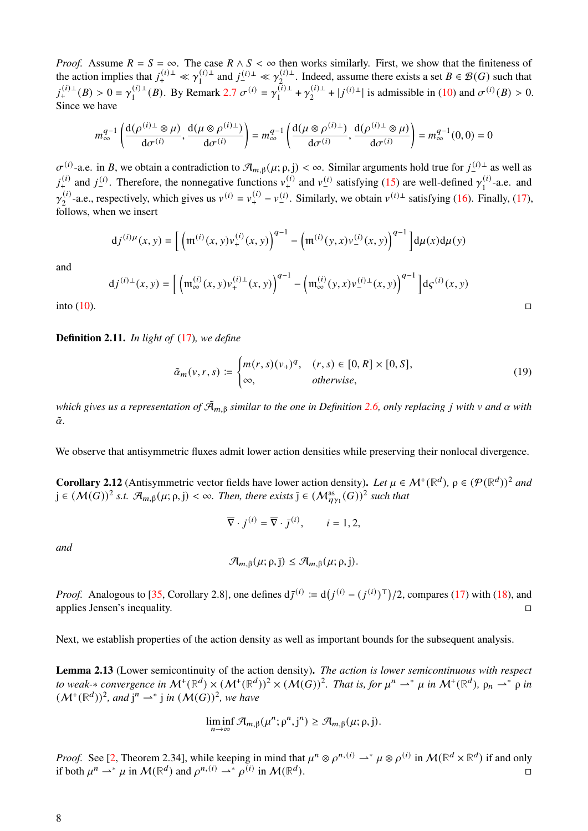*Proof.* Assume  $R = S = \infty$ . The case  $R \wedge S < \infty$  then works similarly. First, we show that the finiteness of the action implies that  $j_{+}^{(i)\perp} \ll \gamma_{1}^{(i)\perp}$  $\gamma_1^{(i) \perp}$  and  $j_{-}^{(i) \perp}$  ≪  $\gamma_2^{(i) \perp}$  $2^{(i)\perp}_{2i}$ . Indeed, assume there exists a set  $B \in \mathcal{B}(G)$  such that  $j_{+}^{(i)\perp}(B) > 0 = \gamma_1^{(i)\perp}$  $i_1^{(i)\perp}(B)$ . By Remark [2.7](#page-0-1)  $\sigma^{(i)} = \gamma_1^{(i)\perp}$  $\gamma_1^{(\tilde{i})\perp} + \gamma_2^{(i)\perp}$  $\int_2^{(i)\perp}$  +  $|j^{(i)\perp}|$  is admissible in [\(10\)](#page-5-0) and  $\sigma^{(i)}(B) > 0$ . Since we have

$$
m_{\infty}^{q-1}\left(\frac{d(\rho^{(i)\perp}\otimes\mu)}{d\sigma^{(i)}},\frac{d(\mu\otimes\rho^{(i)\perp})}{d\sigma^{(i)}}\right)=m_{\infty}^{q-1}\left(\frac{d(\mu\otimes\rho^{(i)\perp})}{d\sigma^{(i)}},\frac{d(\rho^{(i)\perp}\otimes\mu)}{d\sigma^{(i)}}\right)=m_{\infty}^{q-1}(0,0)=0
$$

 $\sigma^{(i)}$ -a.e. in B, we obtain a contradiction to  $\mathcal{A}_{m,\beta}(\mu;\rho,j)<\infty$ . Similar arguments hold true for  $j_{-}^{(i)\perp}$  as well as  $j_+^{(i)}$  and  $j_-^{(i)}$ . Therefore, the nonnegative functions  $v_+^{(i)}$  and  $v_-^{(i)}$  satisfying [\(15\)](#page-6-2) are well-defined  $\gamma_1^{(i)}$  $\int_1^{(1)}$ -a.e. and  $\gamma_{\alpha}^{(i)}$ <sup>(i)</sup>-a.e., respectively, which gives us  $v^{(i)} = v^{(i)} + v^{(i)}$ . Similarly, we obtain  $v^{(i)\perp}$  satisfying [\(16\)](#page-6-3). Finally, [\(17\)](#page-6-4), follows, when we insert

$$
dj^{(i)\mu}(x,y) = \left[ \left( \mathfrak{m}^{(i)}(x,y)v_+^{(i)}(x,y) \right)^{q-1} - \left( \mathfrak{m}^{(i)}(y,x)v_-^{(i)}(x,y) \right)^{q-1} \right] d\mu(x) d\mu(y)
$$

and

$$
dj^{(i)\perp}(x, y) = \left[ \left( \mathfrak{m}_{\infty}^{(i)}(x, y) v_{+}^{(i)\perp}(x, y) \right)^{q-1} - \left( \mathfrak{m}_{\infty}^{(i)}(y, x) v_{-}^{(i)\perp}(x, y) \right)^{q-1} \right] d\zeta^{(i)}(x, y)
$$
  
into (10).

**Definition 2.11.** *In light of* [\(17\)](#page-6-4)*, we define*

$$
\tilde{\alpha}_m(\nu, r, s) \coloneqq \begin{cases} m(r, s)(\nu_+)^q, & (r, s) \in [0, R] \times [0, S], \\ \infty, & \text{otherwise,} \end{cases} \tag{19}
$$

*which gives us a representation of*  $\tilde{A}_{m, \beta}$  *similar to the one in Definition* [2.6,](#page-5-1) *only replacing j with*  $\nu$  *and*  $\alpha$  *with*  $\tilde{\alpha}$ .

We observe that antisymmetric fluxes admit lower action densities while preserving their nonlocal divergence.

<span id="page-7-1"></span>**Corollary 2.12** (Antisymmetric vector fields have lower action density). Let  $\mu \in M^+(\mathbb{R}^d)$ ,  $\rho \in (\mathcal{P}(\mathbb{R}^d))^2$  and  $j \in (\mathcal{M}(G))^2$  s.t.  $\mathcal{A}_{m,\beta}(\mu;\rho,j) < \infty$ . Then, there exists  $\overline{j} \in (\mathcal{M}_{\eta\gamma_1}^{as}(G))^2$  such that

$$
\overline{\nabla} \cdot j^{(i)} = \overline{\nabla} \cdot \overline{j}^{(i)}, \qquad i = 1, 2,
$$

*and*

$$
\mathcal{A}_{m,\beta}(\mu;\rho,\bar{\mathbf{j}}) \leq \mathcal{A}_{m,\beta}(\mu;\rho,\bar{\mathbf{j}}).
$$

*Proof.* Analogous to [\[35,](#page-36-10) Corollary 2.8], one defines  $d\bar{J}^{(i)} \coloneqq d(J^{(i)} - (J^{(i)})^T)/2$ , compares [\(17\)](#page-6-4) with [\(18\)](#page-6-5), and applies Jensen's inequality.

Next, we establish properties of the action density as well as important bounds for the subsequent analysis.

<span id="page-7-0"></span>**Lemma 2.13** (Lower semicontinuity of the action density)**.** *The action is lower semicontinuous with respect to weak-\* convergence in*  $M^+(\mathbb{R}^d) \times (M^+(\mathbb{R}^d))^2 \times (M(G))^2$ . That is, for  $\mu^n \rightharpoonup^* \mu$  in  $M^+(\mathbb{R}^d)$ ,  $\rho_n \rightharpoonup^* \rho$  in  $(M^+(\mathbb{R}^d))^2$ , and  $j^n \rightharpoonup^* j$  in  $(M(G))^2$ , we have

$$
\liminf_{n\to\infty} \mathcal{A}_{m,\beta}(\mu^n; \rho^n, j^n) \geq \mathcal{A}_{m,\beta}(\mu; \rho, j).
$$

*Proof.* See [\[2,](#page-34-8) Theorem 2.34], while keeping in mind that  $\mu^n \otimes \rho^{n,(i)} \to^* \mu \otimes \rho^{(i)}$  in  $\mathcal{M}(\mathbb{R}^d \times \mathbb{R}^d)$  if and only if both  $\mu^n \rightharpoonup^* \mu$  in  $\mathcal{M}(\mathbb{R}^d)$  and  $\rho^{n,(i)} \rightharpoonup^* \rho^{(i)}$  in  $\mathcal{M}(\mathbb{R}^d)$  $\Box$ ).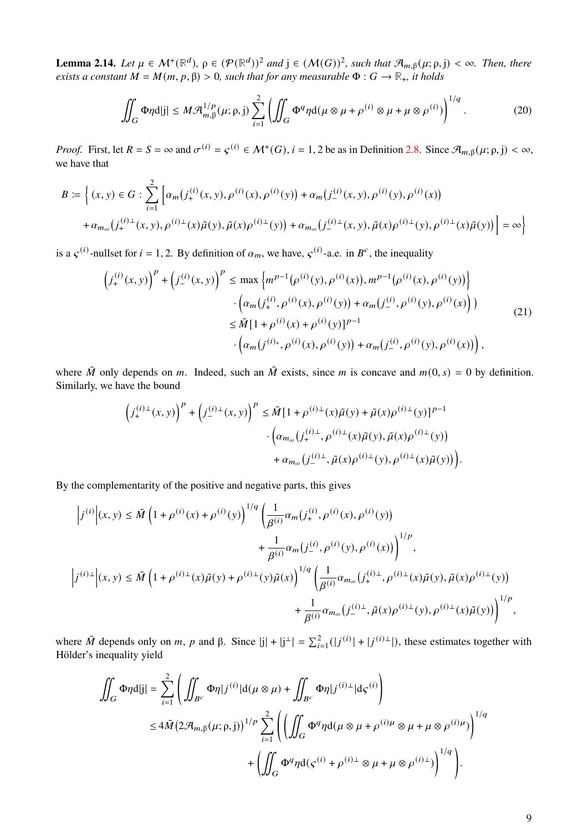<span id="page-8-0"></span>**Lemma 2.14.** Let  $\mu \in \mathcal{M}^+(\mathbb{R}^d)$ ,  $\rho \in (\mathcal{P}(\mathbb{R}^d))^2$  and  $j \in (\mathcal{M}(G))^2$ , such that  $\mathcal{A}_{m,\beta}(\mu;\rho,j) < \infty$ . Then, there *exists a constant*  $M = M(m, p, \beta) > 0$ *, such that for any measurable*  $\Phi : G \to \mathbb{R}_+$ *, it holds* 

<span id="page-8-1"></span>
$$
\iint_G \Phi \eta d|j| \leq M \mathcal{A}_{m,\beta}^{1/p}(\mu;\rho,j) \sum_{i=1}^2 \left( \iint_G \Phi^q \eta d(\mu \otimes \mu + \rho^{(i)} \otimes \mu + \mu \otimes \rho^{(i)}) \right)^{1/q}.
$$
 (20)

*Proof.* First, let  $R = S = \infty$  and  $\sigma^{(i)} = \varsigma^{(i)} \in \mathcal{M}^+(G)$ ,  $i = 1, 2$  be as in Definition [2.8.](#page-6-1) Since  $\mathcal{A}_{m,\beta}(\mu; \rho, j) < \infty$ , we have that

$$
B := \left\{ (x, y) \in G : \sum_{i=1}^{2} \left[ \alpha_m(j_+^{(i)}(x, y), \rho^{(i)}(x), \rho^{(i)}(y)) + \alpha_m(j_-^{(i)}(x, y), \rho^{(i)}(y), \rho^{(i)}(x)) \right] + \alpha_{m_{\infty}}(j_+^{(i)\perp}(x, y), \tilde{\mu}(x)\tilde{\mu}(y), \tilde{\mu}(x)\rho^{(i)\perp}(y)) + \alpha_{m_{\infty}}(j_-^{(i)\perp}(x, y), \tilde{\mu}(x)\rho^{(i)\perp}(y), \rho^{(i)\perp}(x)\tilde{\mu}(y)) \right\} = \infty \right\}
$$

is a  $\zeta^{(i)}$ -nullset for  $i = 1, 2$ . By definition of  $\alpha_m$ , we have,  $\zeta^{(i)}$ -a.e. in  $B^c$ , the inequality

<span id="page-8-2"></span>
$$
(j_{+}^{(i)}(x, y))^{p} + (j_{-}^{(i)}(x, y))^{p} \le \max \left\{ m^{p-1}(\rho^{(i)}(y), \rho^{(i)}(x)), m^{p-1}(\rho^{(i)}(x), \rho^{(i)}(y)) \right\} \cdot \left( \alpha_{m}(j_{+}^{(i)}, \rho^{(i)}(x), \rho^{(i)}(y)) + \alpha_{m}(j_{-}^{(i)}, \rho^{(i)}(y), \rho^{(i)}(x)) \right) \le \bar{M} [1 + \rho^{(i)}(x) + \rho^{(i)}(y)]^{p-1} \cdot \left( \alpha_{m}(j_{+}^{(i)}, \rho^{(i)}(x), \rho^{(i)}(y)) + \alpha_{m}(j_{-}^{(i)}, \rho^{(i)}(y), \rho^{(i)}(x)) \right),
$$
\n(21)

where  $\overline{M}$  only depends on m. Indeed, such an  $\overline{M}$  exists, since m is concave and  $m(0, s) = 0$  by definition. Similarly, we have the bound

$$
\label{eq:3.1} \begin{split} \left(j^{(i)\perp}_+(x,y)\right)^p + \left(j^{(i)\perp}_-(x,y)\right)^p & \leq \bar{M}\big[1+\rho^{(i)\perp}(x)\tilde{\mu}(y) + \tilde{\mu}(x)\rho^{(i)\perp}(y)\big]^{p-1}\\ & \qquad \cdot \Big(\alpha_{m_\infty}\big(j^{(i)\perp}_+,\rho^{(i)\perp}(x)\tilde{\mu}(y),\tilde{\mu}(x)\rho^{(i)\perp}(y)\big) \\ & \qquad \qquad + \alpha_{m_\infty}\big(j^{(i)\perp}_-,\tilde{\mu}(x)\rho^{(i)\perp}(y),\rho^{(i)\perp}(x)\tilde{\mu}(y)\big)\Big). \end{split}
$$

By the complementarity of the positive and negative parts, this gives

$$
\begin{split} \Big|j^{(i)}\Big|(x,y) & \leq \tilde{M}\left(1+\rho^{(i)}(x)+\rho^{(i)}(y)\right)^{1/q}\left(\frac{1}{\beta^{(i)}}\alpha_{m}\big(j_{+}^{(i)},\rho^{(i)}(x),\rho^{(i)}(y)\big) \right. \\ & \qquad \qquad \left. +\frac{1}{\beta^{(i)}}\alpha_{m}\big(j_{-}^{(i)},\rho^{(i)}(y),\rho^{(i)}(x)\big)\right)^{1/p}, \\ \Big|j^{(i)\perp}\Big|(x,y) & \leq \tilde{M}\left(1+\rho^{(i)\perp}(x)\tilde{\mu}(y)+\rho^{(i)\perp}(y)\tilde{\mu}(x)\right)^{1/q}\left(\frac{1}{\beta^{(i)}}\alpha_{m_{\infty}}\big(j_{+}^{(i)\perp},\rho^{(i)\perp}(x)\tilde{\mu}(y),\tilde{\mu}(x)\rho^{(i)\perp}(y)\big) \right. \\ & \qquad \qquad \left. +\frac{1}{\beta^{(i)}}\alpha_{m_{\infty}}\big(j_{-}^{(i)\perp},\tilde{\mu}(x)\rho^{(i)\perp}(y),\rho^{(i)\perp}(x)\tilde{\mu}(y)\big)\right)^{1/p}, \end{split}
$$

where  $\tilde{M}$  depends only on m, p and  $\beta$ . Since  $|j| + |j^{i}| = \sum_{i=1}^{2} (|j^{(i)}| + |j^{(i)}^{\perp}|)$ , these estimates together with Hölder's inequality yield

$$
\iint_G \Phi \eta d|j| = \sum_{i=1}^2 \left( \iint_{B^c} \Phi \eta |j^{(i)}| d(\mu \otimes \mu) + \iint_{B^c} \Phi \eta |j^{(i)\perp}| d\varsigma^{(i)} \right)
$$
  

$$
\leq 4 \tilde{M} \left( 2 \mathcal{A}_{m,\beta}(\mu;\rho,j) \right)^{1/p} \sum_{i=1}^2 \left( \left( \iint_G \Phi^q \eta d(\mu \otimes \mu + \rho^{(i)\mu} \otimes \mu + \mu \otimes \rho^{(i)\mu}) \right)^{1/q} + \left( \iint_G \Phi^q \eta d(\varsigma^{(i)} + \rho^{(i)\perp} \otimes \mu + \mu \otimes \rho^{(i)\perp}) \right)^{1/q} \right).
$$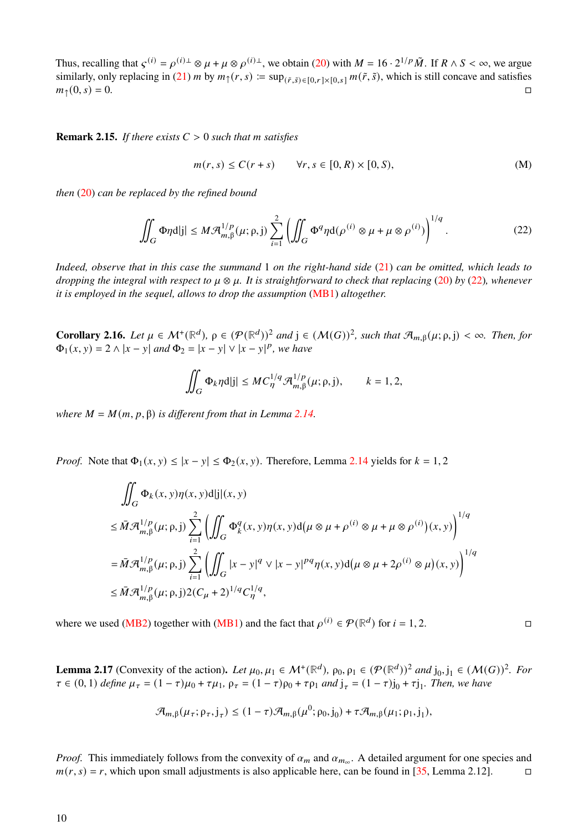Thus, recalling that  $\varsigma^{(i)} = \rho^{(i)\perp} \otimes \mu + \mu \otimes \rho^{(i)\perp}$ , we obtain [\(20\)](#page-8-1) with  $M = 16 \cdot 2^{1/p} \tilde{M}$ . If  $R \wedge S < \infty$ , we argue similarly, only replacing in [\(21\)](#page-8-2) *m* by  $m_{\uparrow}(r, s) := \sup_{(\tilde{r}, \tilde{s}) \in [0, r] \times [0, s]} m(\tilde{r}, \tilde{s})$ , which is still concave and satisfies  $m_{\uparrow}(0, s) = 0.$ 

<span id="page-9-0"></span>**Remark 2.15.** *If there exists*  $C > 0$  *such that m satisfies* 

$$
m(r,s) \le C(r+s) \qquad \forall r,s \in [0,R) \times [0,S), \tag{M}
$$

*then* [\(20\)](#page-8-1) *can be replaced by the refined bound*

<span id="page-9-1"></span>
$$
\iint_G \Phi \eta d|j| \le M \mathcal{A}_{m,\beta}^{1/p}(\mu;\rho,j) \sum_{i=1}^2 \left( \iint_G \Phi^q \eta d(\rho^{(i)} \otimes \mu + \mu \otimes \rho^{(i)}) \right)^{1/q}.
$$
 (22)

*Indeed, observe that in this case the summand* 1 *on the right-hand side* [\(21\)](#page-8-2) *can be omitted, which leads to dropping the integral with respect to*  $\mu \otimes \mu$ . It is straightforward to check that replacing [\(20\)](#page-8-1) by [\(22\)](#page-9-1), whenever *it is employed in the sequel, allows to drop the assumption* [\(MB1\)](#page-3-4) *altogether.*

<span id="page-9-2"></span>**Corollary 2.16.** *Let*  $\mu \in \mathcal{M}^+(\mathbb{R}^d)$ ,  $\rho \in (\mathcal{P}(\mathbb{R}^d))^2$  and  $j \in (\mathcal{M}(G))^2$ , such that  $\mathcal{A}_{m,\beta}(\mu;\rho,j) < \infty$ . Then, for  $\Phi_1(x, y) = 2 \wedge |x - y|$  and  $\Phi_2 = |x - y| \vee |x - y|^p$ , we have

$$
\iint_G \Phi_k \eta d|j| \leq M C_{\eta}^{1/q} \mathcal{A}_{m,\beta}^{1/p}(\mu;\rho,j), \qquad k = 1, 2,
$$

*where*  $M = M(m, p, \beta)$  *is different from that in Lemma [2.14.](#page-8-0)* 

*Proof.* Note that  $\Phi_1(x, y) \le |x - y| \le \Phi_2(x, y)$ . Therefore, Lemma [2.14](#page-8-0) yields for  $k = 1, 2$ 

$$
\iint_G \Phi_k(x, y) \eta(x, y) \mathrm{d} |j|(x, y)
$$
\n
$$
\leq \bar{M} \mathcal{A}_{m, \beta}^{1/p}(\mu; \rho, j) \sum_{i=1}^2 \left( \iint_G \Phi_k^q(x, y) \eta(x, y) \mathrm{d}(\mu \otimes \mu + \rho^{(i)} \otimes \mu + \mu \otimes \rho^{(i)})(x, y) \right)^{1/q}
$$
\n
$$
= \bar{M} \mathcal{A}_{m, \beta}^{1/p}(\mu; \rho, j) \sum_{i=1}^2 \left( \iint_G |x - y|^q \vee |x - y|^{pq} \eta(x, y) \mathrm{d}(\mu \otimes \mu + 2\rho^{(i)} \otimes \mu)(x, y) \right)^{1/q}
$$
\n
$$
\leq \bar{M} \mathcal{A}_{m, \beta}^{1/p}(\mu; \rho, j) 2(C_{\mu} + 2)^{1/q} C_{\eta}^{1/q},
$$

where we used [\(MB2\)](#page-3-3) together with [\(MB1\)](#page-3-4) and the fact that  $\rho^{(i)} \in \mathcal{P}(\mathbb{R}^d)$  for  $i = 1, 2$ .

**Lemma 2.17** (Convexity of the action). Let  $\mu_0, \mu_1 \in \mathcal{M}^+(\mathbb{R}^d)$ ,  $\rho_0, \rho_1 \in (\mathcal{P}(\mathbb{R}^d))^2$  and  $j_0, j_1 \in (\mathcal{M}(G))^2$ . For  $\tau \in (0, 1)$  *define*  $\mu_{\tau} = (1 - \tau)\mu_0 + \tau\mu_1$ ,  $\rho_{\tau} = (1 - \tau)\rho_0 + \tau\rho_1$  *and*  $j_{\tau} = (1 - \tau)j_0 + \tau j_1$ *. Then, we have* 

$$
\mathcal{A}_{m,\beta}(\mu_{\tau};\rho_{\tau},j_{\tau}) \leq (1-\tau)\mathcal{A}_{m,\beta}(\mu^{0};\rho_{0},j_{0}) + \tau\mathcal{A}_{m,\beta}(\mu_{1};\rho_{1},j_{1}),
$$

*Proof.* This immediately follows from the convexity of  $\alpha_m$  and  $\alpha_{m_\infty}$ . A detailed argument for one species and  $m(r, s) = r$ , which upon small adjustments is also applicable here, can be found in [\[35,](#page-36-10) Lemma 2.12].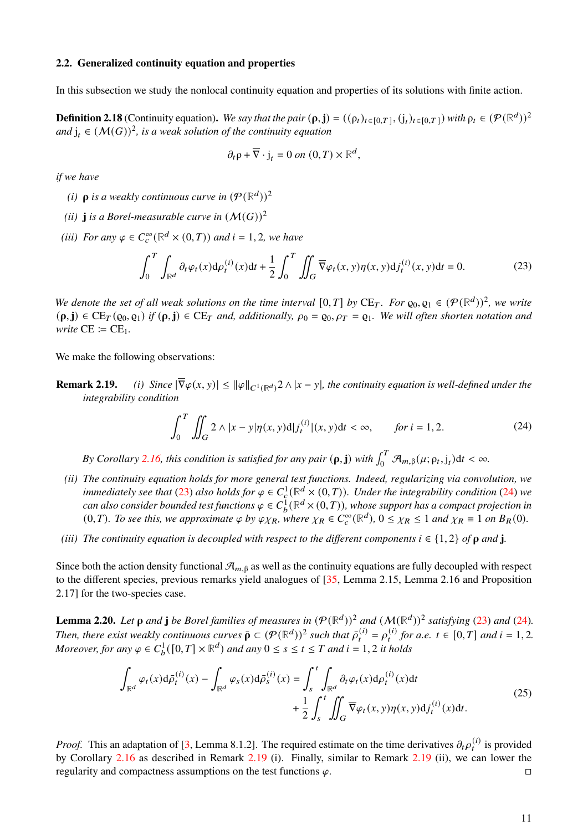#### **2.2. Generalized continuity equation and properties**

In this subsection we study the nonlocal continuity equation and properties of its solutions with finite action.

<span id="page-10-4"></span>**Definition 2.18** (Continuity equation). We say that the pair  $(\rho, \mathbf{j}) = ((\rho_t)_{t \in [0,T]}, (\mathbf{j}_t)_{t \in [0,T]})$  with  $\rho_t \in (\mathcal{P}(\mathbb{R}^d))^2$ and  $j_t \in (\mathcal{M}(G))^2$ , is a weak solution of the continuity equation

$$
\partial_t \rho + \overline{\nabla} \cdot j_t = 0 \text{ on } (0, T) \times \mathbb{R}^d,
$$

*if we have*

- (*i*)  $\rho$  is a weakly continuous curve in  $(\mathcal{P}(\mathbb{R}^d))^2$
- *(ii)* **j** *is a Borel-measurable curve in*  $(M(G))^2$
- (*iii*) *For any*  $\varphi \in C_c^{\infty}(\mathbb{R}^d \times (0,T))$  *and*  $i = 1, 2$ *, we have*

<span id="page-10-0"></span>
$$
\int_0^T \int_{\mathbb{R}^d} \partial_t \varphi_t(x) d\rho_t^{(i)}(x) dt + \frac{1}{2} \int_0^T \iint_G \overline{\nabla} \varphi_t(x, y) \eta(x, y) d j_t^{(i)}(x, y) dt = 0.
$$
 (23)

*We denote the set of all weak solutions on the time interval*  $[0,T]$  *by* CE<sub>T</sub>. For  $\varrho_0, \varrho_1 \in (\mathcal{P}(\mathbb{R}^d))^2$ , we write  $(\rho, \mathbf{j}) \in \mathrm{CE}_T(\rho_0, \rho_1)$  *if*  $(\rho, \mathbf{j}) \in \mathrm{CE}_T$  and, additionally,  $\rho_0 = \rho_0$ ,  $\rho_T = \rho_1$ . We will often shorten notation and *write*  $CE \coloneqq CE_1$ .

We make the following observations:

**Remark 2.19.** (*i*) Since  $|\overline{\nabla}\varphi(x, y)| \le ||\varphi||_{C^1(\mathbb{R}^d)}^2 \wedge |x - y|$ , the continuity equation is well-defined under the *integrability condition*

<span id="page-10-1"></span>
$$
\int_0^T \iint_G 2 \wedge |x - y| \eta(x, y) d| f_t^{(i)}|(x, y) dt < \infty, \qquad \text{for } t = 1, 2.
$$
 (24)

*By Corollary* [2.16,](#page-9-2) this condition is satisfied for any pair  $(\rho, j)$  with  $\int_0^T \mathcal{A}_{m,\beta}(\mu; \rho_t, j_t) dt < \infty$ .

- *(ii) The continuity equation holds for more general test functions. Indeed, regularizing via convolution, we immediately see that* [\(23\)](#page-10-0) also holds for  $\varphi \in C_c^1(\mathbb{R}^d \times (0,T))$ . Under the integrability condition [\(24\)](#page-10-1) we *can also consider bounded test functions*  $\varphi \in C_b^1(\mathbb{R}^d \times (0,T))$ , whose support has a compact projection in  $(0, T)$ *. To see this, we approximate*  $\varphi$  *by*  $\varphi \chi_R$ *, where*  $\chi_R \in C_c^{\infty}(\mathbb{R}^d)$ *,*  $0 \leq \chi_R \leq 1$  *and*  $\chi_R \equiv 1$  *on*  $B_R(0)$ *.*
- *(iii) The continuity equation is decoupled with respect to the different components*  $i \in \{1, 2\}$  *of*  $\rho$  *and* **j**.

Since both the action density functional  $\mathcal{A}_{m, \beta}$  as well as the continuity equations are fully decoupled with respect to the different species, previous remarks yield analogues of [\[35,](#page-36-10) Lemma 2.15, Lemma 2.16 and Proposition 2.17] for the two-species case.

<span id="page-10-3"></span>**Lemma 2.20.** Let  $\rho$  and  $\mathbf{j}$  be Borel families of measures in  $(\mathcal{P}(\mathbb{R}^d))^2$  and  $(\mathcal{M}(\mathbb{R}^d))^2$  satisfying [\(23\)](#page-10-0) and [\(24\)](#page-10-1). *Then, there exist weakly continuous curves*  $\bar{\rho} \subset (\mathcal{P}(\mathbb{R}^d))^2$  *such that*  $\bar{\rho}_t^{(i)} = \rho_t^{(i)}$  *for a.e.*  $t \in [0, T]$  *and*  $i = 1, 2$ *. Moreover, for any*  $\varphi \in C_b^1([0, T] \times \mathbb{R}^d)$  *and any*  $0 \le s \le t \le T$  *and*  $i = 1, 2$  *it holds* 

<span id="page-10-2"></span>
$$
\int_{\mathbb{R}^d} \varphi_t(x) d\bar{\rho}_t^{(i)}(x) - \int_{\mathbb{R}^d} \varphi_s(x) d\bar{\rho}_s^{(i)}(x) = \int_s^t \int_{\mathbb{R}^d} \partial_t \varphi_t(x) d\rho_t^{(i)}(x) dt \n+ \frac{1}{2} \int_s^t \iint_G \overline{\nabla} \varphi_t(x, y) \eta(x, y) d\bar{f}_t^{(i)}(x) dt.
$$
\n(25)

*Proof.* This an adaptation of [\[3,](#page-34-9) Lemma 8.1.2]. The required estimate on the time derivatives  $\partial_t \rho_t^{(i)}$  is provided by Corollary [2.16](#page-9-2) as described in Remark [2.19](#page-0-1) (i). Finally, similar to Remark [2.19](#page-0-1) (ii), we can lower the regularity and compactness assumptions on the test functions  $\varphi$ .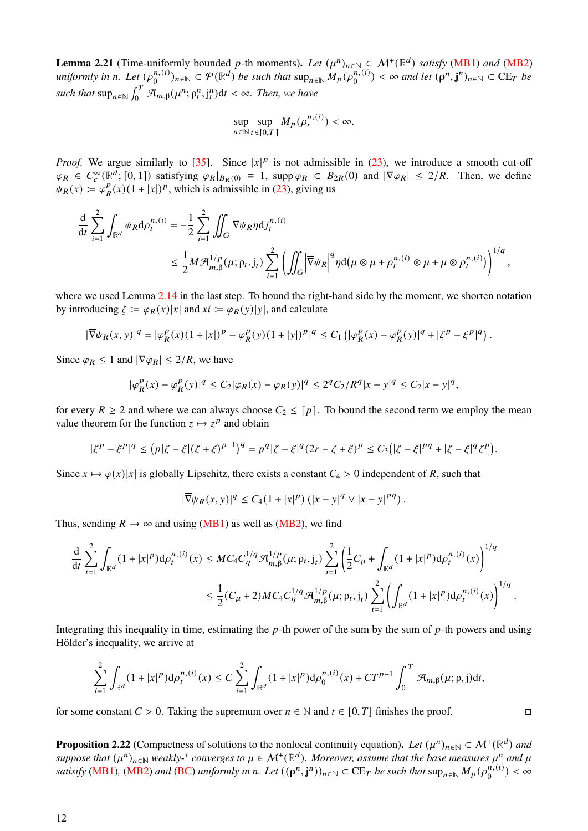<span id="page-11-0"></span>**Lemma 2.21** (Time-uniformly bounded p-th moments). Let  $(\mu^n)_{n \in \mathbb{N}} \subset \mathcal{M}^+(\mathbb{R}^d)$  *satisfy* [\(MB1\)](#page-3-4) *and* [\(MB2\)](#page-3-3) *uniformly in n. Let*  $(\rho_0^{n,(i)})$  $\sum_{n=0}^{n} (n)_{n \in \mathbb{N}} \subset \mathcal{P}(\mathbb{R}^d)$  *be such that*  $\sup_{n \in \mathbb{N}} M_p(\rho_0^{n}(i))$  $\binom{n}{0}$  <  $\infty$  *and let*  $(\rho^n, j^n)_{n \in \mathbb{N}} \subset \mathrm{CE}_T$  *be such that*  $\sup_{n \in \mathbb{N}} \int_0^T \mathcal{A}_{m,\beta}(\mu^n; \rho_t^n, j_t^n) dt < \infty$ . Then, we have

$$
\sup_{n\in\mathbb{N}}\sup_{t\in[0,T]}M_p(\rho^{n,(i)}_t)<\infty.
$$

*Proof.* We argue similarly to [\[35\]](#page-36-10). Since  $|x|^p$  is not admissible in [\(23\)](#page-10-0), we introduce a smooth cut-off  $\varphi_R \in C_c^{\infty}(\mathbb{R}^d; [0,1])$  satisfying  $\varphi_R|_{B_R(0)} \equiv 1$ , supp  $\varphi_R \subset B_{2R}(0)$  and  $|\nabla \varphi_R| \le 2/R$ . Then, we define  $\psi_R(x) \coloneqq \varphi_p^p$  $R(R)(1+|x|)^p$ , which is admissible in [\(23\)](#page-10-0), giving us

$$
\frac{\mathrm{d}}{\mathrm{d}t} \sum_{i=1}^{2} \int_{\mathbb{R}^d} \psi_R \mathrm{d} \rho_t^{n,(i)} = -\frac{1}{2} \sum_{i=1}^{2} \iint_G \overline{\nabla} \psi_R \eta \mathrm{d} j_t^{n,(i)} \leq \frac{1}{2} M \mathcal{R}_{m,\beta}^{1/p}(\mu; \rho_t, j_t) \sum_{i=1}^{2} \left( \iint_G \left| \overline{\nabla} \psi_R \right|^q \eta \mathrm{d} (\mu \otimes \mu + \rho_t^{n,(i)} \otimes \mu + \mu \otimes \rho_t^{n,(i)}) \right)^{1/q},
$$

where we used Lemma [2.14](#page-8-0) in the last step. To bound the right-hand side by the moment, we shorten notation by introducing  $\zeta := \varphi_R(x)|x|$  and  $xi := \varphi_R(y)|y|$ , and calculate

$$
|\overline{\nabla} \psi_R(x,y)|^q = |\varphi^p_R(x)(1+|x|)^p - \varphi^p_R(y)(1+|y|)^p|^q \leq C_1 \left( |\varphi^p_R(x) - \varphi^p_R(y)|^q + |\zeta^p - \xi^p|^q \right).
$$

Since  $\varphi_R \leq 1$  and  $|\nabla \varphi_R| \leq 2/R$ , we have

$$
|\varphi_R^p(x) - \varphi_R^p(y)|^q \le C_2 |\varphi_R(x) - \varphi_R(y)|^q \le 2^q C_2/R^q |x - y|^q \le C_2 |x - y|^q,
$$

for every  $R \ge 2$  and where we can always choose  $C_2 \le [p]$ . To bound the second term we employ the mean value theorem for the function  $z \mapsto z^p$  and obtain

$$
|\zeta^p - \xi^p|^q \le (p|\zeta - \xi|(\zeta + \xi)^{p-1})^q = p^q|\zeta - \xi|^q(2r - \zeta + \xi)^p \le C_3(|\zeta - \xi|^{pq} + |\zeta - \xi|^q \zeta^p).
$$

Since  $x \mapsto \varphi(x)|x|$  is globally Lipschitz, there exists a constant  $C_4 > 0$  independent of R, such that

$$
|\overline{\nabla}\psi_R(x,y)|^q \le C_4(1+|x|^p) (|x-y|^q \vee |x-y|^{pq}).
$$

Thus, sending  $R \to \infty$  and using [\(MB1\)](#page-3-4) as well as [\(MB2\)](#page-3-3), we find

$$
\begin{split} \frac{\mathrm{d}}{\mathrm{d}t}\sum_{i=1}^2\int_{{\mathbb R}^d}(1+|x|^p){\mathrm{d}}\rho_t^{n,(i)}(x)&\leq MC_4C^{1/q}_\eta\mathcal{A}^{1/p}_{m,\beta}(\mu;\rho_t,\mathfrak{j}_t)\sum_{i=1}^2\left(\frac{1}{2}C_\mu+\int_{{\mathbb R}^d}(1+|x|^p){\mathrm{d}}\rho_t^{n,(i)}(x)\right)^{1/q}\\ &\leq \frac{1}{2}(C_\mu+2)MC_4C^{1/q}_\eta\mathcal{A}^{1/p}_{m,\beta}(\mu;\rho_t,\mathfrak{j}_t)\sum_{i=1}^2\left(\int_{{\mathbb R}^d}(1+|x|^p){\mathrm{d}}\rho_t^{n,(i)}(x)\right)^{1/q}. \end{split}
$$

Integrating this inequality in time, estimating the  $p$ -th power of the sum by the sum of  $p$ -th powers and using Hölder's inequality, we arrive at

$$
\sum_{i=1}^2 \int_{\mathbb{R}^d} (1+|x|^p) \mathrm{d} \rho^{n, (i)}_t(x) \leq C \sum_{i=1}^2 \int_{\mathbb{R}^d} (1+|x|^p) \mathrm{d} \rho^{n, (i)}_0(x) + C T^{p-1} \int_0^T \mathcal{A}_{m, \beta}(\mu; \rho, \mathbf{j}) \mathrm{d} t,
$$

for some constant  $C > 0$ . Taking the supremum over  $n \in \mathbb{N}$  and  $t \in [0, T]$  finishes the proof. □

<span id="page-11-1"></span>**Proposition 2.22** (Compactness of solutions to the nonlocal continuity equation). Let  $(\mu^n)_{n \in \mathbb{N}} \subset \mathcal{M}^+(\mathbb{R}^d)$  and  $suppose that$   $(\mu^n)_{n \in \mathbb{N}}$  weakly- $^*$  converges to  $\mu \in \mathcal{M}^+(\mathbb{R}^d)$ . Moreover, assume that the base measures  $\mu^n$  and  $\mu$  $satisfy$  [\(MB1\)](#page-3-4)*,* [\(MB2\)](#page-3-3) and [\(BC\)](#page-3-2) uniformly in n. Let  $((p^n, j^n))_{n \in \mathbb{N}} \subset \mathbb{C}E_T$  be such that  $\sup_{n \in \mathbb{N}} M_p(p_0^{n,(i)})$  $\binom{n,(i)}{0} < \infty$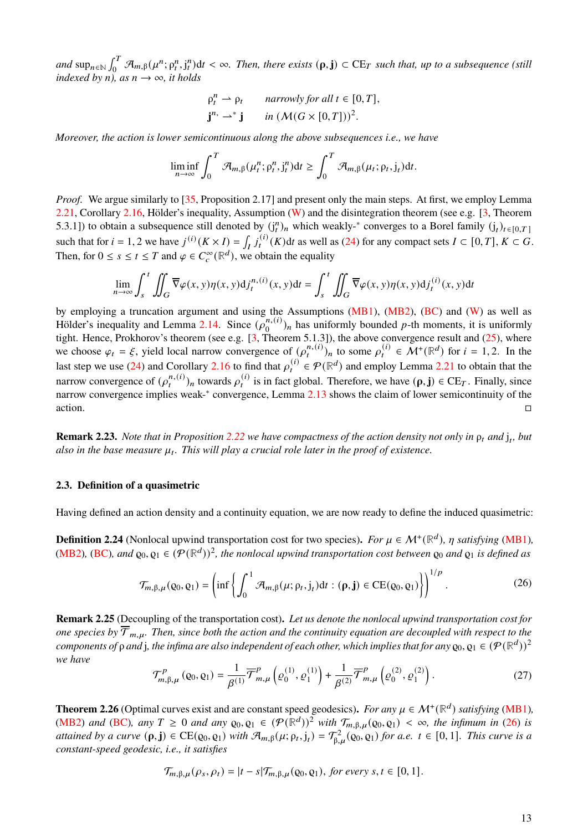$and \sup_{n\in\mathbb{N}}\int_0^T\mathcal{A}_{m,\beta}(\mu^n;\rho_t^n,j_t^n)dt<\infty.$  Then, there exists  $(\rho,j)\subset \mathrm{CE}_T$  such that, up to a subsequence (still *indexed by n), as*  $n \rightarrow \infty$ *, it holds* 

$$
\rho_t^n \rightharpoonup \rho_t \quad \text{narrowly for all } t \in [0, T],
$$
  

$$
\mathbf{j}^n \rightharpoonup^* \mathbf{j} \quad \text{in } (\mathcal{M}(G \times [0, T]))^2.
$$

*Moreover, the action is lower semicontinuous along the above subsequences i.e., we have*

$$
\liminf_{n\to\infty}\int_0^T\mathcal{A}_{m,\beta}(\mu_t^n;\rho_t^n,j_t^n)\mathrm{d}t\geq \int_0^T\mathcal{A}_{m,\beta}(\mu_t;\rho_t,j_t)\mathrm{d}t.
$$

*Proof.* We argue similarly to [\[35,](#page-36-10) Proposition 2.17] and present only the main steps. At first, we employ Lemma [2.21,](#page-11-0) Corollary [2.16,](#page-9-2) Hölder's inequality, Assumption [\(W\)](#page-3-1) and the disintegration theorem (see e.g. [\[3,](#page-34-9) Theorem 5.3.1]) to obtain a subsequence still denoted by  $(j_t^n)_n$  which weakly-\* converges to a Borel family  $(j_t)_{t \in [0,T]}$ such that for  $i = 1, 2$  we have  $j^{(i)}(K \times I) = \int_I j_t^{(i)}(K) dt$  as well as [\(24\)](#page-10-1) for any compact sets  $I \subset [0, T]$ ,  $K \subset G$ . Then, for  $0 \leq s \leq t \leq T$  and  $\varphi \in C_c^{\infty}(\mathbb{R}^d)$ , we obtain the equality

$$
\lim_{n \to \infty} \int_{s}^{t} \iint_{G} \overline{\nabla} \varphi(x, y) \eta(x, y) \mathrm{d}j_{t}^{n, (i)}(x, y) \mathrm{d}t = \int_{s}^{t} \iint_{G} \overline{\nabla} \varphi(x, y) \eta(x, y) \mathrm{d}j_{t}^{(i)}(x, y) \mathrm{d}t
$$

by employing a truncation argument and using the Assumptions [\(MB1\)](#page-3-4), [\(MB2\)](#page-3-3), [\(BC\)](#page-3-2) and [\(W\)](#page-3-1) as well as Hölder's inequality and Lemma [2.14.](#page-8-0) Since  $(\rho_0^{n,(i)})$  $\binom{n,(i)}{0}$  has uniformly bounded p-th moments, it is uniformly tight. Hence, Prokhorov's theorem (see e.g. [\[3,](#page-34-9) Theorem 5.1.3]), the above convergence result and [\(25\)](#page-10-2), where we choose  $\varphi_t = \xi$ , yield local narrow convergence of  $(\rho_t^{n,(i)})_n$  to some  $\rho_t^{(i)} \in \mathcal{M}^+(\mathbb{R}^d)$  for  $i = 1, 2$ . In the last step we use [\(24\)](#page-10-1) and Corollary [2.16](#page-9-2) to find that  $\rho_t^{(i)} \in \mathcal{P}(\mathbb{R}^d)$  and employ Lemma [2.21](#page-11-0) to obtain that the narrow convergence of  $(\rho_t^{n,(i)})_n$  towards  $\rho_t^{(i)}$  is in fact global. Therefore, we have  $(\rho, j) \in \mathbb{C}E_T$ . Finally, since narrow convergence implies weak-<sup>∗</sup> convergence, Lemma [2.13](#page-7-0) shows the claim of lower semicontinuity of the  $\Box$ action.

**Remark 2.23.** *Note that in Proposition [2.22](#page-11-1) we have compactness of the action density not only in*  $\rho_t$  *and*  $j_t$ *, but* also in the base measure  $\mu_t$ . This will play a crucial role later in the proof of existence.

## **2.3. Definition of a quasimetric**

Having defined an action density and a continuity equation, we are now ready to define the induced quasimetric:

**Definition 2.24** (Nonlocal upwind transportation cost for two species). For  $\mu \in \mathcal{M}^+(\mathbb{R}^d)$ ,  $\eta$  satisfying [\(MB1\)](#page-3-4), [\(MB2\)](#page-3-3), [\(BC\)](#page-3-2), and  $\varrho_0, \varrho_1 \in (\mathcal{P}(\mathbb{R}^d))^2$ , the nonlocal upwind transportation cost between  $\varrho_0$  and  $\varrho_1$  is defined as

<span id="page-12-0"></span>
$$
\mathcal{T}_{m,\beta,\mu}(\rho_0,\rho_1) = \left(\inf \left\{ \int_0^1 \mathcal{A}_{m,\beta}(\mu;\rho_t,j_t) dt : (\rho, \mathbf{j}) \in CE(\rho_0,\rho_1) \right\} \right)^{1/p}.
$$
 (26)

**Remark 2.25** (Decoupling of the transportation cost)**.** *Let us denote the nonlocal upwind transportation cost for one species by*  $\overline{T}_{m,u}$ . Then, since both the action and the continuity equation are decoupled with respect to the *components of*  $\rho$  *and* j, the infima are also independent of each other, which implies that for any  $\varrho_0, \varrho_1 \in (P(\mathbb{R}^d))^2$ *we have*

<span id="page-12-2"></span>
$$
\mathcal{T}_{m,\beta,\mu}^P\left(\rho_0,\rho_1\right) = \frac{1}{\beta^{(1)}} \overline{\mathcal{T}}_{m,\mu}^P\left(\varrho_0^{(1)},\varrho_1^{(1)}\right) + \frac{1}{\beta^{(2)}} \overline{\mathcal{T}}_{m,\mu}^P\left(\varrho_0^{(2)},\varrho_1^{(2)}\right). \tag{27}
$$

<span id="page-12-1"></span>**Theorem 2.26** (Optimal curves exist and are constant speed geodesics). For any  $\mu \in \mathcal{M}^+(\mathbb{R}^d)$  satisfying [\(MB1\)](#page-3-4), [\(MB2\)](#page-3-3) and [\(BC\)](#page-3-2), any  $T \ge 0$  and any  $\varrho_0, \varrho_1 \in (\mathcal{P}(\mathbb{R}^d))^2$  with  $\mathcal{T}_{m,\beta,\mu}(\varrho_0,\varrho_1) < \infty$ , the infimum in [\(26\)](#page-12-0) is *attained by a curve*  $(\rho, \mathbf{j}) \in CE(\rho_0, \rho_1)$  *with*  $\mathcal{A}_{m,\beta}(\mu; \rho_t, \mathbf{j}_t) = \mathcal{T}_{\beta,\mu}^2(\rho_0, \rho_1)$  *for a.e.*  $t \in [0,1]$ *. This curve is a constant-speed geodesic, i.e., it satisfies*

$$
\mathcal{T}_{m,\beta,\mu}(\rho_s,\rho_t) = |t-s|\mathcal{T}_{m,\beta,\mu}(\varrho_0,\varrho_1), \text{ for every } s,t \in [0,1].
$$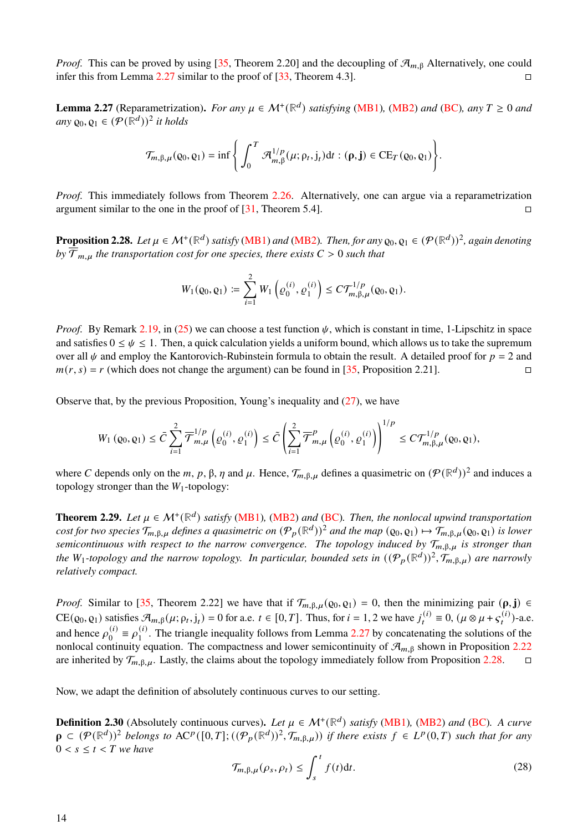*Proof.* This can be proved by using [\[35,](#page-36-10) Theorem 2.20] and the decoupling of  $\mathcal{A}_{m, \beta}$  Alternatively, one could infer this from Lemma [2.27](#page-13-0) similar to the proof of  $[33,$  Theorem 4.3].

<span id="page-13-0"></span>**Lemma 2.27** (Reparametrization). *For any*  $\mu \in M^+(\mathbb{R}^d)$  *satisfying* [\(MB1\)](#page-3-4), [\(MB2\)](#page-3-3) *and* [\(BC\)](#page-3-2)*, any*  $T \ge 0$  *and any*  $Q_0$ ,  $Q_1$  ∈  $(P(\overline{\mathbb{R}}^d))^2$  *it holds* 

$$
\mathcal{T}_{m,\beta,\mu}(\varrho_0,\varrho_1)=\inf\Bigg\{\int_0^T\mathcal{A}_{m,\beta}^{1/p}(\mu;\rho_t,j_t)\mathrm{d} t:(\rho,\mathbf{j})\in \mathrm{CE}_T(\varrho_0,\varrho_1)\Bigg\}.
$$

*Proof.* This immediately follows from Theorem [2.26.](#page-12-1) Alternatively, one can argue via a reparametrization argument similar to the one in the proof of  $[31,$  Theorem 5.4].

<span id="page-13-1"></span>**Proposition 2.28.** Let  $\mu \in M^+(\mathbb{R}^d)$  satisfy [\(MB1\)](#page-3-4) and [\(MB2\)](#page-3-3). Then, for any  $\varrho_0, \varrho_1 \in (\mathcal{P}(\mathbb{R}^d))^2$ , again denoting  $b_y \overline{T}_{m,u}$  *the transportation cost for one species, there exists*  $C > 0$  *such that* 

$$
W_1(\varrho_0, \varrho_1) \coloneqq \sum_{i=1}^2 W_1\left(\varrho_0^{(i)}, \varrho_1^{(i)}\right) \le C \mathcal{T}_{m, \beta, \mu}^{1/p}(\varrho_0, \varrho_1).
$$

*Proof.* By Remark [2.19,](#page-0-1) in [\(25\)](#page-10-2) we can choose a test function  $\psi$ , which is constant in time, 1-Lipschitz in space and satisfies  $0 \le \psi \le 1$ . Then, a quick calculation yields a uniform bound, which allows us to take the supremum over all  $\psi$  and employ the Kantorovich-Rubinstein formula to obtain the result. A detailed proof for  $p = 2$  and  $m(r, s) = r$  (which does not change the argument) can be found in [\[35,](#page-36-10) Proposition 2.21].

Observe that, by the previous Proposition, Young's inequality and  $(27)$ , we have

$$
W_1\left(\varrho_0,\varrho_1\right)\leq \bar{C}\sum_{i=1}^2\overline{\mathcal{T}}_{m,\mu}^{1/p}\left(\varrho_0^{(i)},\varrho_1^{(i)}\right)\leq \tilde{C}\left(\sum_{i=1}^2\overline{\mathcal{T}}_{m,\mu}^p\left(\varrho_0^{(i)},\varrho_1^{(i)}\right)\right)^{1/p}\leq C\mathcal{T}_{m,\beta,\mu}^{1/p}(\varrho_0,\varrho_1),
$$

where C depends only on the m, p,  $\beta$ ,  $\eta$  and  $\mu$ . Hence,  $\mathcal{T}_{m,\beta,\mu}$  defines a quasimetric on  $(\mathcal{P}(\mathbb{R}^d))^2$  and induces a topology stronger than the  $W_1$ -topology:

**Theorem 2.29.** *Let*  $\mu \in M^+(\mathbb{R}^d)$  *satisfy* [\(MB1\)](#page-3-4), [\(MB2\)](#page-3-3) *and* [\(BC\)](#page-3-2). *Then, the nonlocal upwind transportation cost for two species*  $\mathcal{T}_{m,\beta,\mu}$  defines a quasimetric on  $(\mathcal{P}_p(\mathbb{R}^d))^2$  and the map  $(\varrho_0,\varrho_1)\mapsto \tilde{\mathcal{T}}_{m,\beta,\mu}(\varrho_0,\varrho_1)$  is lower *semicontinuous with respect to the narrow convergence. The topology induced by*  $\mathcal{T}_{m, \beta, \mu}$  *is stronger than* the W<sub>1</sub>-topology and the narrow topology. In particular, bounded sets in  $((\mathcal{P}_p(\mathbb{R}^d))^2, \mathcal{T}_{m,\beta,\mu})$  are narrowly *relatively compact.*

*Proof.* Similar to [\[35,](#page-36-10) Theorem 2.22] we have that if  $\mathcal{T}_{m,\beta,\mu}(\rho_0, \rho_1) = 0$ , then the minimizing pair  $(\rho, \mathbf{j}) \in$  $CE(\varrho_0, \varrho_1)$  satisfies  $\mathcal{A}_{m,\beta}(\mu; \rho_t, j_t) = 0$  for a.e.  $t \in [0, T]$ . Thus, for  $i = 1, 2$  we have  $j_t^{(i)} \equiv 0$ ,  $(\mu \otimes \mu + s_t^{(i)})$ -a.e. and hence  $\rho_0^{(i)}$  $_{0}^{(i)} \equiv \rho_{1}^{(i)}$  $1<sup>(1)</sup>$ . The triangle inequality follows from Lemma [2.27](#page-13-0) by concatenating the solutions of the nonlocal continuity equation. The compactness and lower semicontinuity of  $\mathcal{A}_{m, \beta}$  shown in Proposition [2.22](#page-11-1) are inherited by  $\mathcal{T}_{m,\beta,\mu}$ . Lastly, the claims about the topology immediately follow from Proposition [2.28.](#page-13-1)  $\Box$ 

Now, we adapt the definition of absolutely continuous curves to our setting.

**Definition 2.30** (Absolutely continuous curves). Let  $\mu \in M^+(\mathbb{R}^d)$  *satisfy* [\(MB1\)](#page-3-4)*,* [\(MB2\)](#page-3-3) *and* [\(BC\)](#page-3-2). A curve  $\rho \subset (\mathcal{P}(\mathbb{R}^d))^2$  belongs to  $\mathrm{AC}^p([0,T];((\mathcal{P}_p(\mathbb{R}^d))^2,\mathcal{T}_{m,\beta,\mu}))$  if there exists  $f \in L^p(0,T)$  such that for any  $0 < s \leq t < T$  we have

<span id="page-13-2"></span>
$$
\mathcal{T}_{m,\beta,\mu}(\rho_s,\rho_t) \le \int_s^t f(t)dt.
$$
\n(28)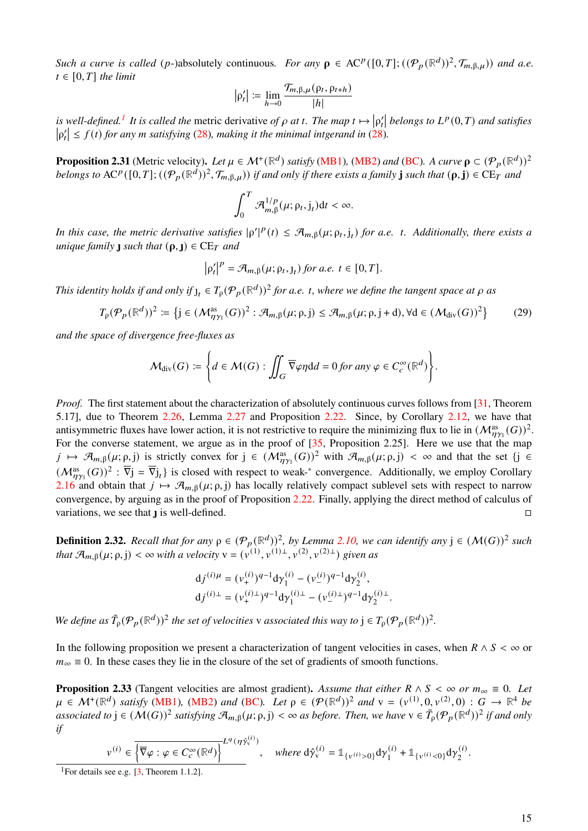*Such a curve is called* (*p*-)absolutely continuous. For any  $\rho \in \mathrm{AC}^p([0,T];((\mathcal{P}_p(\mathbb{R}^d))^2,\mathcal{T}_{m,\beta,\mu}))$  and a.e.  $t \in [0, T]$  *the limit* 

$$
|\rho'_t| := \lim_{h \to 0} \frac{\mathcal{T}_{m,\beta,\mu}(\rho_t, \rho_{t+h})}{|h|}
$$

*is well-defined.<sup>[1](#page-14-0)</sup> It is called the metric derivative of*  $\rho$  *at t. The map*  $t \mapsto |\rho'_t|$  *belongs to*  $L^p(0,T)$  *and satisfies*  $|\rho'_t| \leq f(t)$  for any *m* satisfying [\(28\)](#page-13-2), making it the minimal intgerand in (28).

<span id="page-14-3"></span>**Proposition 2.31** (Metric velocity). Let  $\mu \in M^+(\mathbb{R}^d)$  satisfy [\(MB1\)](#page-3-4), [\(MB2\)](#page-3-3) and [\(BC\)](#page-3-2). A curve  $\rho \subset (\mathcal{P}_p(\mathbb{R}^d))^2$  $b$ *elongs to*  $AC^p([0,T];((p_p(\mathbb{R}^d))^2, \mathcal{T}_{m,\beta,\mu}))$  if and only if there exists a family **j** such that  $(\rho, \mathbf{j}) \in CE_T$  and

$$
\int_0^T \mathcal{A}_{m,\beta}^{1/p}(\mu;\rho_t,j_t)\mathrm{d}t < \infty.
$$

*In this case, the metric derivative satisfies*  $|\rho'|^p(t) \leq \mathcal{A}_{m,\beta}(\mu;\rho_t,j_t)$  *for a.e. t. Additionally, there exists a* | *unique family such that*  $(\rho, \mathbf{l}) \in \mathbb{C}E_T$  *and* 

$$
\left|\rho'_t\right|^p = \mathcal{A}_{m,\beta}(\mu;\rho_t,{\mathsf{J}}_t) \text{ for a.e. } t \in [0,T].
$$

*This identity holds if and only if*  $j_t \in T_\rho(\mathcal{P}_p(\mathbb{R}^d))^2$  *for a.e. t, where we define the tangent space at*  $\rho$  *as* 

<span id="page-14-1"></span>
$$
T_{\rho}(\mathcal{P}_p(\mathbb{R}^d))^2 \coloneqq \left\{ j \in (\mathcal{M}^{\text{as}}_{\eta\gamma_1}(G))^2 : \mathcal{A}_{m,\beta}(\mu;\rho,j) \leq \mathcal{A}_{m,\beta}(\mu;\rho,j+d), \forall d \in (\mathcal{M}_{\text{div}}(G))^2 \right\}
$$
(29)

*and the space of divergence free-fluxes as*

$$
\mathcal{M}_{\text{div}}(G) \coloneqq \left\{ d \in \mathcal{M}(G) : \iint_G \overline{\nabla} \varphi \eta \mathrm{d}d = 0 \text{ for any } \varphi \in C_c^{\infty}(\mathbb{R}^d) \right\}.
$$

*Proof.* The first statement about the characterization of absolutely continuous curves follows from [\[31,](#page-36-11) Theorem 5.17], due to Theorem [2.26,](#page-12-1) Lemma [2.27](#page-13-0) and Proposition [2.22.](#page-11-1) Since, by Corollary [2.12,](#page-7-1) we have that antisymmetric fluxes have lower action, it is not restrictive to require the minimizing flux to lie in  $(M_{\eta\gamma_1}^{as}(G))^2$ . For the converse statement, we argue as in the proof of  $[35,$  Proposition 2.25]. Here we use that the map  $j \mapsto \mathcal{A}_{m,\beta}(\mu;\rho,j)$  is strictly convex for  $j \in (\mathcal{M}_{\eta\gamma_1}^{as}(G))^2$  with  $\mathcal{A}_{m,\beta}(\mu;\rho,j) < \infty$  and that the set  $\{j \in$  $(M_{\eta\gamma_1}^{as}(G))^2$ :  $\overline{V}_j = \overline{V}_{j_t}$  is closed with respect to weak-\* convergence. Additionally, we employ Corollary [2.16](#page-9-2) and obtain that  $j \mapsto A_{m, \beta}(\mu; \rho, j)$  has locally relatively compact sublevel sets with respect to narrow convergence, by arguing as in the proof of Proposition [2.22.](#page-11-1) Finally, applying the direct method of calculus of variations, we see that  $\bf{I}$  is well-defined.

**Definition 2.32.** Recall that for any  $\rho \in (\mathcal{P}_p(\mathbb{R}^d))^2$ , by Lemma [2.10,](#page-6-6) we can identify any  $j \in (\mathcal{M}(G))^2$  such *that*  $\mathcal{A}_{m,\beta}(\mu;\rho,j) < \infty$  *with a velocity*  $v = (v^{(1)}, v^{(1)}^{\perp}, v^{(2)}, v^{(2)\perp})$  given as

$$
dj^{(i)\mu} = (\nu_+^{(i)})^{q-1} d\gamma_1^{(i)} - (\nu_-^{(i)})^{q-1} d\gamma_2^{(i)},
$$
  

$$
dj^{(i)\perp} = (\nu_+^{(i)\perp})^{q-1} d\gamma_1^{(i)\perp} - (\nu_-^{(i)\perp})^{q-1} d\gamma_2^{(i)\perp}.
$$

*We define as*  $\tilde{T}_{p}(\mathcal{P}_p(\mathbb{R}^d))^2$  *the set of velocities v associated this way to*  $j \in T_p(\mathcal{P}_p(\mathbb{R}^d))^2$ *.* 

In the following proposition we present a characterization of tangent velocities in cases, when  $R \wedge S < \infty$  or  $m_{\infty} \equiv 0$ . In these cases they lie in the closure of the set of gradients of smooth functions.

<span id="page-14-2"></span>**Proposition 2.33** (Tangent velocities are almost gradient). Assume that either  $R \wedge S < \infty$  or  $m_{\infty} \equiv 0$ . Let  $\mu \in \mathcal{M}^+(\mathbb{R}^d)$  satisfy [\(MB1\)](#page-3-4), [\(MB2\)](#page-3-3) and [\(BC\)](#page-3-2). Let  $\rho \in (\mathcal{P}(\mathbb{R}^d))^2$  and  $v = (v^{(1)}, 0, v^{(2)}, 0) : G \to \mathbb{R}^4$  be associated to  $j \in (M(G))^2$  satisfying  $\mathcal{A}_{m,\beta}(\mu;\rho,j) < \infty$  as before. Then, we have  $v \in \tilde{T}_{\rho}(\mathcal{P}_p(\mathbb{R}^d))^2$  if and only *if*

$$
v^{(i)}\in \overline{\left\lbrace \overline{\nabla}\varphi:\varphi\in C_c^\infty(\mathbb{R}^d)\right\rbrace}^{L^q(\eta\hat{\gamma}_v^{(i)})},\quad\textit{where } d\hat{\gamma}_v^{(i)}=\mathbb{1}_{\lbrace v^{(i)}>0\rbrace}d\gamma_1^{(i)}+\mathbb{1}_{\lbrace v^{(i)}<0\rbrace}d\gamma_2^{(i)}.
$$

<span id="page-14-0"></span><sup>1</sup>For details see e.g.  $\lceil 3 \rceil$ , Theorem 1.1.2].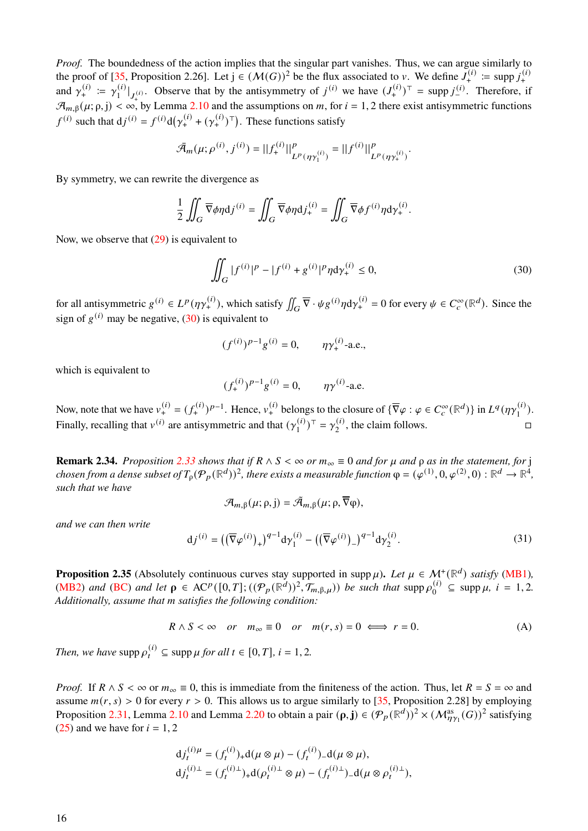*Proof.* The boundedness of the action implies that the singular part vanishes. Thus, we can argue similarly to the proof of [\[35,](#page-36-10) Proposition 2.26]. Let  $j \in (M(G))^2$  be the flux associated to v. We define  $J^{(i)}_+ := \text{supp } j^{(i)}_+$ and  $\gamma_+^{(i)} := \gamma_1^{(i)}$  $\int_1^{(i)} |_{J_{+}^{(i)}}$ . Observe that by the antisymmetry of  $j^{(i)}$  we have  $(J_{+}^{(i)})^{\top}$  = supp  $j_{-}^{(i)}$ . Therefore, if |  $\mathcal{A}_{m,\beta}(\mu;\rho,j)<\infty$ , by Lemma [2.10](#page-6-6) and the assumptions on m, for  $i=1,2$  there exist antisymmetric functions  $f^{(i)}$  such that  $dj^{(i)} = f^{(i)}d(\gamma_+^{(i)} + (\gamma_+^{(i)})^\top)$ . These functions satisfy

$$
\bar{\mathcal{A}}_m(\mu;\rho^{(i)},j^{(i)}) = ||f_+^{(i)}||^p_{L^p(\eta\gamma_1^{(i)})} = ||f^{(i)}||^p_{L^p(\eta\gamma_+^{(i)})}.
$$

By symmetry, we can rewrite the divergence as

$$
\frac{1}{2} \iint_G \overline{\nabla} \phi \eta \mathrm{d} j^{(i)} = \iint_G \overline{\nabla} \phi \eta \mathrm{d} j^{(i)}_+ = \iint_G \overline{\nabla} \phi f^{(i)} \eta \mathrm{d} \gamma^{(i)}_+.
$$

Now, we observe that  $(29)$  is equivalent to

<span id="page-15-0"></span>
$$
\iint_G |f^{(i)}|^p - |f^{(i)} + g^{(i)}|^p \eta \, d\gamma_+^{(i)} \le 0,\tag{30}
$$

for all antisymmetric  $g^{(i)} \in L^p(\eta \gamma^{(i)}_+)$ , which satisfy  $\iint_G \overline{\nabla} \cdot \psi g^{(i)} \eta d\gamma^{(i)}_+ = 0$  for every  $\psi \in C_c^{\infty}(\mathbb{R}^d)$ . Since the sign of  $g^{(i)}$  may be negative, [\(30\)](#page-15-0) is equivalent to

$$
(f^{(i)})^{p-1}g^{(i)} = 0
$$
,  $\eta \gamma_+^{(i)}$ -a.e.,

which is equivalent to

$$
(f_+^{(i)})^{p-1}g^{(i)} = 0
$$
,  $\eta \gamma^{(i)}$ -a.e.

Now, note that we have  $v_{+}^{(i)} = (f_{+}^{(i)})^{p-1}$ . Hence,  $v_{+}^{(i)}$  belongs to the closure of  $\{\overline{\nabla}\varphi : \varphi \in C_c^{\infty}(\mathbb{R}^d)\}$  in  $L^q(\eta\gamma_1^{(i)})$  $\binom{(l)}{1}$ . Finally, recalling that  $v^{(i)}$  are antisymmetric and that  $(\gamma_1^{(i)})$  $(\binom{i}{1})^{\top} = \gamma_2^{(i)}$  $\mathcal{L}_2^{(i)}$ , the claim follows.

**Remark 2.34.** *Proposition* [2.33](#page-14-2) *shows that if*  $R \wedge S < \infty$  *or*  $m_{\infty} \equiv 0$  *and for*  $\mu$  *and*  $\rho$  *as in the statement, for* j *chosen from a dense subset of*  $T_p(\mathcal{P}_p(\mathbb{R}^d))^2$ , there exists a measurable function  $\varphi = (\varphi^{(1)}, 0, \varphi^{(2)}, 0) : \mathbb{R}^d \to \mathbb{R}^4$ , *such that we have*

<span id="page-15-1"></span>
$$
\mathcal{A}_{m,\beta}(\mu;\rho,j)=\tilde{\mathcal{A}}_{m,\beta}(\mu;\rho,\overline{\nabla}\phi),
$$

*and we can then write*

<span id="page-15-3"></span>
$$
dj^{(i)} = ((\overline{\nabla}\varphi^{(i)})_+)^{q-1} d\gamma_1^{(i)} - ((\overline{\nabla}\varphi^{(i)})_-)^{q-1} d\gamma_2^{(i)}.
$$
 (31)

<span id="page-15-2"></span>**Proposition 2.35** (Absolutely continuous curves stay supported in supp  $\mu$ ). Let  $\mu \in M^+(\mathbb{R}^d)$  satisfy [\(MB1\)](#page-3-4), [\(MB2\)](#page-3-3) *and* [\(BC\)](#page-3-2) *and let*  $\rho \in \mathrm{AC}^p([0,T];((\mathcal{P}_p(\mathbb{R}^d))^2, \mathcal{T}_{m,\beta,\mu}))$  *be such that* supp  $\rho_0^{(i)}$  $_{0}^{(i)} \subseteq \text{supp }\mu, i = 1, 2.$ *Additionally, assume that satisfies the following condition:*

$$
R \wedge S < \infty \quad \text{or} \quad m_{\infty} \equiv 0 \quad \text{or} \quad m(r, s) = 0 \iff r = 0. \tag{A}
$$

*Then, we have*  $\text{supp }\rho_t^{(i)} \subseteq \text{supp }\mu \text{ for all } t \in [0, T]$ ,  $i = 1, 2$ .

*Proof.* If  $R \wedge S < \infty$  or  $m_{\infty} \equiv 0$ , this is immediate from the finiteness of the action. Thus, let  $R = S = \infty$  and assume  $m(r, s) > 0$  for every  $r > 0$ . This allows us to argue similarly to [\[35,](#page-36-10) Proposition 2.28] by employing Proposition [2.31,](#page-14-3) Lemma [2.10](#page-6-6) and Lemma [2.20](#page-10-3) to obtain a pair  $(\rho, \mathbf{j}) \in (\mathcal{P}_p(\mathbb{R}^d))^2 \times (\mathcal{M}_{\eta\gamma_1}^{as}(G))^2$  satisfying  $(25)$  and we have for  $i = 1, 2$ 

$$
d j_t^{(i)\mu} = (f_t^{(i)})_+ d(\mu \otimes \mu) - (f_t^{(i)})_- d(\mu \otimes \mu),
$$
  

$$
d j_t^{(i)\perp} = (f_t^{(i)\perp})_+ d(\rho_t^{(i)\perp} \otimes \mu) - (f_t^{(i)\perp})_- d(\mu \otimes \rho_t^{(i)\perp}),
$$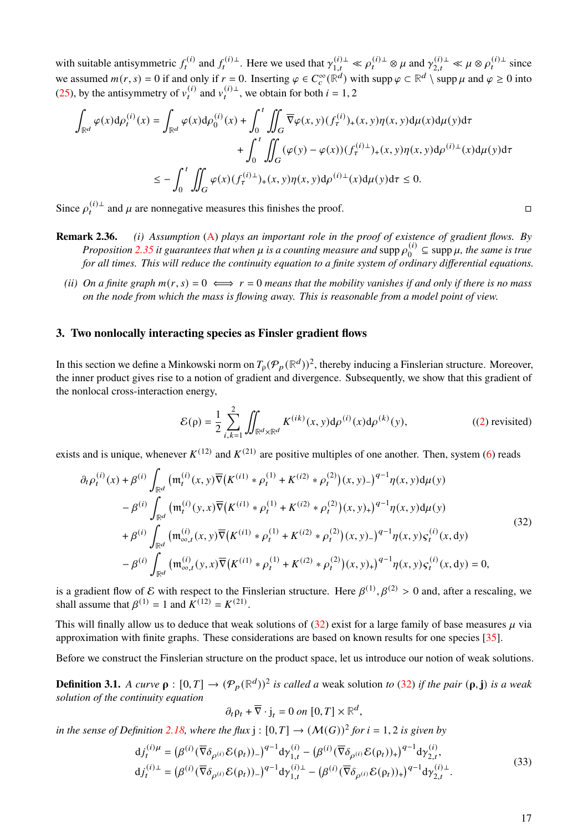with suitable antisymmetric  $f_t^{(i)}$  and  $f_t^{(i)\perp}$ . Here we used that  $\gamma_{1,t}^{(i)\perp} \ll \rho_t^{(i)\perp} \otimes \mu$  and  $\gamma_{2,t}^{(i)\perp} \ll \mu \otimes \rho_t^{(i)\perp}$  since we assumed  $m(r, s) = 0$  if and only if  $r = 0$ . Inserting  $\varphi \in C_c^{\infty}(\mathbb{R}^d)$  with supp  $\varphi \subset \mathbb{R}^d \setminus \operatorname{supp} \mu$  and  $\varphi \ge 0$  into [\(25\)](#page-10-2), by the antisymmetry of  $v_t^{(i)}$  and  $v_t^{(i)}$ , we obtain for both  $i = 1, 2$ 

$$
\int_{\mathbb{R}^d} \varphi(x) d\rho_t^{(i)}(x) = \int_{\mathbb{R}^d} \varphi(x) d\rho_0^{(i)}(x) + \int_0^t \iint_G \overline{\nabla} \varphi(x, y) (f_\tau^{(i)})_+(x, y) \eta(x, y) d\mu(x) d\mu(y) d\tau \n+ \int_0^t \iint_G (\varphi(y) - \varphi(x)) (f_\tau^{(i)\perp})_+(x, y) \eta(x, y) d\rho^{(i)\perp}(x) d\mu(y) d\tau \n\leq - \int_0^t \iint_G \varphi(x) (f_\tau^{(i)\perp})_+(x, y) \eta(x, y) d\rho^{(i)\perp}(x) d\mu(y) d\tau \leq 0.
$$

Since  $\rho_t^{(i)\perp}$  and  $\mu$  are nonnegative measures this finishes the proof.

- **Remark 2.36.** *(i) Assumption* [\(A\)](#page-15-1) *plays an important role in the proof of existence of gradient flows. By Proposition* [2.35](#page-15-2) *it guarantees that when*  $\mu$  *is a counting measure and* supp  $\rho_0^{(i)}$  $v_0^{(i)} \subseteq \text{supp }\mu$ , the same is true *for all times. This will reduce the continuity equation to a finite system of ordinary differential equations.*
	- *(ii) On a finite graph*  $m(r, s) = 0 \iff r = 0$  *means that the mobility vanishes if and only if there is no mass on the node from which the mass is flowing away. This is reasonable from a model point of view.*

# <span id="page-16-0"></span>**3. Two nonlocally interacting species as Finsler gradient flows**

In this section we define a Minkowski norm on  $T_p(\mathcal{P}_p(\mathbb{R}^d))^2$ , thereby inducing a Finslerian structure. Moreover, the inner product gives rise to a notion of gradient and divergence. Subsequently, we show that this gradient of the nonlocal cross-interaction energy,

<span id="page-16-1"></span>
$$
\mathcal{E}(\rho) = \frac{1}{2} \sum_{i,k=1}^{2} \iint_{\mathbb{R}^d \times \mathbb{R}^d} K^{(ik)}(x, y) d\rho^{(i)}(x) d\rho^{(k)}(y), \tag{2) revisited}
$$

exists and is unique, whenever  $K^{(12)}$  and  $K^{(21)}$  are positive multiples of one another. Then, system [\(6\)](#page-3-5) reads

$$
\partial_t \rho_t^{(i)}(x) + \beta^{(i)} \int_{\mathbb{R}^d} \left( \mathfrak{m}_t^{(i)}(x, y) \overline{\nabla} \left( K^{(i1)} * \rho_t^{(1)} + K^{(i2)} * \rho_t^{(2)} \right) (x, y) - \right)^{q-1} \eta(x, y) d\mu(y) \n- \beta^{(i)} \int_{\mathbb{R}^d} \left( \mathfrak{m}_t^{(i)}(y, x) \overline{\nabla} \left( K^{(i1)} * \rho_t^{(1)} + K^{(i2)} * \rho_t^{(2)} \right) (x, y) + \right)^{q-1} \eta(x, y) d\mu(y) \n+ \beta^{(i)} \int_{\mathbb{R}^d} \left( \mathfrak{m}_{\infty, t}^{(i)}(x, y) \overline{\nabla} \left( K^{(i1)} * \rho_t^{(1)} + K^{(i2)} * \rho_t^{(2)} \right) (x, y) - \right)^{q-1} \eta(x, y) \varsigma_t^{(i)}(x, dy) \n- \beta^{(i)} \int_{\mathbb{R}^d} \left( \mathfrak{m}_{\infty, t}^{(i)}(y, x) \overline{\nabla} \left( K^{(i1)} * \rho_t^{(1)} + K^{(i2)} * \rho_t^{(2)} \right) (x, y) + \right)^{q-1} \eta(x, y) \varsigma_t^{(i)}(x, dy) = 0,
$$
\n(32)

is a gradient flow of E with respect to the Finslerian structure. Here  $\beta^{(1)}, \beta^{(2)} > 0$  and, after a rescaling, we shall assume that  $\beta^{(1)} = 1$  and  $K^{(12)} = K^{(21)}$ .

This will finally allow us to deduce that weak solutions of  $(32)$  exist for a large family of base measures  $\mu$  via approximation with finite graphs. These considerations are based on known results for one species [\[35\]](#page-36-10).

Before we construct the Finslerian structure on the product space, let us introduce our notion of weak solutions.

<span id="page-16-2"></span>**Definition 3.1.** A curve  $\rho : [0, T] \to (\mathcal{P}_p(\mathbb{R}^d))^2$  is called a weak solution to [\(32\)](#page-16-1) if the pair  $(\rho, \mathbf{j})$  is a weak *solution of the continuity equation*

$$
\partial_t \rho_t + \overline{\nabla} \cdot \mathbf{j}_t = 0 \text{ on } [0, T] \times \mathbb{R}^d,
$$

*in the sense of Definition [2.18,](#page-10-4) where the flux*  $j : [0, T] \rightarrow (\mathcal{M}(G))^2$  *for*  $i = 1, 2$  *is given by* 

<span id="page-16-3"></span>
$$
d j_t^{(i)\mu} = (\beta^{(i)} (\overline{\nabla} \delta_{\rho^{(i)}} \mathcal{E}(\rho_t))_{-})^{q-1} d \gamma_{1,t}^{(i)} - (\beta^{(i)} (\overline{\nabla} \delta_{\rho^{(i)}} \mathcal{E}(\rho_t))_{+})^{q-1} d \gamma_{2,t}^{(i)},
$$
  
\n
$$
d j_t^{(i)\perp} = (\beta^{(i)} (\overline{\nabla} \delta_{\rho^{(i)}} \mathcal{E}(\rho_t))_{-})^{q-1} d \gamma_{1,t}^{(i)\perp} - (\beta^{(i)} (\overline{\nabla} \delta_{\rho^{(i)}} \mathcal{E}(\rho_t))_{+})^{q-1} d \gamma_{2,t}^{(i)\perp}.
$$
\n(33)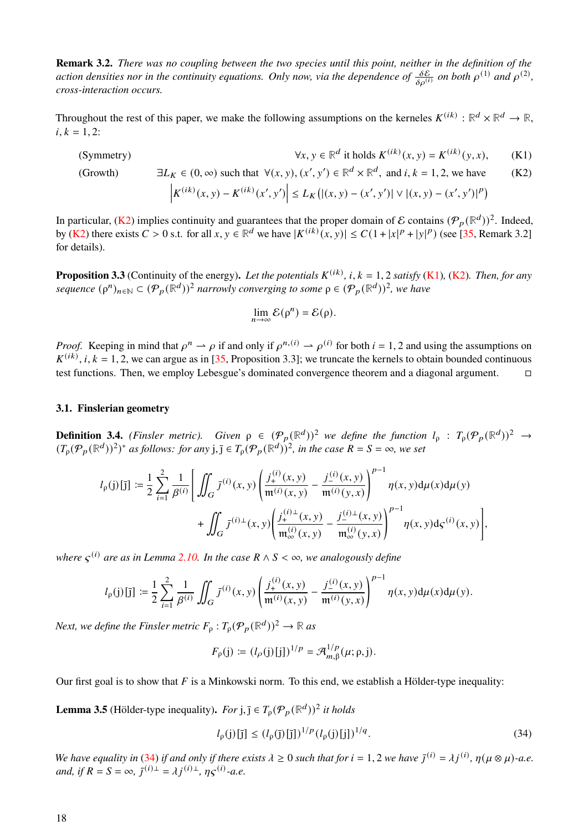**Remark 3.2.** *There was no coupling between the two species until this point, neither in the definition of the* action densities nor in the continuity equations. Only now, via the dependence of  $\frac{\delta E}{\delta \rho^{(i)}}$  on both  $\rho^{(1)}$  and  $\rho^{(2)}$ , *cross-interaction occurs.*

Throughout the rest of this paper, we make the following assumptions on the kerneles  $K^{(ik)}$ :  $\mathbb{R}^d \times \mathbb{R}^d \to \mathbb{R}$ ,  $i, k = 1, 2$ :

(Symmetry) <sup>d</sup> it holds  $K^{(ik)}(x, y) = K^{(ik)}(y, x)$ , (K1)

(Growth)  $\exists L_K \in (0, \infty)$  such that  $\forall (x, y), (x', y') \in \mathbb{R}^d \times \mathbb{R}^d$ , and *i*, *k* = 1, 2, we have (K2)

$$
\left| K^{(ik)}(x, y) - K^{(ik)}(x', y') \right| \le L_K \left( |(x, y) - (x', y')| \vee |(x, y) - (x', y')|^p \right)
$$

In particular, [\(K2\)](#page-17-0) implies continuity and guarantees that the proper domain of E contains  $(\mathcal{P}_p(\mathbb{R}^d))^2$ . Indeed, by [\(K2\)](#page-17-0) there exists  $C > 0$  s.t. for all  $x, y \in \mathbb{R}^d$  we have  $|K^{(ik)}(x, y)| \leq C(1 + |x|^p + |y|^p)$  (see [\[35,](#page-36-10) Remark 3.2] for details).

<span id="page-17-4"></span>**Proposition 3.3** (Continuity of the energy). Let the potentials  $K^{(ik)}$ , i,  $k = 1, 2$  *satisfy* [\(K1\)](#page-17-1), [\(K2\)](#page-17-0). Then, for any *sequence*  $(\rho^n)_{n \in \mathbb{N}} \subset (\mathcal{P}_p(\mathbb{R}^d))^2$  *narrowly converging to some*  $\rho \in (\mathcal{P}_p(\mathbb{R}^d))^2$ *, we have* 

<span id="page-17-1"></span><span id="page-17-0"></span>
$$
\lim_{n\to\infty}\mathcal{E}(\rho^n)=\mathcal{E}(\rho).
$$

*Proof.* Keeping in mind that  $\rho^n \to \rho$  if and only if  $\rho^{n,(i)} \to \rho^{(i)}$  for both  $i = 1, 2$  and using the assumptions on  $K^{(ik)}$ ,  $i, k = 1, 2$ , we can argue as in [\[35,](#page-36-10) Proposition 3.3]; we truncate the kernels to obtain bounded continuous test functions. Then, we employ Lebesgue's dominated convergence theorem and a diagonal argument.

# **3.1. Finslerian geometry**

**Definition 3.4.** *(Finsler metric).* Given  $\rho \in (\mathcal{P}_p(\mathbb{R}^d))^2$  we define the function  $l_\rho : T_\rho(\mathcal{P}_p(\mathbb{R}^d))^2 \to$  $(T_p(\mathcal{P}_p(\mathbb{R}^d))^2)^*$  *as follows: for any*  $j, \overline{j} \in T_p(\mathcal{P}_p(\mathbb{R}^d))^2$ *, in the case*  $R = S = \infty$ *, we set* 

$$
l_{\rho}(j)[j] := \frac{1}{2} \sum_{i=1}^{2} \frac{1}{\beta^{(i)}} \Bigg[ \iint_{G} \overline{f}^{(i)}(x, y) \left( \frac{j_{+}^{(i)}(x, y)}{\mathfrak{m}^{(i)}(x, y)} - \frac{j_{-}^{(i)}(x, y)}{\mathfrak{m}^{(i)}(y, x)} \right)^{p-1} \eta(x, y) d\mu(x) d\mu(y) + \iint_{G} \overline{f}^{(i)\perp}(x, y) \Bigg( \frac{j_{+}^{(i)\perp}(x, y)}{\mathfrak{m}_{\infty}^{(i)}(x, y)} - \frac{j_{-}^{(i)\perp}(x, y)}{\mathfrak{m}_{\infty}^{(i)}(y, x)} \Bigg)^{p-1} \eta(x, y) d\varsigma^{(i)}(x, y) \Bigg],
$$

where  $\varsigma^{(i)}$  are as in Lemma [2.10.](#page-6-6) In the case  $R \wedge S < \infty$ , we analogously define

$$
l_{\rho}(j)[\bar{j}] := \frac{1}{2} \sum_{i=1}^{2} \frac{1}{\beta^{(i)}} \iint_{G} \bar{J}^{(i)}(x,y) \left( \frac{j_{+}^{(i)}(x,y)}{\mathfrak{m}^{(i)}(x,y)} - \frac{j_{-}^{(i)}(x,y)}{\mathfrak{m}^{(i)}(y,x)} \right)^{p-1} \eta(x,y) d\mu(x) d\mu(y).
$$

*Next, we define the Finsler metric*  $F_{\rho}: T_{\rho}(\mathcal{P}_p(\mathbb{R}^d))^2 \to \mathbb{R}$  *as* 

$$
F_{\rho}(\mathbf{j})\coloneqq (l_{\rho}(\mathbf{j})[\mathbf{j}])^{1/p}=\mathcal{A}_{m,\beta}^{1/p}(\mu;\rho,\mathbf{j}).
$$

Our first goal is to show that  $F$  is a Minkowski norm. To this end, we establish a Hölder-type inequality:

<span id="page-17-3"></span>**Lemma 3.5** (Hölder-type inequality). *For*  $j$ ,  $\overline{j} \in T_\rho(\mathcal{P}_p(\mathbb{R}^d))^2$  *it holds* 

<span id="page-17-2"></span>
$$
l_{\rho}(j)[\bar{j}] \le (l_{\rho}(\bar{j})[\bar{j}])^{1/p} (l_{\rho}(j)[j])^{1/q}.
$$
\n(34)

*We have equality in* [\(34\)](#page-17-2) *if and only if there exists*  $\lambda \geq 0$  *such that for*  $i = 1, 2$  *we have*  $\bar{j}^{(i)} = \lambda j^{(i)}$ ,  $\eta(\mu \otimes \mu)$ -*a.e. and, if*  $R = S = \infty$ ,  $\bar{J}^{(i)\perp} = \lambda j^{(i)\perp}$ ,  $\eta S^{(i)}$ -*a.e.*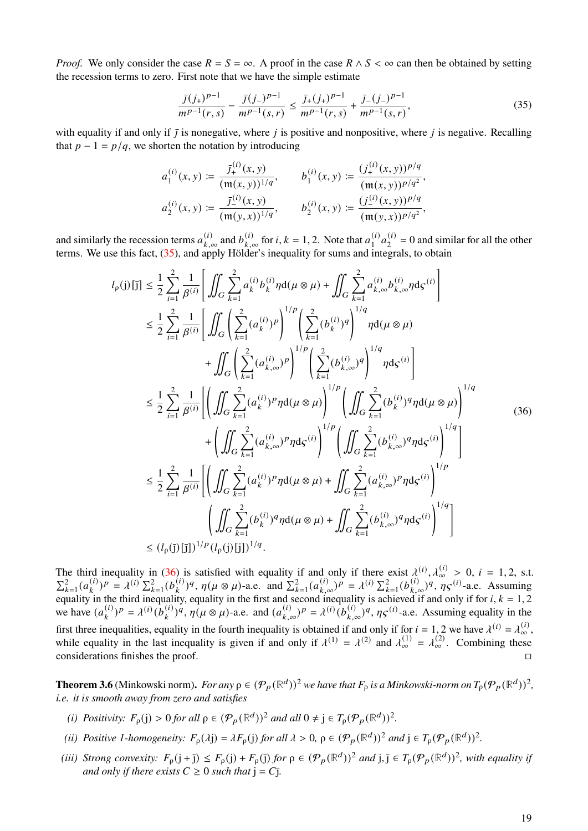*Proof.* We only consider the case  $R = S = \infty$ . A proof in the case  $R \wedge S < \infty$  can then be obtained by setting the recession terms to zero. First note that we have the simple estimate

<span id="page-18-0"></span>
$$
\frac{\bar{J}(j_+)^{p-1}}{m^{p-1}(r,s)} - \frac{\bar{J}(j_-)^{p-1}}{m^{p-1}(s,r)} \le \frac{\bar{J}_+(j_+)^{p-1}}{m^{p-1}(r,s)} + \frac{\bar{J}_-(j_-)^{p-1}}{m^{p-1}(s,r)},\tag{35}
$$

with equality if and only if  $\bar{I}$  is nonegative, where *i* is positive and nonpositive, where *i* is negative. Recalling that  $p - 1 = p/q$ , we shorten the notation by introducing

$$
a_1^{(i)}(x,y) := \frac{\overline{J}_+^{(i)}(x,y)}{(\mathfrak{m}(x,y))^{1/q}}, \qquad b_1^{(i)}(x,y) := \frac{(\overline{J}_+^{(i)}(x,y))^{p/q}}{(\mathfrak{m}(x,y))^{p/q^2}},
$$
  

$$
a_2^{(i)}(x,y) := \frac{\overline{J}_-^{(i)}(x,y)}{(\mathfrak{m}(y,x))^{1/q}}, \qquad b_2^{(i)}(x,y) := \frac{(\overline{J}_-^{(i)}(x,y))^{p/q}}{(\mathfrak{m}(y,x))^{p/q^2}},
$$

and similarly the recession terms  $a_k^{(i)}$  $_{k,\infty}^{(i)}$  and  $b_{k,\infty}^{(i)}$  $_{k,\infty}^{(i)}$  for *i*, *k* = 1, 2. Note that  $a_1^{(i)}$  $\binom{i}{1}a_2^{(i)}$  $2^{(1)}$  = 0 and similar for all the other terms. We use this fact, [\(35\)](#page-18-0), and apply Hölder's inequality for sums and integrals, to obtain

<span id="page-18-1"></span>
$$
l_{\rho}(j)[j] \leq \frac{1}{2} \sum_{i=1}^{2} \frac{1}{\beta^{(i)}} \Bigg[ \iint_{G} \sum_{k=1}^{2} a_{k}^{(i)} b_{k}^{(i)} \eta d(\mu \otimes \mu) + \iint_{G} \sum_{k=1}^{2} a_{k,\infty}^{(i)} b_{k,\infty}^{(i)} \eta dS^{(i)} \Bigg]
$$
  
\n
$$
\leq \frac{1}{2} \sum_{i=1}^{2} \frac{1}{\beta^{(i)}} \Bigg[ \iint_{G} \Big( \sum_{k=1}^{2} (a_{k}^{(i)})^{p} \Big)^{1/p} \Big( \sum_{k=1}^{2} (b_{k}^{(i)})^{q} \Big)^{1/q} \eta d(\mu \otimes \mu)
$$
  
\n
$$
+ \iint_{G} \Big( \sum_{k=1}^{2} (a_{k,\infty}^{(i)})^{p} \Bigg)^{1/p} \Big( \sum_{k=1}^{2} (b_{k,\infty}^{(i)})^{q} \Bigg)^{1/q} \eta dS^{(i)} \Bigg]
$$
  
\n
$$
\leq \frac{1}{2} \sum_{i=1}^{2} \frac{1}{\beta^{(i)}} \Bigg[ \Bigg( \iint_{G} \sum_{k=1}^{2} (a_{k}^{(i)})^{p} \eta d(\mu \otimes \mu) \Bigg)^{1/p} \Bigg( \iint_{G} \sum_{k=1}^{2} (b_{k}^{(i)})^{q} \eta d(\mu \otimes \mu) \Bigg)^{1/q} + \Bigg( \iint_{G} \sum_{k=1}^{2} (a_{k,\infty}^{(i)})^{p} \eta dS^{(i)} \Bigg)^{1/p} \Bigg( \iint_{G} \sum_{k=1}^{2} (b_{k,\infty}^{(i)})^{q} \eta dS^{(i)} \Bigg)^{1/q} \Bigg]
$$
  
\n
$$
\leq \frac{1}{2} \sum_{i=1}^{2} \frac{1}{\beta^{(i)}} \Bigg[ \Bigg( \iint_{G} \sum_{k=1}^{2} (a_{k}^{(i)})^{p} \eta d(\mu \otimes \mu) + \iint_{G} \sum_{k=1}^{2} (a_{k,\infty}^{(i)})^{p} \eta dS^{(i)} \Bigg)^{1/p} \Bigg
$$

The third inequality in [\(36\)](#page-18-1) is satisfied with equality if and only if there exist  $\lambda^{(i)}$ ,  $\lambda^{(i)}_{\infty} > 0$ ,  $i = 1, 2$ , s.t.  $\sum_{k=1}^{2} (a_k^{(i)}$  $\binom{i}{k}$  $P = \lambda^{(i)} \sum_{k=1}^{2} (b_k^{(i)})$  $\chi_k^{(i)}$ )<sup>*q*</sup>,  $\eta(\mu \otimes \mu)$ -a.e. and  $\sum_{k=1}^{2} (a_{k,\mu}^{(i)})$  $(\lambda_{k,\infty}^{(i)})^p = \lambda^{(i)} \sum_{k=1}^2 (b_{k,\infty}^{(i)})^p$  $_{k,\infty}^{(i)}$ )<sup>q</sup>,  $\eta \zeta^{(i)}$ -a.e. Assuming equality in the third inequality, equality in the first and second inequality is achieved if and only if for  $i, k = 1, 2$ we have  $(a_k^{(i)})$  $\lambda_k^{(i)}$ ) $P = \lambda^{(i)} \left( b_k^{(i)} \right)$  $\int_{k}^{(i)}$ ) $\frac{q}{n}$ ,  $\eta(\mu \otimes \mu)$ -a.e. and  $(a_{k,\mu}^{(i)})$  $(k, \infty)P = \lambda^{(i)}(b_{k,0}^{(i)})$  $_{k,\infty}^{(i)}$ )<sup>*q*</sup>,  $\eta \mathcal{S}^{(i)}$ -a.e. Assuming equality in the first three inequalities, equality in the fourth inequality is obtained if and only if for  $i = 1, 2$  we have  $\lambda^{(i)} = \lambda^{(i)}_{\infty}$ , while equality in the last inequality is given if and only if  $\lambda^{(1)} = \lambda^{(2)}$  and  $\lambda^{(1)}_{\infty} = \lambda^{(2)}_{\infty}$ . Combining these considerations finishes the proof.

**Theorem 3.6** (Minkowski norm). For any  $\rho \in (\mathcal{P}_p(\mathbb{R}^d))^2$  we have that  $F_\rho$  is a Minkowski-norm on  $T_\rho(\mathcal{P}_p(\mathbb{R}^d))^2$ , *i.e. it is smooth away from zero and satisfies*

- *(i) Positivity:*  $F_{\rho}(j) > 0$  *for all*  $\rho \in (\mathcal{P}_p(\mathbb{R}^d))^2$  *and all*  $0 \neq j \in T_{\rho}(\mathcal{P}_p(\mathbb{R}^d))^2$ .
- *(ii) Positive 1-homogeneity:*  $F_{\rho}(\lambda j) = \lambda F_{\rho}(j)$  *for all*  $\lambda > 0$ ,  $\rho \in (\mathcal{P}_p(\mathbb{R}^d))^2$  *and*  $j \in T_{\rho}(\mathcal{P}_p(\mathbb{R}^d))^2$ .
- (*iii*) *Strong convexity:*  $F_{\rho}(j + \bar{j}) \leq F_{\rho}(j) + F_{\rho}(j)$  *for*  $\rho \in (\mathcal{P}_p(\mathbb{R}^d))^2$  *and*  $j, \bar{j} \in T_{\rho}(\mathcal{P}_p(\mathbb{R}^d))^2$ *, with equality if and only if there exists* ≥ 0 *such that* j = ¯*.*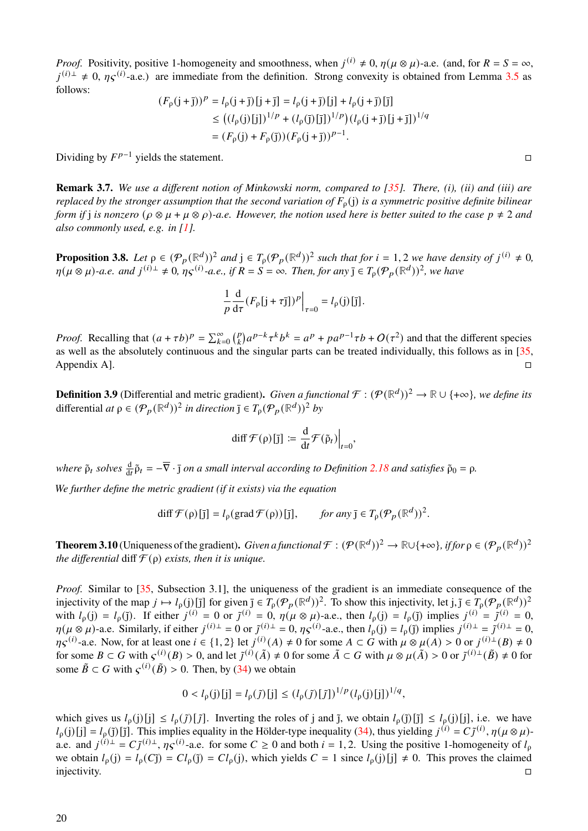*Proof.* Positivity, positive 1-homogeneity and smoothness, when  $j^{(i)} \neq 0$ ,  $\eta(\mu \otimes \mu)$ -a.e. (and, for  $R = S = \infty$ ,  $j^{(i)\perp} \neq 0$ ,  $\eta \zeta^{(i)}$ -a.e.) are immediate from the definition. Strong convexity is obtained from Lemma [3.5](#page-17-3) as follows:

$$
(F_{\rho}(j+j))^p = l_{\rho}(j+j)[j+j] = l_{\rho}(j+j)[j] + l_{\rho}(j+j)[j]
$$
  
\n
$$
\leq ((l_{\rho}(j)[j])^{1/p} + (l_{\rho}(j)[j])^{1/p})(l_{\rho}(j+j)[j+j])^{1/q}
$$
  
\n
$$
= (F_{\rho}(j) + F_{\rho}(j))(F_{\rho}(j+j))^{p-1}.
$$

Dividing by  $F^{p-1}$  yields the statement.

**Remark 3.7.** *We use a different notion of Minkowski norm, compared to [\[35\]](#page-36-10). There, (i), (ii) and (iii) are replaced by the stronger assumption that the second variation of*  $F_0$ (j) *is a symmetric positive definite bilinear form if j is nonzero*  $(\rho \otimes \mu + \mu \otimes \rho)$ -*a.e. However, the notion used here is better suited to the case*  $p \neq 2$  *and also commonly used, e.g. in [\[1\]](#page-34-7).*

<span id="page-19-0"></span>**Proposition 3.8.** Let  $\rho \in (\mathcal{P}_p(\mathbb{R}^d))^2$  and  $j \in T_\rho(\mathcal{P}_p(\mathbb{R}^d))^2$  such that for  $i = 1, 2$  we have density of  $j^{(i)} \neq 0$ ,  $\eta(\mu \otimes \mu)$ -a.e. and  $j^{(i)}$   $\pm$  0,  $\eta \varsigma^{(i)}$ -a.e., if  $R = S = \infty$ . Then, for any  $\overline{\jmath} \in T_{\rho}(\mathcal{P}_p(\mathbb{R}^d))^2$ , we have

$$
\frac{1}{p}\frac{d}{d\tau}\big(F_{\rho}[j+\tau\bar{j}]\big)^p\Big|_{\tau=0}=l_{\rho}(j)[\bar{j}].
$$

*Proof.* Recalling that  $(a + \tau b)^p = \sum_{k=0}^{\infty} {p \choose k} a^{p-k} \tau^k b^k = a^p + pa^{p-1} \tau b + O(\tau^2)$  and that the different species as well as the absolutely continuous and the singular parts can be treated individually, this follows as in [\[35,](#page-36-10) Appendix A].

<span id="page-19-2"></span>**Definition 3.9** (Differential and metric gradient). *Given a functional*  $\mathcal{F}: (\mathcal{P}(\mathbb{R}^d))^2 \to \mathbb{R} \cup \{+\infty\}$ *, we define its* differential *at*  $\rho \in (\mathcal{P}_p(\mathbb{R}^d))^2$  *in direction*  $\bar{\mathbf{j}} \in T_p(\mathcal{P}_p(\mathbb{R}^d))^2$  *by* 

$$
\mathrm{diff}\,\mathcal{F}(\rho)[\bar{\jmath}]\,\coloneqq\frac{\mathrm{d}}{\mathrm{d}t}\mathcal{F}(\tilde{\rho}_t)\Big|_{t=0},
$$

 $\omega$ *khere*  $\tilde{\rho}_t$  *solves*  $\frac{d}{dt}\tilde{\rho}_t = -\overline{\nabla} \cdot \overline{j}$  *on a small interval according to Definition* [2.18](#page-10-4) *and satisfies*  $\tilde{\rho}_0 = \rho$ . *We further define the metric gradient (if it exists) via the equation*

diff 
$$
\mathcal{F}(\rho)[j] = l_{\rho}(\text{grad } \mathcal{F}(\rho))[j], \text{ for any } j \in T_{\rho}(\mathcal{P}_p(\mathbb{R}^d))^2.
$$

<span id="page-19-1"></span>**Theorem 3.10** (Uniqueness of the gradient). *Given a functional*  $\mathcal{F}: (\mathcal{P}(\mathbb{R}^d))^2 \to \mathbb{R} \cup \{+\infty\}$ , if for  $\rho \in (\mathcal{P}_p(\mathbb{R}^d))^2$ *the differential* diff  $\mathcal{F}(\rho)$  *exists, then it is unique.* 

*Proof.* Similar to [\[35,](#page-36-10) Subsection 3.1], the uniqueness of the gradient is an immediate consequence of the injectivity of the map  $j \mapsto l_{\rho}(j) [\bar{\jmath}]$  for given  $\bar{\jmath} \in T_{\rho}(\mathcal{P}_p(\mathbb{R}^d))^2$ . To show this injectivity, let  $j, \tilde{\jmath} \in T_{\rho}(\mathcal{P}_p(\mathbb{R}^d))^2$ with  $l_p(j) = l_p(j)$ . If either  $j^{(i)} = 0$  or  $\tilde{j}^{(i)} = 0$ ,  $\eta(\mu \otimes \mu)$ -a.e., then  $l_p(j) = l_p(j)$  implies  $j^{(i)} = \tilde{j}^{(i)} = 0$ ,  $\eta(\mu \otimes \mu)$ -a.e. Similarly, if either  $j^{(i)} = 0$  or  $\tilde{j}^{(i)} = 0$ ,  $\eta \varsigma^{(i)}$ -a.e., then  $l_{\rho}(j) = l_{\rho}(j)$  implies  $j^{(i)} = \tilde{j}^{(i)} = 0$ ,  $\eta \zeta^{(i)}$ -a.e. Now, for at least one  $i \in \{1,2\}$  let  $j^{(i)}(A) \neq 0$  for some  $A \subset G$  with  $\mu \otimes \mu(A) > 0$  or  $j^{(i)}(B) \neq 0$ for some  $B \subset G$  with  $\varsigma^{(i)}(B) > 0$ , and let  $\tilde{\jmath}^{(i)}(\tilde{A}) \neq 0$  for some  $\tilde{A} \subset G$  with  $\mu \otimes \mu(\tilde{A}) > 0$  or  $\tilde{\jmath}^{(i)}(\tilde{B}) \neq 0$  for some  $\tilde{B} \subset G$  with  $\varsigma^{(i)}(\tilde{B}) > 0$ . Then, by [\(34\)](#page-17-2) we obtain

$$
0 < l_{\rho}(j)[j] = l_{\rho}(\tilde{j})[j] \le (l_{\rho}(\tilde{j})[\tilde{j}])^{1/p} (l_{\rho}(j)[j])^{1/q},
$$

which gives us  $l_0(j)[j] \leq l_0(j)[\tilde{j}]$ . Inverting the roles of j and  $\tilde{j}$ , we obtain  $l_0(\tilde{j})[\tilde{j}] \leq l_0(j)[j]$ , i.e. we have  $l_p(j) [j] = l_p(j) [j]$ . This implies equality in the Hölder-type inequality [\(34\)](#page-17-2), thus yielding  $j^{(i)} = Cj^{(i)}$ ,  $\eta(\mu \otimes \mu)$ a.e. and  $j^{(i)} = C\tilde{j}^{(i)}$ ,  $\eta \tilde{s}^{(i)}$ -a.e. for some  $C \ge 0$  and both  $i = 1, 2$ . Using the positive 1-homogeneity of  $l_p$ we obtain  $l_0(i) = l_0(C_i^*) = Cl_0(i)$ , which yields  $C = 1$  since  $l_0(i)[i] \neq 0$ . This proves the claimed injectivity.  $\Box$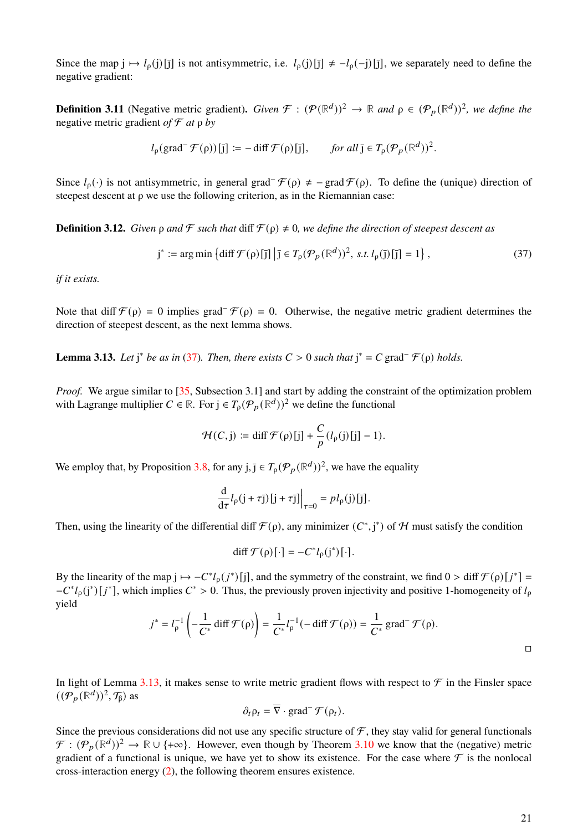Since the map  $j \mapsto l_0(j)[\overline{j}]$  is not antisymmetric, i.e.  $l_0(j)[\overline{j}] \neq -l_0(-j)[\overline{j}]$ , we separately need to define the negative gradient:

**Definition 3.11** (Negative metric gradient). *Given*  $\mathcal{F}: (\mathcal{P}(\mathbb{R}^d))^2 \to \mathbb{R}$  and  $\rho \in (\mathcal{P}_p(\mathbb{R}^d))^2$ , we define the negative metric gradient *of* F *at* ρ *by*

$$
l_\rho(\text{grad}^-\mathcal{F}(\rho))[\bar{\mathbf{j}}] := -\operatorname{diff}\mathcal{F}(\rho)[\bar{\mathbf{j}}], \quad \text{for all } \bar{\mathbf{j}} \in T_\rho(\mathcal{P}_p(\mathbb{R}^d))^2.
$$

Since  $l_0(\cdot)$  is not antisymmetric, in general grad<sup>-</sup>  $\mathcal{F}(\rho) \neq -\text{grad } \mathcal{F}(\rho)$ . To define the (unique) direction of steepest descent at ρ we use the following criterion, as in the Riemannian case:

**Definition 3.12.** *Given*  $\rho$  *and*  $\mathcal F$  *such that* diff  $\mathcal F(\rho) \neq 0$ *, we define the direction of steepest descent as* 

<span id="page-20-0"></span>
$$
\mathbf{j}^* := \arg\min\left\{ \mathrm{diff}\,\mathcal{F}(\rho)[\mathbf{j}] \, \left| \mathbf{j} \in T_\rho(\mathcal{P}_p(\mathbb{R}^d))^2, \, \text{s.t.} \, l_\rho(\mathbf{j})[\mathbf{j}] = 1 \right. \right\},\tag{37}
$$

*if it exists.*

Note that diff  $\mathcal{F}(\rho) = 0$  implies grad<sup>-</sup> $\mathcal{F}(\rho) = 0$ . Otherwise, the negative metric gradient determines the direction of steepest descent, as the next lemma shows.

<span id="page-20-1"></span>**Lemma 3.13.** *Let*  $j^*$  *be as in* [\(37\)](#page-20-0)*. Then, there exists*  $C > 0$  *such that*  $j^* = C$  grad<sup> $-$ </sup> $\mathcal{F}(\rho)$  *holds.* 

*Proof.* We argue similar to [\[35,](#page-36-10) Subsection 3.1] and start by adding the constraint of the optimization problem with Lagrange multiplier  $C \in \mathbb{R}$ . For  $j \in T_p(\mathcal{P}_p(\mathbb{R}^d))^2$  we define the functional

$$
\mathcal{H}(C,j) := \text{diff }\mathcal{F}(\rho)[j] + \frac{C}{p}(l_{\rho}(j)[j] - 1).
$$

We employ that, by Proposition [3.8,](#page-19-0) for any  $j, \overline{j} \in T_{\rho}(\mathcal{P}_p(\mathbb{R}^d))^2$ , we have the equality

$$
\frac{\mathrm{d}}{\mathrm{d}\tau}l_{\rho}(j+\tau\bar{j})[j+\tau\bar{j}]\bigg|_{\tau=0}=pl_{\rho}(j)[\bar{j}].
$$

Then, using the linearity of the differential diff  $\mathcal{F}(\rho)$ , any minimizer  $(C^*, j^*)$  of H must satisfy the condition

$$
\text{diff }\mathcal{F}(\rho)[\cdot] = -C^*l_{\rho}(j^*)[\cdot].
$$

By the linearity of the map  $j \mapsto -C^*l_\rho(j^*)[j]$ , and the symmetry of the constraint, we find  $0 > \text{diff } \mathcal{F}(\rho)[j^*] =$  $-C^*l_{\rho}(j^*)[j^*]$ , which implies  $C^* > 0$ . Thus, the previously proven injectivity and positive 1-homogeneity of  $l_{\rho}$ yield

$$
j^* = l_\rho^{-1}\left(-\frac{1}{C^*}\operatorname{diff}\mathcal{F}(\rho)\right) = \frac{1}{C^*}l_\rho^{-1}(-\operatorname{diff}\mathcal{F}(\rho)) = \frac{1}{C^*}\operatorname{grad}^-\mathcal{F}(\rho).
$$

In light of Lemma [3.13,](#page-20-1) it makes sense to write metric gradient flows with respect to  $\mathcal F$  in the Finsler space  $((\overline{\mathcal{P}_p}(\mathbb{R}^d))^2, \mathcal{T}_\beta)$  as

$$
\partial_t \rho_t = \overline{\nabla} \cdot \text{grad}^- \mathcal{F}(\rho_t).
$$

Since the previous considerations did not use any specific structure of  $\mathcal F$ , they stay valid for general functionals  $\mathcal{F}: (\mathcal{P}_p(\mathbb{R}^d))^2 \to \mathbb{R} \cup \{+\infty\}.$  However, even though by Theorem [3.10](#page-19-1) we know that the (negative) metric gradient of a functional is unique, we have yet to show its existence. For the case where  $\mathcal F$  is the nonlocal cross-interaction energy [\(2\)](#page-1-1), the following theorem ensures existence.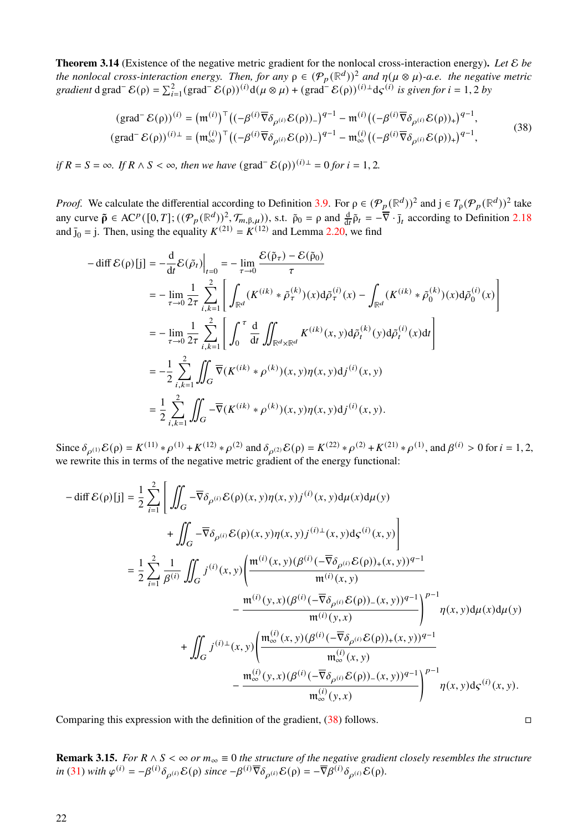<span id="page-21-1"></span>**Theorem 3.14** (Existence of the negative metric gradient for the nonlocal cross-interaction energy)**.** *Let* E *be the nonlocal cross-interaction energy. Then, for any*  $\rho \in (\mathcal{P}_p(\mathbb{R}^d))^2$  *and*  $\eta(\mu \otimes \mu)$ -a.e. the negative metric *gradient* d grad<sup>-</sup>  $\mathcal{E}(\rho) = \sum_{i=1}^{2} (grad^{-1} \mathcal{E}(\rho))^{(i)} d(\mu \otimes \mu) + (grad^{-1} \mathcal{E}(\rho))^{(i) \perp} d\varsigma^{(i)}$  *is given for*  $i = 1, 2$  *by* 

<span id="page-21-0"></span>
$$
(\text{grad}^-\mathcal{E}(\rho))^{(i)} = (\mathfrak{m}^{(i)})^{\top} ((-\beta^{(i)}\overline{\nabla}\delta_{\rho^{(i)}}\mathcal{E}(\rho))_{-})^{q-1} - \mathfrak{m}^{(i)} ((-\beta^{(i)}\overline{\nabla}\delta_{\rho^{(i)}}\mathcal{E}(\rho))_{+})^{q-1},
$$
  
\n
$$
(\text{grad}^-\mathcal{E}(\rho))^{(i)\perp} = (\mathfrak{m}_{\infty}^{(i)})^{\top} ((-\beta^{(i)}\overline{\nabla}\delta_{\rho^{(i)}}\mathcal{E}(\rho))_{-})^{q-1} - \mathfrak{m}_{\infty}^{(i)} ((-\beta^{(i)}\overline{\nabla}\delta_{\rho^{(i)}}\mathcal{E}(\rho))_{+})^{q-1},
$$
\n(38)

*if*  $R = S = \infty$ *. If*  $R \wedge S < \infty$ *, then we have* (grad<sup>-</sup>  $\mathcal{E}(\rho)$ )<sup>(*i*)⊥</sup> = 0 *for i* = 1, 2*.* 

*Proof.* We calculate the differential according to Definition [3.9.](#page-19-2) For  $\rho \in (\mathcal{P}_p(\mathbb{R}^d))^2$  and  $j \in T_\rho(\mathcal{P}_p(\mathbb{R}^d))^2$  take any curve  $\tilde{\rho} \in AC^p([0,T]; ((\mathcal{P}_p(\mathbb{R}^d))_\text{out}^2, \mathcal{T}_{m,\beta,\mu})$ , s.t.  $\tilde{\rho}_0 = \rho$  and  $\frac{d}{dt} \tilde{\rho}_t = -\overline{\nabla} \cdot \overline{\mathbf{j}}_t$  according to Definition [2.18](#page-10-4) and  $\bar{j}_0 = j$ . Then, using the equality  $K^{(21)} = K^{(12)}$  and Lemma [2.20,](#page-10-3) we find

$$
-\operatorname{diff} \mathcal{E}(\rho)[j] = -\frac{d}{dt} \mathcal{E}(\tilde{\rho}_{t})\Big|_{t=0} = -\lim_{\tau \to 0} \frac{\mathcal{E}(\tilde{\rho}_{\tau}) - \mathcal{E}(\tilde{\rho}_{0})}{\tau}
$$
  
\n
$$
= -\lim_{\tau \to 0} \frac{1}{2\tau} \sum_{i,k=1}^{2} \left[ \int_{\mathbb{R}^{d}} (K^{(ik)} * \tilde{\rho}_{\tau}^{(k)})(x) d\tilde{\rho}_{\tau}^{(i)}(x) - \int_{\mathbb{R}^{d}} (K^{(ik)} * \tilde{\rho}_{0}^{(k)})(x) d\tilde{\rho}_{0}^{(i)}(x) \right]
$$
  
\n
$$
= -\lim_{\tau \to 0} \frac{1}{2\tau} \sum_{i,k=1}^{2} \left[ \int_{0}^{\tau} \frac{d}{dt} \iint_{\mathbb{R}^{d} \times \mathbb{R}^{d}} K^{(ik)}(x, y) d\tilde{\rho}_{t}^{(k)}(y) d\tilde{\rho}_{t}^{(i)}(x) dt \right]
$$
  
\n
$$
= -\frac{1}{2} \sum_{i,k=1}^{2} \iint_{G} \overline{\nabla} (K^{(ik)} * \rho^{(k)})(x, y) \eta(x, y) d j^{(i)}(x, y)
$$
  
\n
$$
= \frac{1}{2} \sum_{i,k=1}^{2} \iint_{G} -\overline{\nabla} (K^{(ik)} * \rho^{(k)})(x, y) \eta(x, y) d j^{(i)}(x, y).
$$

Since  $\delta_{\rho^{(1)}}\mathcal{E}(\rho) = K^{(11)} * \rho^{(1)} + K^{(12)} * \rho^{(2)}$  and  $\delta_{\rho^{(2)}}\mathcal{E}(\rho) = K^{(22)} * \rho^{(2)} + K^{(21)} * \rho^{(1)}$ , and  $\beta^{(i)} > 0$  for  $i = 1, 2,$ we rewrite this in terms of the negative metric gradient of the energy functional:

$$
-\text{diff }\mathcal{E}(\rho)[j] = \frac{1}{2} \sum_{i=1}^{2} \left[ \iint_{G} -\overline{\nabla} \delta_{\rho^{(i)}} \mathcal{E}(\rho)(x, y) \eta(x, y) j^{(i)}(x, y) d\mu(x) d\mu(y) \right. \\ + \iint_{G} -\overline{\nabla} \delta_{\rho^{(i)}} \mathcal{E}(\rho)(x, y) \eta(x, y) j^{(i)}(x, y) d\varsigma^{(i)}(x, y) \right] \\ = \frac{1}{2} \sum_{i=1}^{2} \frac{1}{\beta^{(i)}} \iint_{G} j^{(i)}(x, y) \left( \frac{\mathfrak{m}^{(i)}(x, y) (\beta^{(i)}(-\overline{\nabla} \delta_{\rho^{(i)}} \mathcal{E}(\rho))_{+}(x, y))^{q-1}}{\mathfrak{m}^{(i)}(x, y)} - \frac{\mathfrak{m}^{(i)}(y, x) (\beta^{(i)}(-\overline{\nabla} \delta_{\rho^{(i)}} \mathcal{E}(\rho))_{-}(x, y))^{q-1}}{\mathfrak{m}^{(i)}(y, x)} \right)^{p-1} \eta(x, y) d\mu(x) d\mu(y) \\ + \iint_{G} j^{(i)}(x, y) \left( \frac{\mathfrak{m}^{(i)}_{\infty}(x, y) (\beta^{(i)}(-\overline{\nabla} \delta_{\rho^{(i)}} \mathcal{E}(\rho))_{+}(x, y))^{q-1}}{\mathfrak{m}^{(i)}_{\infty}(x, y)} - \frac{\mathfrak{m}^{(i)}_{\infty}(y, x) (\beta^{(i)}(-\overline{\nabla} \delta_{\rho^{(i)}} \mathcal{E}(\rho))_{-}(x, y))^{q-1}}{\mathfrak{m}^{(i)}_{\infty}(y, x)} \right)^{p-1} \eta(x, y) d\varsigma^{(i)}(x, y).
$$

Comparing this expression with the definition of the gradient,  $(38)$  follows.

**Remark 3.15.** *For*  $R \wedge S < \infty$  *or*  $m_{\infty} \equiv 0$  *the structure of the negative gradient closely resembles the structure*  $\hat{u}$  [\(31\)](#page-15-3) *with*  $\varphi^{(i)} = -\beta^{(i)}\delta_{\rho^{(i)}}\mathcal{E}(\rho)$  since  $-\beta^{(i)}\overline{\nabla}\delta_{\rho^{(i)}}\mathcal{E}(\rho) = -\overline{\nabla}\beta^{(i)}\delta_{\rho^{(i)}}\mathcal{E}(\rho)$ .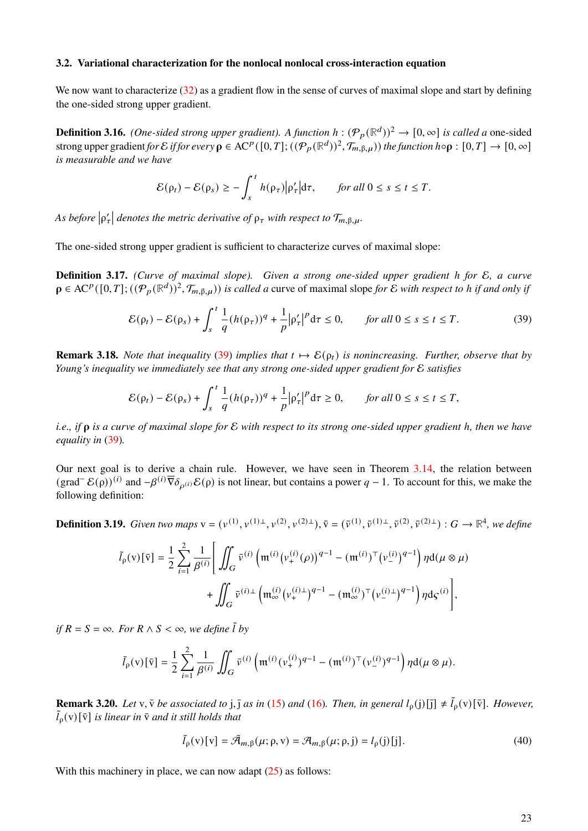## **3.2. Variational characterization for the nonlocal nonlocal cross-interaction equation**

We now want to characterize [\(32\)](#page-16-1) as a gradient flow in the sense of curves of maximal slope and start by defining the one-sided strong upper gradient.

<span id="page-22-1"></span>**Definition 3.16.** *(One-sided strong upper gradient). A function*  $h : (\mathcal{P}_p(\mathbb{R}^d))^2 \to [0, \infty]$  *is called a* one-sided strong upper gradient *for* E *if for every*  $\rho \in \mathrm{AC}^p([0,T];((\mathcal{P}_p(\mathbb{R}^d))^2,\mathcal{T}_{m,\beta,\mu}))$  *the function*  $h \circ \rho : [0,T] \to [0,\infty]$ *is measurable and we have*

$$
\mathcal{E}(\rho_t) - \mathcal{E}(\rho_s) \ge -\int_s^t h(\rho_\tau) \big| \rho_\tau' \big| \mathrm{d}\tau, \qquad \text{for all } 0 \le s \le t \le T.
$$

As before  $|\rho_\tau'|$  denotes the metric derivative of  $\rho_\tau$  with respect to  $\mathcal{T}_{m,\beta,\mu}$ .

The one-sided strong upper gradient is sufficient to characterize curves of maximal slope:

<span id="page-22-3"></span>**Definition 3.17.** *(Curve of maximal slope). Given a strong one-sided upper gradient* ℎ *for* E*, a curve*  $\rho \in A\mathbb{C}^p([0,T];((\mathcal{P}_p(\mathbb{R}^d))^2,\mathcal{T}_{m,\beta,\mu}))$  *is called a* curve of maximal slope for  $\mathcal E$  *with respect to h if and only if* 

<span id="page-22-0"></span>
$$
\mathcal{E}(\rho_t) - \mathcal{E}(\rho_s) + \int_s^t \frac{1}{q} (h(\rho_\tau))^q + \frac{1}{p} |\rho_\tau'|^p \, \mathrm{d}\tau \le 0, \qquad \text{for all } 0 \le s \le t \le T. \tag{39}
$$

<span id="page-22-4"></span>**Remark 3.18.** *Note that inequality* [\(39\)](#page-22-0) *implies that*  $t \mapsto \mathcal{E}(\rho_t)$  *is nonincreasing. Further, observe that by Young's inequality we immediately see that any strong one-sided upper gradient for* E *satisfies*

$$
\mathcal{E}(\rho_t) - \mathcal{E}(\rho_s) + \int_s^t \frac{1}{q} (h(\rho_\tau))^q + \frac{1}{p} |\rho_\tau'|^p \mathrm{d}\tau \ge 0, \qquad \text{for all } 0 \le s \le t \le T,
$$

*i.e., if is a curve of maximal slope for* E *with respect to its strong one-sided upper gradient* ℎ*, then we have equality in* [\(39\)](#page-22-0)*.*

Our next goal is to derive a chain rule. However, we have seen in Theorem [3.14,](#page-21-1) the relation between  $(\text{grad}^-\mathcal{E}(\rho))^{(i)}$  and  $-\beta^{(i)}\overline{\nabla}\delta_{\rho^{(i)}}\mathcal{E}(\rho)$  is not linear, but contains a power  $q-1$ . To account for this, we make the following definition:

**Definition 3.19.** *Given two maps*  $\mathbf{v} = (v^{(1)}, v^{(1)\perp}, v^{(2)}, v^{(2)\perp}), \overline{\mathbf{v}} = (\overline{v}^{(1)}, \overline{v}^{(1)\perp}, \overline{v}^{(2)}, \overline{v}^{(2)\perp}) : G \rightarrow \mathbb{R}^4$ , we define

$$
\tilde{l}_{\rho}(v)[\bar{v}] = \frac{1}{2} \sum_{i=1}^{2} \frac{1}{\beta^{(i)}} \Bigg[ \iint_{G} \bar{v}^{(i)} \left( \mathfrak{m}^{(i)}(v_{+}^{(i)}(\rho))^{q-1} - (\mathfrak{m}^{(i)})^{\top} (v_{-}^{(i)})^{q-1} \right) \eta d(\mu \otimes \mu) + \iint_{G} \bar{v}^{(i)\perp} \left( \mathfrak{m}_{\infty}^{(i)} (v_{+}^{(i)\perp})^{q-1} - (\mathfrak{m}_{\infty}^{(i)})^{\top} (v_{-}^{(i)\perp})^{q-1} \right) \eta d\varsigma^{(i)} \Bigg],
$$

*if*  $R = S = \infty$ *. For*  $R \wedge S < \infty$ *, we define*  $\tilde{l}$  *by* 

$$
\tilde{l}_{\rho}(v)[\bar{v}] = \frac{1}{2} \sum_{i=1}^{2} \frac{1}{\beta^{(i)}} \iint_{G} \bar{v}^{(i)} \left( \mathfrak{m}^{(i)}(v_{+}^{(i)})^{q-1} - (\mathfrak{m}^{(i)})^{\top}(v_{-}^{(i)})^{q-1} \right) \eta d(\mu \otimes \mu).
$$

**Remark 3.20.** *Let* v,  $\bar{v}$  *be associated to* j,  $\bar{j}$  *as in* [\(15\)](#page-6-2) *and* [\(16\)](#page-6-3)*. Then, in general*  $l_0(j)[\bar{j}] \neq l_0^{\bar{i}}(v)[\bar{v}]$ *. However,*  $\tilde{l}_p(v)[\bar{v}]$  *is linear in*  $\bar{v}$  *and it still holds that* 

<span id="page-22-2"></span>
$$
\tilde{l}_{\rho}(v)[v] = \tilde{\mathcal{A}}_{m,\beta}(\mu;\rho,v) = \mathcal{A}_{m,\beta}(\mu;\rho,j) = l_{\rho}(j)[j].
$$
\n(40)

With this machinery in place, we can now adapt  $(25)$  as follows: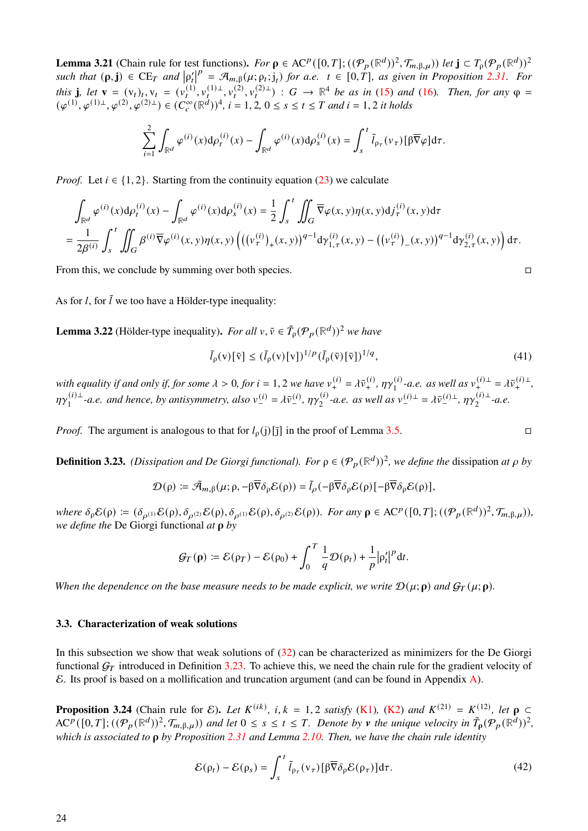**Lemma 3.21** (Chain rule for test functions). For  $\rho \in AC^p([0,T]; (({\mathcal{P}}_p({\mathbb{R}}^d))^2, {\mathcal{T}}_{m,\beta,\mu}))$  let  $\mathbf{j} \subset T_p({\mathcal{P}}_p({\mathbb{R}}^d))^2$  $\textit{such that } (\rho, \mathbf{j}) \in \text{CE}_T \text{ and } |\rho'_t|$  $\mathcal{P} = \mathcal{A}_{m,\beta}(\mu; \rho_t; j_t)$  for a.e.  $t \in [0, T]$ , as given in Proposition [2.31.](#page-14-3) For *this* **j**, let **v** =  $(v_t)_t$ ,  $v_t = (v_t^{(1)}, v_t^{(1)} + v_t^{(2)}, v_t^{(2)} + v_t^{(2)})$  :  $G \to \mathbb{R}^4$  be as in [\(15\)](#page-6-2) and [\(16\)](#page-6-3). Then, for any  $\varphi$  =  $(\varphi^{(1)}, \varphi^{(1)}), \varphi^{(2)}, \varphi^{(2)})$   $\in (C_c^{\infty}(\mathbb{R}^d))^4$ ,  $i = 1, 2, 0 \le s \le t \le T$  and  $i = 1, 2$  it holds

$$
\sum_{i=1}^2 \int_{\mathbb{R}^d} \varphi^{(i)}(x) d\rho_t^{(i)}(x) - \int_{\mathbb{R}^d} \varphi^{(i)}(x) d\rho_s^{(i)}(x) = \int_s^t \tilde{l}_{\rho_\tau}(\nu_\tau) [\beta \overline{\nabla} \varphi] d\tau.
$$

*Proof.* Let  $i \in \{1, 2\}$ . Starting from the continuity equation [\(23\)](#page-10-0) we calculate

$$
\int_{\mathbb{R}^d} \varphi^{(i)}(x) d\rho_t^{(i)}(x) - \int_{\mathbb{R}^d} \varphi^{(i)}(x) d\rho_s^{(i)}(x) = \frac{1}{2} \int_s^t \iint_G \overline{\nabla} \varphi(x, y) \eta(x, y) d j_\tau^{(i)}(x, y) d\tau \n= \frac{1}{2\beta^{(i)}} \int_s^t \iint_G \beta^{(i)} \overline{\nabla} \varphi^{(i)}(x, y) \eta(x, y) \left( \left( (\nu_\tau^{(i)})_+(x, y) \right)^{q-1} d\gamma_{1, \tau}^{(i)}(x, y) - \left( (\nu_\tau^{(i)})_-(x, y) \right)^{q-1} d\gamma_{2, \tau}^{(i)}(x, y) \right) d\tau.
$$

From this, we conclude by summing over both species.

As for *l*, for  $\tilde{l}$  we too have a Hölder-type inequality:

<span id="page-23-3"></span>**Lemma 3.22** (Hölder-type inequality). *For all*  $v, \bar{v} \in \tilde{T}_{\rho}(\mathcal{P}_p(\mathbb{R}^d))^2$  *we have* 

<span id="page-23-4"></span>
$$
\tilde{l}_{\rho}(\mathbf{v})[\bar{\mathbf{v}}] \leq (\tilde{l}_{\rho}(\mathbf{v})[\mathbf{v}])^{1/p} (\tilde{l}_{\rho}(\bar{\mathbf{v}})[\bar{\mathbf{v}}])^{1/q},\tag{41}
$$

with equality if and only if, for some  $\lambda > 0$ , for  $i = 1, 2$  we have  $v^{(i)}_{+} = \lambda \bar{v}^{(i)}_{+}$ ,  $\eta \gamma^{(i)}_{1}$  $v_1^{(i)}$ -*a.e.* as well as  $v_+^{(i)\perp} = \lambda \bar{v}_+^{(i)\perp}$ ,  $n\gamma^{(i)}$ ⊥  $\eta_1^{(i) \perp}$ -*a.e. and hence, by antisymmetry, also*  $v_{-}^{(i)} = \lambda \bar{v}_{-}^{(i)}$ ,  $\eta \gamma_2^{(i)}$  $\chi_2^{(i)}$ -*a.e. as well as*  $v_-^{(i)}$ <sup>⊥</sup> =  $\lambda \bar{v}_-^{(i)}$ <sup>⊥</sup>,  $\eta \gamma_2^{(i)}$ <sup>⊥</sup>  $a^{(i)}_{2}$ <sup>-</sup> $a.e.$ 

*Proof.* The argument is analogous to that for  $l_0(j)[\overline{j}]$  in the proof of Lemma [3.5.](#page-17-3)

<span id="page-23-0"></span>**Definition 3.23.** *(Dissipation and De Giorgi functional). For*  $\rho \in (P_p(\mathbb{R}^d))^2$ *, we define the dissipation at*  $\rho$  *by* 

$$
\mathcal{D}(\rho) := \tilde{\mathcal{A}}_{m,\beta}(\mu;\rho,-\beta \overline{\nabla} \delta_{\rho} \mathcal{E}(\rho)) = \tilde{l}_{\rho}(-\beta \overline{\nabla} \delta_{\rho} \mathcal{E}(\rho) \left[-\beta \overline{\nabla} \delta_{\rho} \mathcal{E}(\rho)\right],
$$

 $where \delta_{\rho} \mathcal{E}(\rho) \coloneqq (\delta_{\rho^{(1)}} \mathcal{E}(\rho), \delta_{\rho^{(2)}} \mathcal{E}(\rho), \delta_{\rho^{(1)}} \mathcal{E}(\rho), \delta_{\rho^{(2)}} \mathcal{E}(\rho)).$  For any  $\rho \in AC^p([0, T]; ((\mathcal{P}_p(\mathbb{R}^d))^2, \mathcal{T}_{m, \beta, \mu}))$ , *we define the* De Giorgi functional *at by*

$$
\mathcal{G}_T(\rho) := \mathcal{E}(\rho_T) - \mathcal{E}(\rho_0) + \int_0^T \frac{1}{q} \mathcal{D}(\rho_t) + \frac{1}{p} |\rho_t'|^p dt.
$$

*When the dependence on the base measure needs to be made explicit, we write*  $\mathcal{D}(\mu; \rho)$  and  $\mathcal{G}_T(\mu; \rho)$ .

### **3.3. Characterization of weak solutions**

In this subsection we show that weak solutions of [\(32\)](#page-16-1) can be characterized as minimizers for the De Giorgi functional  $G_T$  introduced in Definition [3.23.](#page-23-0) To achieve this, we need the chain rule for the gradient velocity of  $\mathcal E$ . Its proof is based on a mollification and truncation argument (and can be found in Appendix [A\)](#page-30-0).

<span id="page-23-2"></span>**Proposition 3.24** (Chain rule for  $\mathcal{E}$ ). Let  $K^{(ik)}$ , i,  $k = 1, 2$  satisfy [\(K1\)](#page-17-1), [\(K2\)](#page-17-0) and  $K^{(21)} = K^{(12)}$ , let  $\rho \subset$  $AC^p([0,T];((\mathcal{P}_p(\mathbb{R}^d))^2,\mathcal{T}_{m,\beta,\mu}))$  and let  $0 \leq s \leq t \leq T$ . Denote by **v** the unique velocity in  $\tilde{T}_p(\mathcal{P}_p(\mathbb{R}^d))^2$ , *which is associated to by Proposition [2.31](#page-14-3) and Lemma [2.10.](#page-6-6) Then, we have the chain rule identity*

<span id="page-23-1"></span>
$$
\mathcal{E}(\rho_t) - \mathcal{E}(\rho_s) = \int_s^t \tilde{l}_{\rho_\tau}(\mathbf{v}_\tau) [\beta \overline{\nabla} \delta_\rho \mathcal{E}(\rho_\tau)] d\tau.
$$
 (42)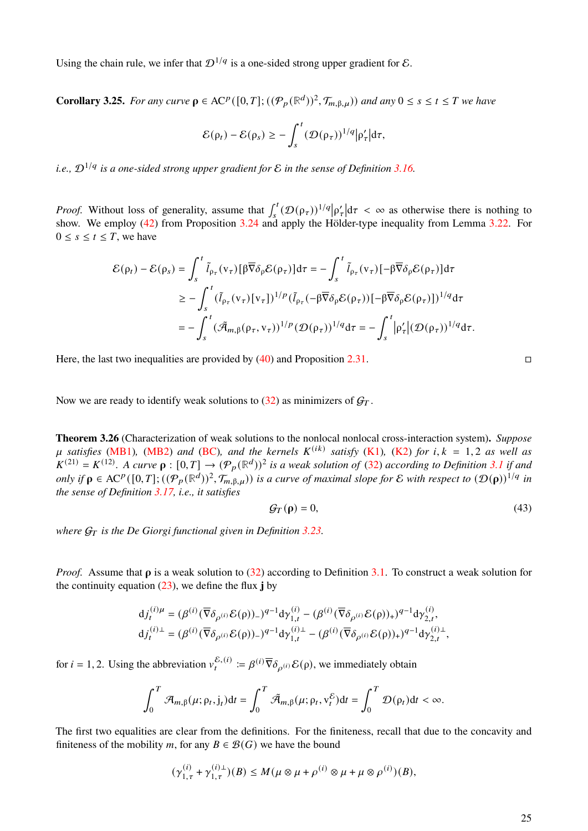Using the chain rule, we infer that  $\mathcal{D}^{1/q}$  is a one-sided strong upper gradient for  $\mathcal{E}$ .

<span id="page-24-0"></span>**Corollary 3.25.** For any curve  $\rho \in AC^p([0,T]; (({\cal P}_p(\mathbb{R}^d))^2, {\cal T}_{m,\beta,\mu}))$  and any  $0 \le s \le t \le T$  we have

$$
\mathcal{E}(\rho_t) - \mathcal{E}(\rho_s) \geq -\int_s^t (\mathcal{D}(\rho_\tau))^{1/q} |\rho_\tau'| d\tau,
$$

*i.e.,* D1/ *is a one-sided strong upper gradient for* E *in the sense of Definition [3.16.](#page-22-1)*

*Proof.* Without loss of generality, assume that  $\int_{s}^{t} (\mathcal{D}(\rho_{\tau}))^{1/q} |\rho_{\tau}'| d\tau < \infty$  as otherwise there is nothing to show. We employ [\(42\)](#page-23-1) from Proposition [3.24](#page-23-2) and apply the Hölder-type inequality from Lemma [3.22.](#page-23-3) For  $0 \leq s \leq t \leq T$ , we have

$$
\mathcal{E}(\rho_t) - \mathcal{E}(\rho_s) = \int_s^t \tilde{l}_{\rho_\tau}(v_\tau) [\beta \overline{\nabla} \delta_\rho \mathcal{E}(\rho_\tau)] d\tau = -\int_s^t \tilde{l}_{\rho_\tau}(v_\tau) [-\beta \overline{\nabla} \delta_\rho \mathcal{E}(\rho_\tau)] d\tau
$$
  
\n
$$
\geq -\int_s^t (\tilde{l}_{\rho_\tau}(v_\tau) [v_\tau])^{1/p} (\tilde{l}_{\rho_\tau}(-\beta \overline{\nabla} \delta_\rho \mathcal{E}(\rho_\tau)) [-\beta \overline{\nabla} \delta_\rho \mathcal{E}(\rho_\tau)])^{1/q} d\tau
$$
  
\n
$$
= -\int_s^t (\tilde{\mathcal{A}}_{m,\beta}(\rho_\tau, v_\tau))^{1/p} (\mathcal{D}(\rho_\tau))^{1/q} d\tau = -\int_s^t |\rho_\tau' | (\mathcal{D}(\rho_\tau))^{1/q} d\tau.
$$

Here, the last two inequalities are provided by  $(40)$  and Proposition [2.31.](#page-14-3)

Now we are ready to identify weak solutions to  $(32)$  as minimizers of  $G_T$ .

<span id="page-24-2"></span>**Theorem 3.26** (Characterization of weak solutions to the nonlocal nonlocal cross-interaction system)**.** *Suppose*  $\mu$  satisfies [\(MB1\)](#page-3-4), [\(MB2\)](#page-3-3) and [\(BC\)](#page-3-2), and the kernels  $K^{(ik)}$  satisfy [\(K1\)](#page-17-1), [\(K2\)](#page-17-0) for i,  $k = 1, 2$  as well as  $K^{(21)} = K^{(12)}$ . A curve  $\rho : [0, T] \to (\mathcal{P}_p(\mathbb{R}^d))^2$  is a weak solution of [\(32\)](#page-16-1) according to Definition [3.1](#page-16-2) if and *only if*  $\rho \in AC^p([0,T];((\overline{\mathcal{P}}_p(\mathbb{R}^d))^2, \mathcal{T}_{m,\beta,\mu}))$  *is a curve of maximal slope for*  $\mathcal E$  *with respect to*  $(D(\rho))^{1/q}$  *in the sense of Definition [3.17,](#page-22-3) i.e., it satisfies*

<span id="page-24-1"></span>
$$
\mathcal{G}_T(\rho) = 0,\tag{43}
$$

*where*  $G_T$  *is the De Giorgi functional given in Definition [3.23.](#page-23-0)* 

*Proof.* Assume that  $\rho$  is a weak solution to [\(32\)](#page-16-1) according to Definition [3.1.](#page-16-2) To construct a weak solution for the continuity equation [\(23\)](#page-10-0), we define the flux **j** by

$$
\begin{aligned} \mathbf{d}{j}_t^{(i)}\mu&=(\beta^{(i)}(\overline{\nabla} \delta_{\rho^{(i)}}\mathcal{E}(\rho))_-)^{q-1}\mathbf{d}\gamma_{1,t}^{(i)}-(\beta^{(i)}(\overline{\nabla} \delta_{\rho^{(i)}}\mathcal{E}(\rho))_+)^{q-1}\mathbf{d}\gamma_{2,t}^{(i)},\\ \mathbf{d}{j}_t^{(i)\perp} &=(\beta^{(i)}(\overline{\nabla} \delta_{\rho^{(i)}}\mathcal{E}(\rho))_-)^{q-1}\mathbf{d}\gamma_{1,t}^{(i)\perp}-(\beta^{(i)}(\overline{\nabla} \delta_{\rho^{(i)}}\mathcal{E}(\rho))_+)^{q-1}\mathbf{d}\gamma_{2,t}^{(i)\perp}, \end{aligned}
$$

for  $i = 1, 2$ . Using the abbreviation  $v_t^{\mathcal{E}, (i)} \coloneqq \beta^{(i)} \overline{\nabla} \delta_{\rho^{(i)}} \mathcal{E}(\rho)$ , we immediately obtain

$$
\int_0^T \mathcal{A}_{m,\beta}(\mu;\rho_t,j_t)dt = \int_0^T \tilde{\mathcal{A}}_{m,\beta}(\mu;\rho_t,v_t^{\mathcal{E}})dt = \int_0^T \mathcal{D}(\rho_t)dt < \infty.
$$

The first two equalities are clear from the definitions. For the finiteness, recall that due to the concavity and finiteness of the mobility m, for any  $B \in \mathcal{B}(G)$  we have the bound

$$
(\gamma_{1,\tau}^{(i)} + \gamma_{1,\tau}^{(i)\perp})(B) \le M(\mu \otimes \mu + \rho^{(i)} \otimes \mu + \mu \otimes \rho^{(i)})(B),
$$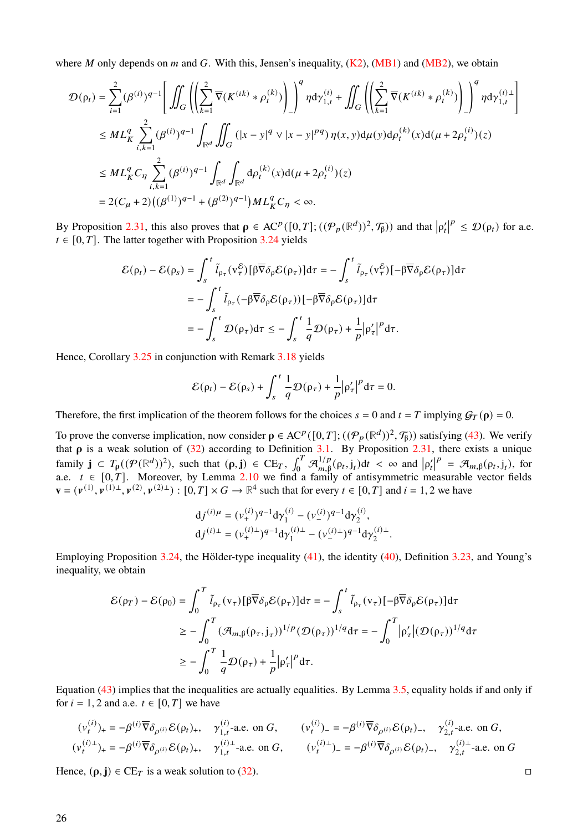where *M* only depends on *m* and *G*. With this, Jensen's inequality,  $(K2)$ ,  $(MB1)$  and  $(MB2)$ , we obtain

$$
\mathcal{D}(\rho_{t}) = \sum_{i=1}^{2} (\beta^{(i)})^{q-1} \Bigg[ \iint_{G} \left( \Bigg( \sum_{k=1}^{2} \overline{\nabla} (K^{(ik)} * \rho_{t}^{(k)}) \Bigg) \Bigg)^{q} \eta \mathrm{d}\gamma_{1,t}^{(i)} + \iint_{G} \left( \Bigg( \sum_{k=1}^{2} \overline{\nabla} (K^{(ik)} * \rho_{t}^{(k)}) \Bigg) \Bigg)^{q} \eta \mathrm{d}\gamma_{1,t}^{(i)\perp} \rightg] \Bigg] \eta \mathrm{d}\gamma_{1,t}^{(i)\perp}
$$
\n
$$
\leq ML_{K}^{q} \sum_{i,k=1}^{2} (\beta^{(i)})^{q-1} \int_{\mathbb{R}^{d}} \iint_{G} (|x - y|^{q} \vee |x - y|^{pq}) \eta(x, y) \mathrm{d}\mu(y) \mathrm{d}\rho_{t}^{(k)}(x) \mathrm{d}(\mu + 2\rho_{t}^{(i)})(z)
$$
\n
$$
\leq ML_{K}^{q} C_{\eta} \sum_{i,k=1}^{2} (\beta^{(i)})^{q-1} \int_{\mathbb{R}^{d}} \int_{\mathbb{R}^{d}} \mathrm{d}\rho_{t}^{(k)}(x) \mathrm{d}(\mu + 2\rho_{t}^{(i)})(z)
$$
\n
$$
= 2(C_{\mu} + 2)((\beta^{(1)})^{q-1} + (\beta^{(2)})^{q-1}) ML_{K}^{q} C_{\eta} < \infty.
$$

By Proposition [2.31,](#page-14-3) this also proves that  $\rho \in AC^p([0, T]; ((\mathcal{P}_p(\mathbb{R}^d))^2, \mathcal{T}_\beta))$  and that  $|\rho'_t|$  $\mathbf{P} \leq \mathcal{D}(\rho_t)$  for a.e.  $t \in [0, T]$ . The latter together with Proposition [3.24](#page-23-2) yields

$$
\mathcal{E}(\rho_t) - \mathcal{E}(\rho_s) = \int_s^t \tilde{l}_{\rho_\tau}(v_\tau^{\mathcal{E}}) [\beta \overline{\nabla} \delta_\rho \mathcal{E}(\rho_\tau)] d\tau = -\int_s^t \tilde{l}_{\rho_\tau}(v_\tau^{\mathcal{E}}) [-\beta \overline{\nabla} \delta_\rho \mathcal{E}(\rho_\tau)] d\tau
$$
  

$$
= -\int_s^t \tilde{l}_{\rho_\tau}(-\beta \overline{\nabla} \delta_\rho \mathcal{E}(\rho_\tau)) [-\beta \overline{\nabla} \delta_\rho \mathcal{E}(\rho_\tau)] d\tau
$$
  

$$
= -\int_s^t \mathcal{D}(\rho_\tau) d\tau \le -\int_s^t \frac{1}{q} \mathcal{D}(\rho_\tau) + \frac{1}{p} |\rho_\tau'|^p d\tau.
$$

Hence, Corollary [3.25](#page-24-0) in conjunction with Remark [3.18](#page-22-4) yields

$$
\mathcal{E}(\rho_t) - \mathcal{E}(\rho_s) + \int_s^t \frac{1}{q} \mathcal{D}(\rho_\tau) + \frac{1}{p} |\rho_\tau'|^p d\tau = 0.
$$

Therefore, the first implication of the theorem follows for the choices  $s = 0$  and  $t = T$  implying  $\mathcal{G}_T(\rho) = 0$ .

To prove the converse implication, now consider  $\rho \in AC^p([0, T]; ((\mathcal{P}_p(\mathbb{R}^d))^2, \mathcal{T}_\beta))$  satisfying [\(43\)](#page-24-1). We verify that  $\rho$  is a weak solution of [\(32\)](#page-16-1) according to Definition [3.1.](#page-16-2) By Proposition [2.31,](#page-14-3) there exists a unique family  $\mathbf{j} \subset T_{\rho}((\mathcal{P}(\mathbb{R}^d))^2)$ , such that  $(\rho, \mathbf{j}) \in \mathrm{CE}_T$ ,  $\int_0^T \mathcal{A}_{m, \beta}^{1/p}$  $\int_{m,\beta}^{1/p} (\rho_t, j_t) dt < \infty$  and  $|\rho'_t|$  $P = \mathcal{A}_{m,\beta}(\rho_t, j_t)$ , for a.e.  $t \in [0, T]$ . Moreover, by Lemma [2.10](#page-6-6) we find a family of antisymmetric measurable vector fields  $\mathbf{v} = (\mathbf{v}^{(1)}, \mathbf{v}^{(1)}\mathbf{\perp}, \mathbf{v}^{(2)}, \mathbf{v}^{(2)}\mathbf{\perp}) : [0, T] \times G \to \mathbb{R}^4$  such that for every  $t \in [0, T]$  and  $i = 1, 2$  we have

$$
dj^{(i)\mu} = (\nu_+^{(i)})^{q-1} d\gamma_1^{(i)} - (\nu_-^{(i)})^{q-1} d\gamma_2^{(i)},
$$
  
\n
$$
dj^{(i)\perp} = (\nu_+^{(i)\perp})^{q-1} d\gamma_1^{(i)\perp} - (\nu_-^{(i)\perp})^{q-1} d\gamma_2^{(i)\perp}.
$$

Employing Proposition [3.24,](#page-23-2) the Hölder-type inequality [\(41\)](#page-23-4), the identity [\(40\)](#page-22-2), Definition [3.23,](#page-23-0) and Young's inequality, we obtain

$$
\mathcal{E}(\rho_T) - \mathcal{E}(\rho_0) = \int_0^T \tilde{l}_{\rho_\tau}(v_\tau) [\beta \overline{\nabla} \delta_\rho \mathcal{E}(\rho_\tau)] d\tau = -\int_s^t \tilde{l}_{\rho_\tau}(v_\tau) [-\beta \overline{\nabla} \delta_\rho \mathcal{E}(\rho_\tau)] d\tau
$$
  
\n
$$
\geq -\int_0^T (\mathcal{A}_{m,\beta}(\rho_\tau,j_\tau))^{1/p} (\mathcal{D}(\rho_\tau))^{1/q} d\tau = -\int_0^T |\rho_\tau'| (\mathcal{D}(\rho_\tau))^{1/q} d\tau
$$
  
\n
$$
\geq -\int_0^T \frac{1}{q} \mathcal{D}(\rho_\tau) + \frac{1}{p} |\rho_\tau'|^p d\tau.
$$

Equation [\(43\)](#page-24-1) implies that the inequalities are actually equalities. By Lemma [3.5,](#page-17-3) equality holds if and only if for  $i = 1, 2$  and a.e.  $t \in [0, T]$  we have

$$
(\nu_t^{(i)})_+ = -\beta^{(i)} \overline{\nabla} \delta_{\rho^{(i)}} \mathcal{E}(\rho_t)_+, \quad \gamma_{1,t}^{(i)}\text{-a.e. on } G, \qquad (\nu_t^{(i)})_- = -\beta^{(i)} \overline{\nabla} \delta_{\rho^{(i)}} \mathcal{E}(\rho_t)_-, \quad \gamma_{2,t}^{(i)}\text{-a.e. on } G,
$$
  

$$
(\nu_t^{(i)\perp})_+ = -\beta^{(i)} \overline{\nabla} \delta_{\rho^{(i)}} \mathcal{E}(\rho_t)_+, \quad \gamma_{1,t}^{(i)\perp}\text{-a.e. on } G, \qquad (\nu_t^{(i)\perp})_- = -\beta^{(i)} \overline{\nabla} \delta_{\rho^{(i)}} \mathcal{E}(\rho_t)_-, \quad \gamma_{2,t}^{(i)\perp}\text{-a.e. on } G
$$

Hence,  $(\rho, j) \in \mathbb{C}E_T$  is a weak solution to [\(32\)](#page-16-1).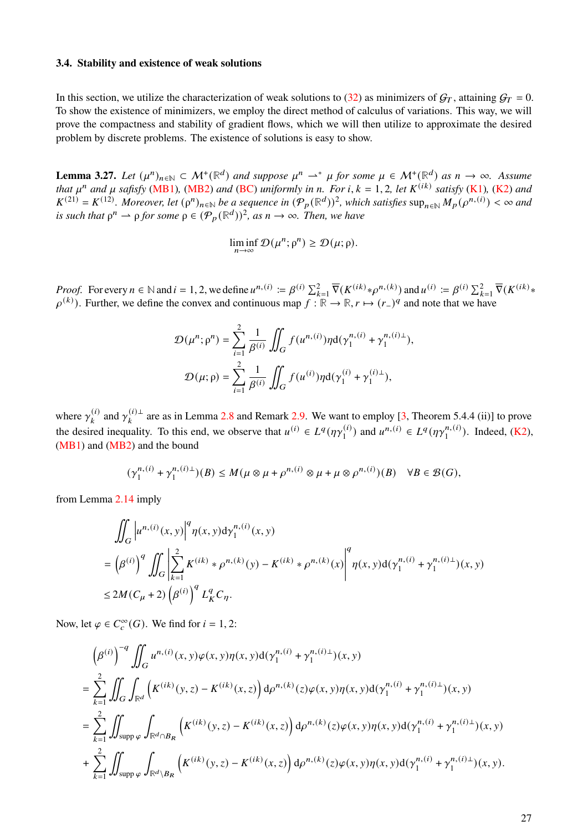## **3.4. Stability and existence of weak solutions**

In this section, we utilize the characterization of weak solutions to [\(32\)](#page-16-1) as minimizers of  $G_T$ , attaining  $G_T = 0$ . To show the existence of minimizers, we employ the direct method of calculus of variations. This way, we will prove the compactness and stability of gradient flows, which we will then utilize to approximate the desired problem by discrete problems. The existence of solutions is easy to show.

<span id="page-26-0"></span>**Lemma 3.27.** Let  $(\mu^n)_{n \in \mathbb{N}} \subset \mathcal{M}^+(\mathbb{R}^d)$  and suppose  $\mu^n \to^* \mu$  for some  $\mu \in \mathcal{M}^+(\mathbb{R}^d)$  as  $n \to \infty$ . Assume *that*  $\mu^n$  and  $\mu$  safisfy [\(MB1\)](#page-3-4), [\(MB2\)](#page-3-3) and [\(BC\)](#page-3-2) uniformly in *n*. For *i*,  $k = 1, 2$ , let  $K^{(ik)}$  satisfy [\(K1\)](#page-17-1), [\(K2\)](#page-17-0) and  $K^{(21)} = K^{(12)}$ . Moreover, let  $(\rho^n)_{n \in \mathbb{N}}$  be a sequence in  $(\mathcal{P}_p(\mathbb{R}^d))^2$ , which satisfies  $\sup_{n \in \mathbb{N}} M_p(\rho^{n,(i)}) < \infty$  and *is such that*  $\rho^n \to \rho$  *for some*  $\rho \in (\mathcal{P}_p(\mathbb{R}^d))^2$ *, as*  $n \to \infty$ *. Then, we have* 

$$
\liminf_{n\to\infty}\mathcal{D}(\mu^n;\rho^n)\geq \mathcal{D}(\mu;\rho).
$$

*Proof.* For every  $n \in \mathbb{N}$  and  $i = 1, 2$ , we define  $u^{n,(i)} \coloneqq \beta^{(i)} \sum_{k=1}^2 \overline{\nabla}(K^{(ik)} * \rho^{n,(k)})$  and  $u^{(i)} \coloneqq \beta^{(i)} \sum_{k=1}^2 \overline{\nabla}(K^{(ik)} * \rho^{n,(k)})$  $(\rho^{(k)})$ . Further, we define the convex and continuous map  $f : \mathbb{R} \to \mathbb{R}$ ,  $r \mapsto (r-)^q$  and note that we have

$$
\mathcal{D}(\mu^n; \rho^n) = \sum_{i=1}^2 \frac{1}{\beta^{(i)}} \iint_G f(u^{n,(i)}) \eta d(\gamma_1^{n,(i)} + \gamma_1^{n,(i)\perp}),
$$
  

$$
\mathcal{D}(\mu; \rho) = \sum_{i=1}^2 \frac{1}{\beta^{(i)}} \iint_G f(u^{(i)}) \eta d(\gamma_1^{(i)} + \gamma_1^{(i)\perp}),
$$

where  $\gamma_k^{(i)}$  $\chi_k^{(i)}$  and  $\gamma_k^{(i) \perp}$  $a_{k}^{(t)}$  are as in Lemma [2.8](#page-6-1) and Remark [2.9.](#page-6-7) We want to employ [\[3,](#page-34-9) Theorem 5.4.4 (ii)] to prove the desired inequality. To this end, we observe that  $u^{(i)} \in L^q(\eta \gamma_1^{(i)})$  $\binom{n}{1}$  and  $u^{n,(i)} \in L^q(\eta \gamma_1^{n,(i)})$  $\binom{n,(i)}{1}$ . Indeed, [\(K2\)](#page-17-0), [\(MB1\)](#page-3-4) and [\(MB2\)](#page-3-3) and the bound

$$
(\gamma_1^{n,(i)} + \gamma_1^{n,(i)\perp})(B) \le M(\mu \otimes \mu + \rho^{n,(i)} \otimes \mu + \mu \otimes \rho^{n,(i)})(B) \quad \forall B \in \mathcal{B}(G),
$$

from Lemma [2.14](#page-8-0) imply

$$
\iint_{G} \left| u^{n,(i)}(x,y) \right|^{q} \eta(x,y) \mathrm{d} \gamma_{1}^{n,(i)}(x,y)
$$
\n
$$
= \left( \beta^{(i)} \right)^{q} \iint_{G} \left| \sum_{k=1}^{2} K^{(ik)} * \rho^{n,(k)}(y) - K^{(ik)} * \rho^{n,(k)}(x) \right|^{q} \eta(x,y) \mathrm{d}(\gamma_{1}^{n,(i)} + \gamma_{1}^{n,(i)\perp})(x,y)
$$
\n
$$
\leq 2M(C_{\mu} + 2) \left( \beta^{(i)} \right)^{q} L_{K}^{q} C_{\eta}.
$$

Now, let  $\varphi \in C_c^{\infty}(G)$ . We find for  $i = 1, 2$ :

$$
\left(\beta^{(i)}\right)^{-q} \iint_G u^{n,(i)}(x,y)\varphi(x,y)\eta(x,y)d(\gamma_1^{n,(i)} + \gamma_1^{n,(i)\perp})(x,y)
$$
\n
$$
= \sum_{k=1}^2 \iint_G \int_{\mathbb{R}^d} \left(K^{(ik)}(y,z) - K^{(ik)}(x,z)\right) d\rho^{n,(k)}(z)\varphi(x,y)\eta(x,y)d(\gamma_1^{n,(i)} + \gamma_1^{n,(i)\perp})(x,y)
$$
\n
$$
= \sum_{k=1}^2 \iint_{\text{supp }\varphi} \int_{\mathbb{R}^d \cap B_R} \left(K^{(ik)}(y,z) - K^{(ik)}(x,z)\right) d\rho^{n,(k)}(z)\varphi(x,y)\eta(x,y)d(\gamma_1^{n,(i)} + \gamma_1^{n,(i)\perp})(x,y)
$$
\n
$$
+ \sum_{k=1}^2 \iint_{\text{supp }\varphi} \int_{\mathbb{R}^d \setminus B_R} \left(K^{(ik)}(y,z) - K^{(ik)}(x,z)\right) d\rho^{n,(k)}(z)\varphi(x,y)\eta(x,y)d(\gamma_1^{n,(i)} + \gamma_1^{n,(i)\perp})(x,y).
$$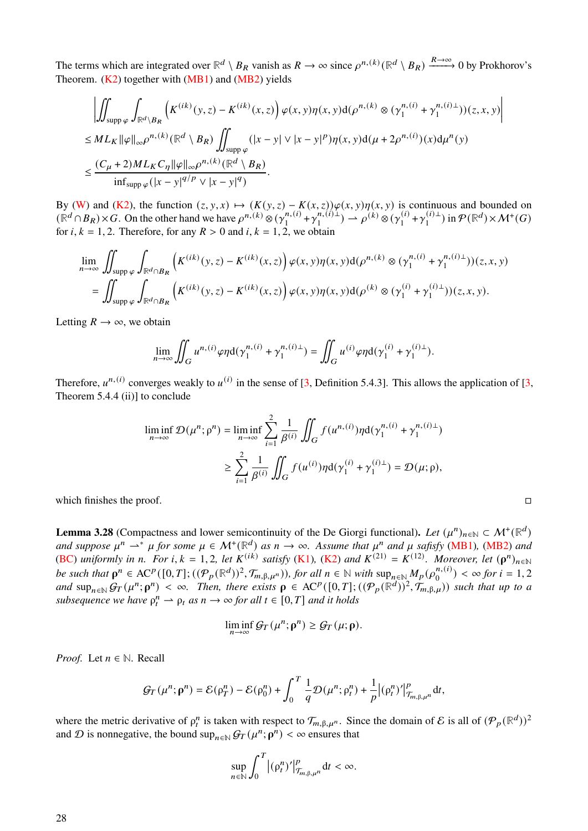The terms which are integrated over  $\mathbb{R}^d \setminus B_R$  vanish as  $R \to \infty$  since  $\rho^{n,(k)}(\mathbb{R}^d \setminus B_R) \xrightarrow{R \to \infty} 0$  by Prokhorov's Theorem.  $(K2)$  together with  $(MB1)$  and  $(MB2)$  yields

$$
\left| \iint_{\text{supp }\varphi} \int_{\mathbb{R}^d \backslash B_R} \left( K^{(ik)}(y, z) - K^{(ik)}(x, z) \right) \varphi(x, y) \eta(x, y) d(\rho^{n, (k)} \otimes (\gamma_1^{n, (i)} + \gamma_1^{n, (i) \perp})) (z, x, y) \right|
$$
  
\n
$$
\leq ML_K \|\varphi\|_{\infty} \rho^{n, (k)}(\mathbb{R}^d \setminus B_R) \iint_{\text{supp }\varphi} (|x - y| \vee |x - y|^p) \eta(x, y) d(\mu + 2\rho^{n, (i)})(x) d\mu^n(y)
$$
  
\n
$$
\leq \frac{(C_\mu + 2)ML_K C_\eta \|\varphi\|_{\infty} \rho^{n, (k)}(\mathbb{R}^d \setminus B_R)}{\inf_{\text{supp }\varphi} (|x - y|^{q/p} \vee |x - y|^q)}.
$$

By [\(W\)](#page-3-1) and [\(K2\)](#page-17-0), the function  $(z, y, x) \mapsto (K(y, z) - K(x, z))\varphi(x, y)\eta(x, y)$  is continuous and bounded on  $(\mathbb{R}^d \cap B_R) \times G$ . On the other hand we have  $\rho^{n,(k)} \otimes (\gamma_1^{n,(i)})$  $\gamma_1^{(i)} + \gamma_1^{(i)}$  $\hat{\rho}_1^{(i)}(i) \stackrel{\leftarrow}{\rightarrow} \rho^{(k)} \otimes (\gamma_1^{(i)})$  $\gamma_1^{(i)} + \gamma_1^{(i)\perp}$  $\mathcal{P}(\mathbb{R}^d) \times \mathcal{M}^+(G)$ for  $i, k = 1, 2$ . Therefore, for any  $R > 0$  and  $i, k = 1, 2$ , we obtain

$$
\lim_{n \to \infty} \iint_{\text{supp }\varphi} \int_{\mathbb{R}^d \cap B_R} \left( K^{(ik)}(y, z) - K^{(ik)}(x, z) \right) \varphi(x, y) \eta(x, y) d(\rho^{n, (k)} \otimes (\gamma_1^{n, (i)} + \gamma_1^{n, (i)\perp})) (z, x, y)
$$
\n
$$
= \iint_{\text{supp }\varphi} \int_{\mathbb{R}^d \cap B_R} \left( K^{(ik)}(y, z) - K^{(ik)}(x, z) \right) \varphi(x, y) \eta(x, y) d(\rho^{(k)} \otimes (\gamma_1^{(i)} + \gamma_1^{(i)\perp})) (z, x, y).
$$

Letting  $R \to \infty$ , we obtain

$$
\lim_{n\to\infty}\iint_G u^{n,(i)}\varphi\eta\mathrm{d}(\gamma_1^{n,(i)}+\gamma_1^{n,(i)\perp})=\iint_G u^{(i)}\varphi\eta\mathrm{d}(\gamma_1^{(i)}+\gamma_1^{(i)\perp}).
$$

Therefore,  $u^{n,(i)}$  converges weakly to  $u^{(i)}$  in the sense of [\[3,](#page-34-9) Definition 5.4.3]. This allows the application of [3, Theorem 5.4.4 (ii)] to conclude

$$
\liminf_{n \to \infty} \mathcal{D}(\mu^n; \rho^n) = \liminf_{n \to \infty} \sum_{i=1}^2 \frac{1}{\beta^{(i)}} \iint_G f(u^{n,(i)}) \eta d(\gamma_1^{n,(i)} + \gamma_1^{n,(i)\perp})
$$
  

$$
\geq \sum_{i=1}^2 \frac{1}{\beta^{(i)}} \iint_G f(u^{(i)}) \eta d(\gamma_1^{(i)} + \gamma_1^{(i)\perp}) = \mathcal{D}(\mu; \rho),
$$

which finishes the proof.  $\Box$ 

<span id="page-27-0"></span>**Lemma 3.28** (Compactness and lower semicontinuity of the De Giorgi functional). Let  $(\mu^n)_{n \in \mathbb{N}} \subset \mathcal{M}^+(\mathbb{R}^d)$ and suppose  $\mu^n \rightharpoonup^* \mu$  for some  $\mu \in \mathcal{M}^+(\mathbb{R}^d)$  as  $n \to \infty$ . Assume that  $\mu^n$  and  $\mu$  safisfy [\(MB1\)](#page-3-4), [\(MB2\)](#page-3-3) and [\(BC\)](#page-3-2) *uniformly in n. For i, k* = 1, 2, let  $K^{(ik)}$  satisfy [\(K1\)](#page-17-1), [\(K2\)](#page-17-0) and  $K^{(21)} = K^{(12)}$ . Moreover, let  $(\rho^n)_{n \in \mathbb{N}}$ *be such that*  $\rho^n \in AC^p([0,T];((\mathcal{P}_p(\mathbb{R}^d))^2, \mathcal{T}_{m,\beta,\mu^n}))$ , for all  $n \in \mathbb{N}$  with  $\sup_{n \in \mathbb{N}} M_p(\rho_0^{n,(i)})$  ${n,(i) \choose 0} < \infty$  for  $i = 1, 2$  $and \sup_{n\in\mathbb{N}} G_T(\mu^n; \rho^n) < \infty$ . Then, there exists  $\rho \in AC^p([0,T]; (({\cal P}_p(\mathbb{R}^d))^2, {\cal T}_{m,\beta,\mu}))$  such that up to a  $subsequence we have  $\rho_t^n \to \rho_t$  as  $n \to \infty$  for all  $t \in [0, T]$  and it holds$ 

$$
\liminf_{n\to\infty} \mathcal{G}_T(\mu^n; \rho^n) \geq \mathcal{G}_T(\mu; \rho).
$$

*Proof.* Let  $n \in \mathbb{N}$ . Recall

$$
\mathcal{G}_T(\mu^n; \rho^n) = \mathcal{E}(\rho^n_T) - \mathcal{E}(\rho^n_0) + \int_0^T \frac{1}{q} \mathcal{D}(\mu^n; \rho^n_t) + \frac{1}{p} |(\rho^n_t)'|_{\mathcal{T}_{m, \beta, \mu^n}}^p dt,
$$

where the metric derivative of  $\rho_t^n$  is taken with respect to  $\mathcal{T}_{m,\beta,\mu^n}$ . Since the domain of E is all of  $(\mathcal{P}_p(\mathbb{R}^d))^2$ and D is nonnegative, the bound  $\sup_{n \in \mathbb{N}} \mathcal{G}_T(\mu^n; \rho^n) < \infty$  ensures that

$$
\sup_{n\in\mathbb{N}}\int_0^T\big|(\rho_t^n)'\big|_{\mathcal{T}_{m,\beta,\mu^n}}^pdt<\infty.
$$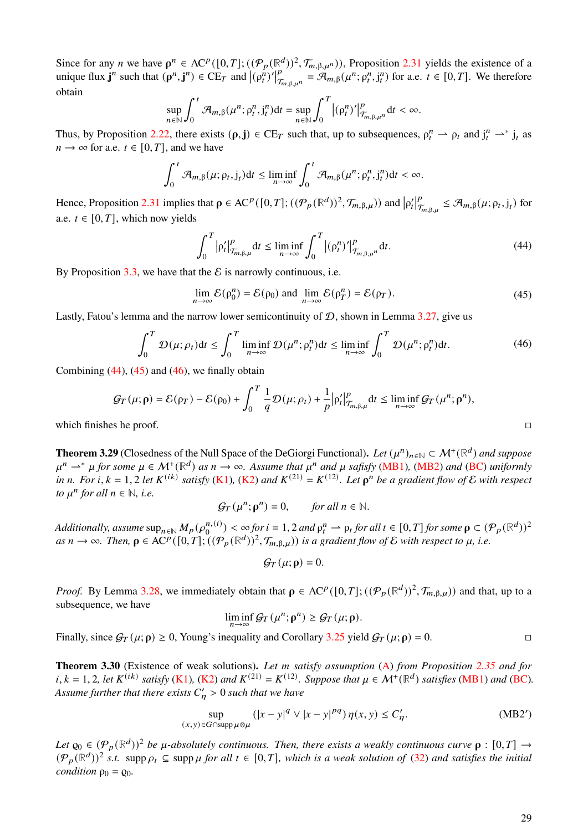Since for any *n* we have  $\rho^n \in AC^p([0,T]; ((\mathcal{P}_p(\mathbb{R}^d))^2, \mathcal{T}_{m,\beta,\mu^n}))$ , Proposition [2.31](#page-14-3) yields the existence of a unique flux  $\mathbf{j}^n$  such that  $(\mathbf{p}^n, \mathbf{j}^n) \in \text{CE}_T$  and  $|(\mathbf{p}_t^n)'|$  $\frac{1}{p}$  $T_{\pi_{n},\beta,\mu^n} = \mathcal{A}_{m,\beta}(\mu^n; \rho_t^n, j_t^n)$  for a.e.  $t \in [0,T]$ . We therefore obtain

$$
\sup_{n\in\mathbb{N}}\int_0^t\mathcal{A}_{m,\beta}(\mu^n;\rho_t^n,j_t^n)\mathrm{d}t=\sup_{n\in\mathbb{N}}\int_0^T\big|\big(\rho_t^n\big)'\big|_{\mathcal{T}_{m,\beta,\mu^n}}^p\mathrm{d}t<\infty.
$$

Thus, by Proposition [2.22,](#page-11-1) there exists  $(\rho, j) \in \mathbb{C}E_T$  such that, up to subsequences,  $\rho_t^n \rightharpoonup \rho_t$  and  $j_t^n \rightharpoonup^* j_t$  as  $n \to \infty$  for a.e.  $t \in [0, T]$ , and we have

$$
\int_0^t \mathcal{A}_{m,\beta}(\mu;\rho_t,j_t)dt \leq \liminf_{n\to\infty} \int_0^t \mathcal{A}_{m,\beta}(\mu^n;\rho_t^n,j_t^n)dt < \infty.
$$

Hence, Proposition [2.31](#page-14-3) implies that  $\rho \in AC^p([0, T]; (({\cal P}_p(\mathbb{R}^d))^2, {\cal T}_{m, \beta, \mu}))$  and  $|\rho'_t|$  $\overline{v}$  $\frac{p}{\tau_{m,\beta,\mu}} \leq \mathcal{A}_{m,\beta}(\mu; \rho_t, j_t)$  for a.e.  $t \in [0, T]$ , which now yields

<span id="page-28-0"></span>
$$
\int_0^T \left| \rho'_t \right|_{\mathcal{T}_{m,\beta,\mu}}^p dt \le \liminf_{n \to \infty} \int_0^T \left| (\rho_t^n)' \right|_{\mathcal{T}_{m,\beta,\mu}^p}^p dt. \tag{44}
$$

By Proposition [3.3,](#page-17-4) we have that the  $\mathcal E$  is narrowly continuous, i.e.

<span id="page-28-1"></span>
$$
\lim_{n \to \infty} \mathcal{E}(\rho_0^n) = \mathcal{E}(\rho_0) \text{ and } \lim_{n \to \infty} \mathcal{E}(\rho_T^n) = \mathcal{E}(\rho_T). \tag{45}
$$

Lastly, Fatou's lemma and the narrow lower semicontinuity of  $D$ , shown in Lemma [3.27,](#page-26-0) give us

<span id="page-28-2"></span>
$$
\int_0^T \mathcal{D}(\mu; \rho_t) dt \le \int_0^T \liminf_{n \to \infty} \mathcal{D}(\mu^n; \rho_t^n) dt \le \liminf_{n \to \infty} \int_0^T \mathcal{D}(\mu^n; \rho_t^n) dt. \tag{46}
$$

Combining  $(44)$ ,  $(45)$  and  $(46)$ , we finally obtain

$$
\mathcal{G}_T(\mu; \mathbf{p}) = \mathcal{E}(\rho_T) - \mathcal{E}(\rho_0) + \int_0^T \frac{1}{q} \mathcal{D}(\mu; \rho_t) + \frac{1}{p} \left| \rho'_t \right|_{\mathcal{T}_{m, \beta, \mu}}^p dt \le \liminf_{n \to \infty} \mathcal{G}_T(\mu^n; \mathbf{p}^n),
$$
\nwhich finishes he proof.

<span id="page-28-4"></span>**Theorem 3.29** (Closedness of the Null Space of the DeGiorgi Functional). Let  $(\mu^n)_{n \in \mathbb{N}} \subset \mathcal{M}^+(\mathbb{R}^d)$  and suppose  $\mu^n \rightharpoonup^* \mu$  for some  $\mu \in \mathcal{M}^+(\mathbb{R}^d)$  as  $n \to \infty$ . Assume that  $\mu^n$  and  $\mu$  safisfy [\(MB1\)](#page-3-4), [\(MB2\)](#page-3-3) and [\(BC\)](#page-3-2) uniformly  $\int$ *in n.* For *i*,  $k = 1, 2$  *let*  $K^{(ik)}$  *satisfy* (**K**1), (**K**2) *and*  $K^{(21)} = K^{(12)}$ *. Let*  $\rho^n$  *be a gradient flow of*  $\mathcal E$  *with respection*. *to*  $\mu^n$  *for all*  $n \in \mathbb{N}$ *, i.e.* 

$$
\mathcal{G}_T(\mu^n; \mathbf{p}^n) = 0, \quad \text{for all } n \in \mathbb{N}.
$$

*Additionally, assume*  $\sup_{n \in \mathbb{N}} M_p(\rho_0^{n,(i)})$  $\phi_0^{(n,(i)}) < \infty$  for  $i = 1, 2$  and  $\rho_t^n \rightharpoonup \rho_t$  for all  $t \in [0, T]$  for some  $\rho \subset (\mathcal{P}_p(\mathbb{R}^d))^2$  $as n \to \infty$ . Then,  $\rho \in AC^p([0,T]; ((\mathcal{P}_p(\mathbb{R}^d))^2, \mathcal{T}_{m,\beta,\mu}))$  *is a gradient flow of*  $\mathcal E$  *with respect to*  $\mu$ *, i.e.* 

<span id="page-28-3"></span>
$$
\mathcal{G}_T(\mu;\mathbf{\rho})=0.
$$

*Proof.* By Lemma [3.28,](#page-27-0) we immediately obtain that  $\rho \in AC^p([0,T]; ((\mathcal{P}_p(\mathbb{R}^d))^2, \mathcal{T}_{m,\beta,\mu}))$  and that, up to a subsequence, we have

$$
\liminf_{n\to\infty} \mathcal{G}_T(\mu^n; \rho^n) \geq \mathcal{G}_T(\mu; \rho).
$$

Finally, since  $\mathcal{G}_T(\mu; \rho) \ge 0$ , Young's inequality and Corollary [3.25](#page-24-0) yield  $\mathcal{G}_T(\mu; \rho) = 0$ .

**Theorem 3.30** (Existence of weak solutions). Let m satisfy assumption [\(A\)](#page-15-1) from Proposition [2.35](#page-15-2) and for  $i, k = 1, 2$ , let  $K^{(ik)}$  satisfy [\(K1\)](#page-17-1), [\(K2\)](#page-17-0) and  $K^{(21)} = K^{(12)}$ . Suppose that  $\mu \in \mathcal{M}^+(\mathbb{R}^d)$  satisfies [\(MB1\)](#page-3-4) and [\(BC\)](#page-3-2). Assume further that there exists  $C'_n > 0$  such that we have

<span id="page-28-5"></span>
$$
\sup_{(x,y)\in G\cap\text{supp}\,\mu\otimes\mu} (|x-y|^q \vee |x-y|^{pq})\,\eta(x,y) \le C'_\eta. \tag{MB2'}
$$

Let  $\varrho_0 \in (\mathcal{P}_p(\mathbb{R}^d))^2$  be  $\mu$ -absolutely continuous. Then, there exists a weakly continuous curve  $\rho : [0, T] \to$  $(\mathcal{P}_p(\mathbb{R}^d))^2$  *s.t.* supp  $\rho_t \subseteq$  supp  $\mu$  for all  $t \in [0,T]$ , which is a weak solution of [\(32\)](#page-16-1) and satisfies the initial *condition*  $\rho_0 = \rho_0$ *.*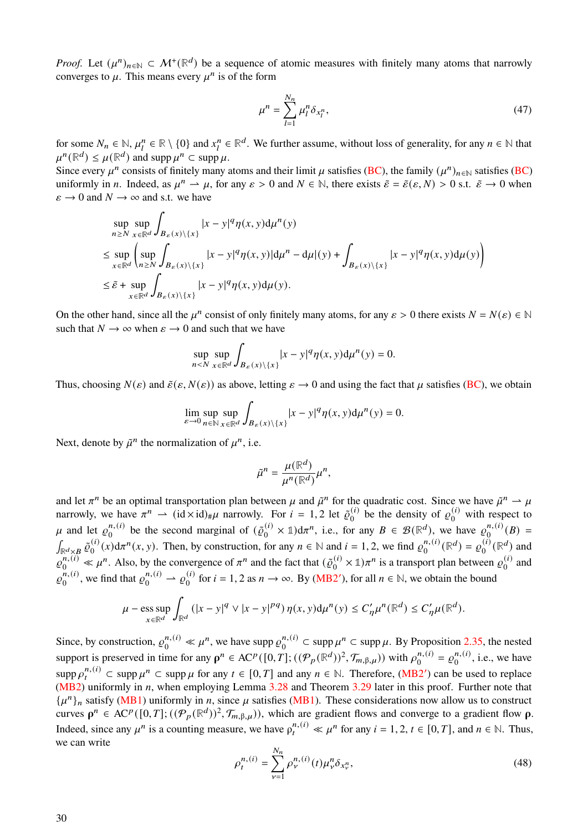*Proof.* Let  $(\mu^n)_{n \in \mathbb{N}} \subset \mathcal{M}^+(\mathbb{R}^d)$  be a sequence of atomic measures with finitely many atoms that narrowly converges to  $\mu$ . This means every  $\mu^n$  is of the form

$$
\mu^n = \sum_{l=1}^{N_n} \mu_l^n \delta_{x_l^n},\tag{47}
$$

for some  $N_n \in \mathbb{N}$ ,  $\mu_l^n \in \mathbb{R} \setminus \{0\}$  and  $x_l^n \in \mathbb{R}^d$ . We further assume, without loss of generality, for any  $n \in \mathbb{N}$  that  $\mu^{n}(\mathbb{R}^{d}) \leq \mu(\mathbb{R}^{d})$  and supp  $\mu^{n} \subset \text{supp }\mu$ .

Since every  $\mu^n$  consists of finitely many atoms and their limit  $\mu$  satisfies [\(BC\)](#page-3-2), the family  $(\mu^n)_{n \in \mathbb{N}}$  satisfies (BC) uniformly in *n*. Indeed, as  $\mu^n \to \mu$ , for any  $\varepsilon > 0$  and  $N \in \mathbb{N}$ , there exists  $\tilde{\varepsilon} = \tilde{\varepsilon}(\varepsilon, N) > 0$  s.t.  $\tilde{\varepsilon} \to 0$  when  $\varepsilon \to 0$  and  $N \to \infty$  and s.t. we have

$$
\sup_{n\geq N} \sup_{x\in\mathbb{R}^d} \int_{B_{\varepsilon}(x)\setminus\{x\}} |x-y|^q \eta(x,y) d\mu^n(y)
$$
\n
$$
\leq \sup_{x\in\mathbb{R}^d} \left( \sup_{n\geq N} \int_{B_{\varepsilon}(x)\setminus\{x\}} |x-y|^q \eta(x,y) |d\mu^n - d\mu|(y) + \int_{B_{\varepsilon}(x)\setminus\{x\}} |x-y|^q \eta(x,y) d\mu(y) \right)
$$
\n
$$
\leq \tilde{\varepsilon} + \sup_{x\in\mathbb{R}^d} \int_{B_{\varepsilon}(x)\setminus\{x\}} |x-y|^q \eta(x,y) d\mu(y).
$$

On the other hand, since all the  $\mu^n$  consist of only finitely many atoms, for any  $\varepsilon > 0$  there exists  $N = N(\varepsilon) \in \mathbb{N}$ such that  $N \to \infty$  when  $\varepsilon \to 0$  and such that we have

$$
\sup_{n < N} \sup_{x \in \mathbb{R}^d} \int_{B_{\varepsilon}(x) \setminus \{x\}} |x - y|^q \eta(x, y) \mathrm{d} \mu^n(y) = 0.
$$

Thus, choosing  $N(\varepsilon)$  and  $\tilde{\varepsilon}(\varepsilon, N(\varepsilon))$  as above, letting  $\varepsilon \to 0$  and using the fact that  $\mu$  satisfies [\(BC\)](#page-3-2), we obtain

$$
\lim_{\varepsilon \to 0} \sup_{n \in \mathbb{N}} \sup_{x \in \mathbb{R}^d} \int_{B_{\varepsilon}(x) \setminus \{x\}} |x - y|^q \eta(x, y) \mathrm{d} \mu^n(y) = 0.
$$

Next, denote by  $\tilde{\mu}^n$  the normalization of  $\mu^n$ , i.e.

$$
\tilde{\mu}^n = \frac{\mu(\mathbb{R}^d)}{\mu^n(\mathbb{R}^d)} \mu^n,
$$

and let  $\pi^n$  be an optimal transportation plan between  $\mu$  and  $\tilde{\mu}^n$  for the quadratic cost. Since we have  $\tilde{\mu}^n \to \mu$ narrowly, we have  $\pi^n \rightharpoonup (id \times id)_\# \mu$  narrowly. For  $i = 1, 2$  let  $\tilde{\varrho}_0^{(i)}$  $\varrho_0^{(i)}$  be the density of  $\varrho_0^{(i)}$  $v_0^{(t)}$  with respect to  $\mu$  and let  $\varrho_0^{n,(i)}$  $n_i^{(i)}$  be the second marginal of  $(\tilde{\varrho}_0^{(i)})$  $(0, 0) \times \mathbb{1} \times \mathbb{1} \times \mathbb{1}$ , i.e., for any  $B \in \mathcal{B}(\mathbb{R}^d)$ , we have  $\varrho_0^{n,(i)}$  $\binom{n,(i)}{0}(B) =$  $\int_{\mathbb{R}^d\times B} \tilde{\varrho}^{(i)}_0$  $\int_0^{(i)} (x) d\pi^n(x, y)$ . Then, by construction, for any  $n \in \mathbb{N}$  and  $i = 1, 2$ , we find  $\varrho_0^{n,(i)}$  $_{0}^{n,(i)}(\mathbb{R}^{d})=\varrho_{0}^{(i)}$  $\binom{(i)}{0}$  ( $\mathbb{R}^d$ ) and  $\varrho_0^{n,(i)} \ll \mu^n$ . Also, by the convergence of  $\pi^n$  and the fact that  $(\tilde{\varrho}_0^{(i)})$  $\binom{i}{0}$  × 1) $\pi^n$  is a transport plan between  $\varrho_0^{(i)}$  $\binom{0}{0}$  and  $\varrho^{n,(i)}_o$  $\varrho_0^{n,(i)}$ , we find that  $\varrho_0^{n,(i)} \rightharpoonup \varrho_0^{(i)}$  $\begin{bmatrix} 0 & 0 \\ 0 & \end{bmatrix}$  for  $i = 1, 2$  as  $n \to \infty$ . By [\(MB2](#page-28-3)'), for all  $n \in \mathbb{N}$ , we obtain the bound

$$
\mu-\text{ess}\sup_{x\in\mathbb{R}^d}\int_{\mathbb{R}^d}(|x-y|^q\vee|x-y|^{pq})\,\eta(x,y)\mathrm{d}\mu^n(y)\leq C'_\eta\mu^n(\mathbb{R}^d)\leq C'_\eta\mu(\mathbb{R}^d).
$$

Since, by construction,  $\varrho_0^{n,(i)} \ll \mu^n$ , we have supp  $\varrho_0^{n,(i)}$  $\mu^{(n)}_0 \subset \text{supp }\mu^n \subset \text{supp }\mu.$  By Proposition [2.35,](#page-15-2) the nested support is preserved in time for any  $\rho^n \in A\mathcal{C}^p([0,T];((\mathcal{P}_p(\mathbb{R}^d))^2,\mathcal{T}_{m,\beta,\mu}))$  with  $\rho_0^{n,(i)}$  $n_0^{(i)} = \varrho_0^{(i)}$  $\binom{n,(l)}{0}$ , i.e., we have  $\sup p \rho_t^{n,(i)} \subset \sup p \mu^n \subset \sup p \mu$  for any  $t \in [0, T]$  and any  $n \in \mathbb{N}$ . Therefore, [\(MB2](#page-28-3)') can be used to replace [\(MB2\)](#page-3-3) uniformly in  $n$ , when employing Lemma [3.28](#page-27-0) and Theorem [3.29](#page-28-4) later in this proof. Further note that  $\{\mu^n\}_n$  satisfy [\(MB1\)](#page-3-4) uniformly in *n*, since  $\mu$  satisfies (MB1). These considerations now allow us to construct curves  $\rho^n \in AC^p([0,T]; ((\mathcal{P}_p(\mathbb{R}^d))^2, \mathcal{T}_{m,\beta,\mu}))$ , which are gradient flows and converge to a gradient flow  $\rho$ . Indeed, since any  $\mu^n$  is a counting measure, we have  $\rho_t^{n,(i)} \ll \mu^n$  for any  $i = 1, 2, t \in [0, T]$ , and  $n \in \mathbb{N}$ . Thus, we can write

<span id="page-29-0"></span>
$$
\rho_t^{n,(i)} = \sum_{\nu=1}^{N_n} \rho_\nu^{n,(i)}(t) \mu_\nu^n \delta_{x_\nu^n},
$$
\n(48)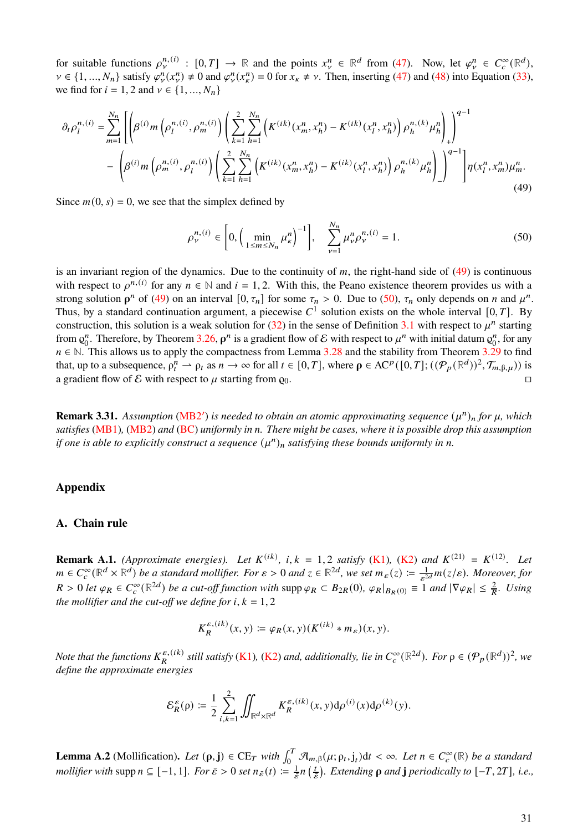for suitable functions  $\rho_{\nu}^{n,(i)} : [0,T] \to \mathbb{R}$  and the points  $x_{\nu}^{n} \in \mathbb{R}^{d}$  from [\(47\)](#page-28-5). Now, let  $\varphi_{\nu}^{n} \in C_c^{\infty}(\mathbb{R}^{d})$ ,  $v \in \{1, ..., N_n\}$  satisfy  $\varphi^n_{v}(x^n) \neq 0$  and  $\varphi^n_{v}(x^n) = 0$  for  $x_k \neq v$ . Then, inserting [\(47\)](#page-28-5) and [\(48\)](#page-29-0) into Equation [\(33\)](#page-16-3), we find for  $i = 1, 2$  and  $v \in \{1, ..., N_n\}$ 

<span id="page-30-1"></span>
$$
\partial_t \rho_l^{n,(i)} = \sum_{m=1}^{N_n} \left[ \left( \beta^{(i)} m \left( \rho_l^{n,(i)}, \rho_m^{n,(i)} \right) \left( \sum_{k=1}^2 \sum_{h=1}^{N_n} \left( K^{(ik)}(x_m^n, x_h^n) - K^{(ik)}(x_l^n, x_h^n) \right) \rho_h^{n,(k)} \mu_h^n \right) \right] \right)^{q-1} - \left( \beta^{(i)} m \left( \rho_m^{n,(i)}, \rho_l^{n,(i)} \right) \left( \sum_{k=1}^2 \sum_{h=1}^{N_n} \left( K^{(ik)}(x_m^n, x_h^n) - K^{(ik)}(x_l^n, x_h^n) \right) \rho_h^{n,(k)} \mu_h^n \right) \right)^{q-1} \right] \eta(x_l^n, x_m^n) \mu_m^n. \tag{49}
$$

Since  $m(0, s) = 0$ , we see that the simplex defined by

<span id="page-30-2"></span>
$$
\rho_{\nu}^{n,(i)} \in \left[0, \left(\min_{1 \le m \le N_n} \mu_{\kappa}^n\right)^{-1}\right], \quad \sum_{\nu=1}^{N_n} \mu_{\nu}^n \rho_{\nu}^{n,(i)} = 1. \tag{50}
$$

is an invariant region of the dynamics. Due to the continuity of  $m$ , the right-hand side of  $(49)$  is continuous with respect to  $\rho^{n,(i)}$  for any  $n \in \mathbb{N}$  and  $i = 1, 2$ . With this, the Peano existence theorem provides us with a strong solution  $\rho^n$  of [\(49\)](#page-30-1) on an interval  $[0, \tau_n]$  for some  $\tau_n > 0$ . Due to [\(50\)](#page-30-2),  $\tau_n$  only depends on *n* and  $\mu^n$ . Thus, by a standard continuation argument, a piecewise  $C^1$  solution exists on the whole interval [0, T]. By construction, this solution is a weak solution for [\(32\)](#page-16-1) in the sense of Definition [3.1](#page-16-2) with respect to  $\mu^n$  starting from  $\mathbf{g}_0^n$ <sup>n</sup>. Therefore, by Theorem [3.26,](#page-24-2)  $\rho^n$  is a gradient flow of E with respect to  $\mu^n$  with initial datum  $\rho_0^n$  $n_0^n$ , for any  $n \in \mathbb{N}$ . This allows us to apply the compactness from Lemma [3.28](#page-27-0) and the stability from Theorem [3.29](#page-28-4) to find that, up to a subsequence,  $\rho_t^n \rightharpoonup \rho_t$  as  $n \to \infty$  for all  $t \in [0, T]$ , where  $\rho \in AC^p([0, T]; ((\mathcal{P}_p(\mathbb{R}^d))^2, \mathcal{T}_{m, \beta, \mu}))$  is a gradient flow of E with respect to  $\mu$  starting from  $\varrho_0$ .

**Remark 3.31.** Assumption [\(MB2](#page-28-3)') is needed to obtain an atomic approximating sequence  $(\mu^n)_n$  for  $\mu$ , which *satisfies* [\(MB1\)](#page-3-4)*,* [\(MB2\)](#page-3-3) *and* [\(BC\)](#page-3-2) *uniformly in . There might be cases, where it is possible drop this assumption* if one is able to explicitly construct a sequence  $(\mu^n)_n$  satisfying these bounds uniformly in *n*.

# **Appendix**

# <span id="page-30-0"></span>**A. Chain rule**

<span id="page-30-4"></span>**Remark A.1.** *(Approximate energies). Let*  $K^{(ik)}$ *, i, k* = 1, 2 *satisfy* [\(K1\)](#page-17-1)*,* [\(K2\)](#page-17-0) *and*  $K^{(21)} = K^{(12)}$ *. Let*  $m \in C_c^{\infty}(\mathbb{R}^d \times \mathbb{R}^d)$  be a standard mollifier. For  $\varepsilon > 0$  and  $z \in \mathbb{R}^{2d}$ , we set  $m_{\varepsilon}(z) \coloneqq \frac{1}{\varepsilon^{2d}} m(z/\varepsilon)$ . Moreover, for  $R > 0$  *let*  $\varphi_R \in C_c^{\infty}(\mathbb{R}^{2d})$  *be a cut-off function with* supp  $\varphi_R \subset B_{2R}(0)$ ,  $\varphi_R|_{B_R(0)} \equiv 1$  *and*  $|\nabla \varphi_R| \leq \frac{2}{R}$ . Using *the mollifier and the cut-off we define for i,*  $k = 1, 2$ 

$$
K_R^{\varepsilon,(ik)}(x,y) \coloneqq \varphi_R(x,y) (K^{(ik)} * m_{\varepsilon})(x,y).
$$

Note that the functions  $K_R^{\varepsilon,(ik)}$  still satisfy [\(K1\)](#page-17-1), [\(K2\)](#page-17-0) and, additionally, lie in  $C_c^{\infty}(\mathbb{R}^{2d})$ . For  $\rho \in (\mathcal{P}_p(\mathbb{R}^d))^2$ , we *define the approximate energies*

$$
\mathcal{E}_R^{\varepsilon}(\rho) \coloneqq \frac{1}{2} \sum_{i,k=1}^2 \iint_{\mathbb{R}^d \times \mathbb{R}^d} K_R^{\varepsilon,(ik)}(x,y) \mathrm{d} \rho^{(i)}(x) \mathrm{d} \rho^{(k)}(y).
$$

<span id="page-30-3"></span>**Lemma A.2** (Mollification). Let  $(\rho, \mathbf{j}) \in \mathrm{CE}_T$  with  $\int_0^T \mathcal{A}_{m, \beta}(\mu; \rho_t, \mathbf{j}_t) dt < \infty$ . Let  $n \in C_c^{\infty}(\mathbb{R})$  be a standard *mollifier with* supp  $n \subseteq [-1, 1]$ *. For*  $\bar{\varepsilon} > 0$  *set*  $n_{\bar{\varepsilon}}(t) \coloneqq \frac{1}{\bar{\varepsilon}} n \left( \frac{t}{\bar{\varepsilon}} \right)$  $\frac{t}{\varepsilon}$ ). Extending  $\rho$  and **j** periodically to  $[-T, 2T]$ , i.e.,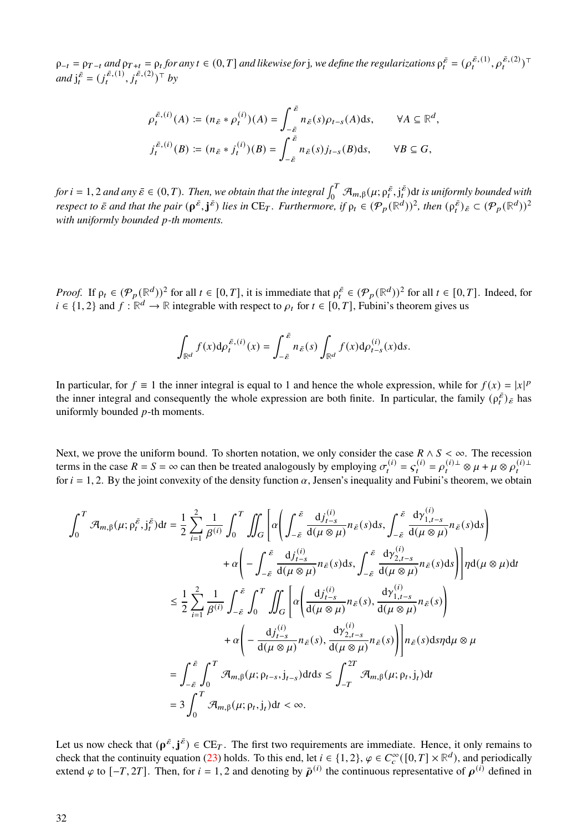$\rho_{-t} = \rho_{T-t}$  and  $\rho_{T+t} = \rho_t$  for any  $t \in (0,T]$  and likewise for j, we define the regularizations  $\rho_t^{\bar{\varepsilon}} = (\rho_t^{\bar{\varepsilon},(1)},\rho_t^{\bar{\varepsilon},(2)})^\top$ *and*  $j_t^{\bar{\varepsilon}} = (j_t^{\bar{\varepsilon},(1)}, j_t^{\bar{\varepsilon},(2)})^{\top}$  *by* 

$$
\rho_t^{\bar{\varepsilon},(i)}(A) := (n_{\bar{\varepsilon}} * \rho_t^{(i)})(A) = \int_{-\bar{\varepsilon}}^{\bar{\varepsilon}} n_{\bar{\varepsilon}}(s)\rho_{t-s}(A)ds, \qquad \forall A \subseteq \mathbb{R}^d,
$$
  

$$
j_t^{\bar{\varepsilon},(i)}(B) := (n_{\bar{\varepsilon}} * j_t^{(i)})(B) = \int_{-\bar{\varepsilon}}^{\bar{\varepsilon}} n_{\bar{\varepsilon}}(s)j_{t-s}(B)ds, \qquad \forall B \subseteq G,
$$

for  $i = 1, 2$  and any  $\bar{\varepsilon} \in (0, T)$ . Then, we obtain that the integral  $\int_0^T \mathcal{A}_{m, \beta}(\mu; \rho_t^{\bar{\varepsilon}}, j_t^{\bar{\varepsilon}})$ dt is uniformly bounded with *respect to*  $\bar{\varepsilon}$  and that the pair  $(\rho^{\bar{\varepsilon}}, j^{\bar{\varepsilon}})$  lies in  $CE_T$ . Furthermore, if  $\rho_t \in (\mathcal{P}_p(\mathbb{R}^d))^2$ , then  $(\rho_t^{\bar{\varepsilon}})_{\bar{\varepsilon}} \subset (\mathcal{P}_p(\mathbb{R}^d))^2$ *with uniformly bounded p-th moments.* 

*Proof.* If  $\rho_t \in (\mathcal{P}_p(\mathbb{R}^d))^2$  for all  $t \in [0, T]$ , it is immediate that  $\rho_t^{\bar{\varepsilon}} \in (\mathcal{P}_p(\mathbb{R}^d))^2$  for all  $t \in [0, T]$ . Indeed, for  $i \in \{1, 2\}$  and  $f : \mathbb{R}^d \to \mathbb{R}$  integrable with respect to  $\rho_t$  for  $t \in [0, T]$ , Fubini's theorem gives us

$$
\int_{\mathbb{R}^d} f(x) d\rho_t^{\bar{\varepsilon}, (i)}(x) = \int_{-\bar{\varepsilon}}^{\bar{\varepsilon}} n_{\bar{\varepsilon}}(s) \int_{\mathbb{R}^d} f(x) d\rho_{t-s}^{(i)}(x) ds.
$$

In particular, for  $f \equiv 1$  the inner integral is equal to 1 and hence the whole expression, while for  $f(x) = |x|^p$ the inner integral and consequently the whole expression are both finite. In particular, the family  $(\rho_t^{\bar{\epsilon}})_{\bar{\epsilon}}$  has uniformly bounded  $p$ -th moments.

Next, we prove the uniform bound. To shorten notation, we only consider the case  $R \wedge S < \infty$ . The recession terms in the case  $R = S = \infty$  can then be treated analogously by employing  $\sigma_t^{(i)} = s_t^{(i)} = \rho_t^{(i)\perp} \otimes \mu + \mu \otimes \rho_t^{(i)\perp}$ for  $i = 1, 2$ . By the joint convexity of the density function  $\alpha$ , Jensen's inequality and Fubini's theorem, we obtain

$$
\int_{0}^{T} \mathcal{A}_{m,\beta}(\mu;\rho_{t}^{\bar{\varepsilon}},j_{t}^{\bar{\varepsilon}})dt = \frac{1}{2} \sum_{i=1}^{2} \frac{1}{\beta^{(i)}} \int_{0}^{T} \iint_{G} \left[ \alpha \left( \int_{-\bar{\varepsilon}}^{\bar{\varepsilon}} \frac{dj_{t-s}^{(i)}}{d(\mu \otimes \mu)} n_{\bar{\varepsilon}}(s)ds, \int_{-\bar{\varepsilon}}^{\bar{\varepsilon}} \frac{d\gamma_{1,t-s}^{(i)}}{d(\mu \otimes \mu)} n_{\bar{\varepsilon}}(s)ds \right) \right. \\
\left. + \alpha \left( -\int_{-\bar{\varepsilon}}^{\bar{\varepsilon}} \frac{dj_{t-s}^{(i)}}{d(\mu \otimes \mu)} n_{\bar{\varepsilon}}(s)ds, \int_{-\bar{\varepsilon}}^{\bar{\varepsilon}} \frac{d\gamma_{2,t-s}^{(i)}}{d(\mu \otimes \mu)} n_{\bar{\varepsilon}}(s)ds \right) \right] \eta d(\mu \otimes \mu) dt
$$
  

$$
\leq \frac{1}{2} \sum_{i=1}^{2} \frac{1}{\beta^{(i)}} \int_{-\bar{\varepsilon}}^{\bar{\varepsilon}} \int_{0}^{T} \iint_{G} \left[ \alpha \left( \frac{dj_{t-s}^{(i)}}{d(\mu \otimes \mu)} n_{\bar{\varepsilon}}(s), \frac{dy_{1,t-s}^{(i)}}{d(\mu \otimes \mu)} n_{\bar{\varepsilon}}(s) \right) \right. \\
\left. + \alpha \left( -\frac{dj_{t-s}^{(i)}}{d(\mu \otimes \mu)} n_{\bar{\varepsilon}}(s), \frac{dy_{2,t-s}^{(i)}}{d(\mu \otimes \mu)} n_{\bar{\varepsilon}}(s) \right) \right] n_{\bar{\varepsilon}}(s) ds \eta d\mu \otimes \mu
$$
  

$$
= \int_{-\bar{\varepsilon}}^{\bar{\varepsilon}} \int_{0}^{T} \mathcal{A}_{m,\beta}(\mu;\rho_{t-s},j_{t-s}) dt ds \leq \int_{-T}^{2T} \mathcal{A}_{m,\beta}(\mu;\rho_{t},j_{t}) dt
$$
  

$$
= 3 \int_{0}^{T} \mathcal{A}_{m,\beta}(\mu;\rho_{t},j_{t}) dt < \in
$$

Let us now check that  $(\rho^{\bar{\varepsilon}}, j^{\bar{\varepsilon}}) \in CE_T$ . The first two requirements are immediate. Hence, it only remains to check that the continuity equation [\(23\)](#page-10-0) holds. To this end, let  $i \in \{1, 2\}$ ,  $\varphi \in C_c^{\infty}([0, T] \times \mathbb{R}^d)$ , and periodically extend  $\varphi$  to  $[-T, 2T]$ . Then, for  $i = 1, 2$  and denoting by  $\bar{\rho}^{(i)}$  the continuous representative of  $\rho^{(i)}$  defined in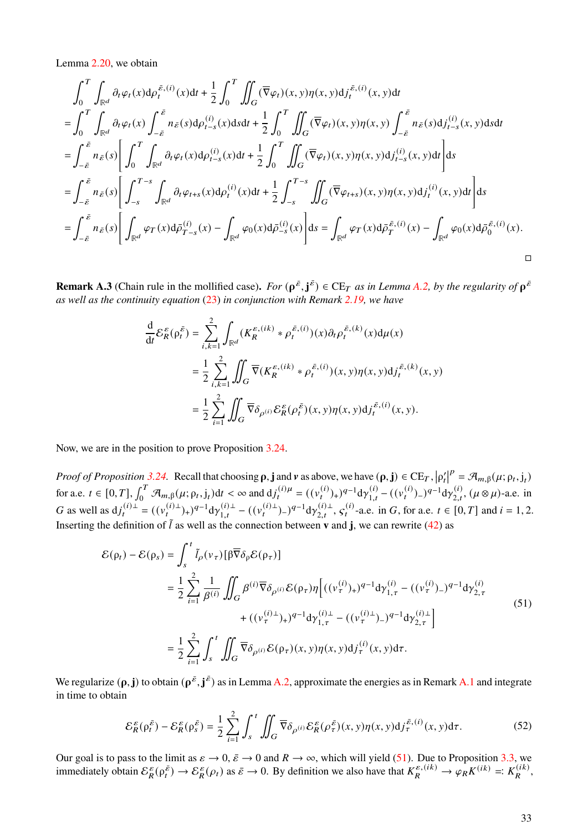Lemma [2.20,](#page-10-3) we obtain

$$
\int_{0}^{T} \int_{\mathbb{R}^{d}} \partial_{t} \varphi_{t}(x) d\rho_{t}^{\bar{\varepsilon},(i)}(x) dt + \frac{1}{2} \int_{0}^{T} \iint_{G} (\overline{\nabla} \varphi_{t})(x, y) d\rho_{t}^{\bar{\varepsilon},(i)}(x, y) dt
$$
\n
$$
= \int_{0}^{T} \int_{\mathbb{R}^{d}} \partial_{t} \varphi_{t}(x) \int_{-\bar{\varepsilon}}^{\bar{\varepsilon}} n_{\bar{\varepsilon}}(s) d\rho_{t-s}^{(i)}(x) ds dt + \frac{1}{2} \int_{0}^{T} \iint_{G} (\overline{\nabla} \varphi_{t})(x, y) \eta(x, y) \int_{-\bar{\varepsilon}}^{\bar{\varepsilon}} n_{\bar{\varepsilon}}(s) d\rho_{t-s}^{(i)}(x, y) ds dt
$$
\n
$$
= \int_{-\bar{\varepsilon}}^{\bar{\varepsilon}} n_{\bar{\varepsilon}}(s) \left[ \int_{0}^{T} \int_{\mathbb{R}^{d}} \partial_{t} \varphi_{t}(x) d\rho_{t-s}^{(i)}(x) dt + \frac{1}{2} \int_{0}^{T} \iint_{G} (\overline{\nabla} \varphi_{t})(x, y) \eta(x, y) d\rho_{t-s}^{(i)}(x, y) dt \right] ds
$$
\n
$$
= \int_{-\bar{\varepsilon}}^{\bar{\varepsilon}} n_{\bar{\varepsilon}}(s) \left[ \int_{-s}^{T-s} \int_{\mathbb{R}^{d}} \partial_{t} \varphi_{t+s}(x) d\rho_{t}^{(i)}(x) dt + \frac{1}{2} \int_{-s}^{T-s} \iint_{G} (\overline{\nabla} \varphi_{t+s})(x, y) \eta(x, y) d\rho_{t}^{(i)}(x, y) dt \right] ds
$$
\n
$$
= \int_{-\bar{\varepsilon}}^{\bar{\varepsilon}} n_{\bar{\varepsilon}}(s) \left[ \int_{\mathbb{R}^{d}} \varphi_{T}(x) d\rho_{T-s}^{(i)}(x) - \int_{\mathbb{R}^{d}} \varphi_{0}(x) d\rho_{s}^{(i)}(x) \right] ds = \int_{\mathbb{R}^{d}} \varphi_{T}(x)
$$

**Remark A.3** (Chain rule in the mollified case). *For*  $(\rho^{\bar{\varepsilon}}, j^{\bar{\varepsilon}}) \in CE_T$  *as in Lemma [A.2,](#page-30-3) by the regularity of*  $\rho^{\bar{\varepsilon}}$ *as well as the continuity equation* [\(23\)](#page-10-0) *in conjunction with Remark [2.19,](#page-0-1) we have*

$$
\frac{\mathrm{d}}{\mathrm{d}t} \mathcal{E}_R^{\varepsilon}(\rho_t^{\bar{\varepsilon}}) = \sum_{i,k=1}^2 \int_{\mathbb{R}^d} (K_R^{\varepsilon,(ik)} * \rho_t^{\bar{\varepsilon},(i)})(x) \partial_t \rho_t^{\bar{\varepsilon},(k)}(x) \mathrm{d}\mu(x)
$$
\n
$$
= \frac{1}{2} \sum_{i,k=1}^2 \iint_G \overline{\nabla} (K_R^{\varepsilon,(ik)} * \rho_t^{\bar{\varepsilon},(i)})(x,y) \eta(x,y) \mathrm{d}j_t^{\bar{\varepsilon},(k)}(x,y)
$$
\n
$$
= \frac{1}{2} \sum_{i=1}^2 \iint_G \overline{\nabla} \delta_{\rho^{(i)}} \mathcal{E}_R^{\varepsilon}(\rho_t^{\bar{\varepsilon}})(x,y) \eta(x,y) \mathrm{d}j_t^{\bar{\varepsilon},(i)}(x,y).
$$

Now, we are in the position to prove Proposition [3.24.](#page-23-2)

*Proof of Proposition* [3.24.](#page-23-2) Recall that choosing  $\rho$ , **j** and  $\nu$  as above, we have  $(\rho, \mathbf{j}) \in \mathrm{CE}_T$ ,  $|\rho'_t|$  $P = \mathcal{A}_{m,\beta}(\mu; \rho_t, j_t)$ for a.e.  $t \in [0, T]$ ,  $\int_0^T \mathcal{A}_{m,\beta}(\mu; \rho_t, j_t) dt < \infty$  and  $dj_t^{(i)\mu} = ((v_t^{(i)})_+)^{q-1} d\gamma_{1,t}^{(i)} - ((v_t^{(i)})_-)^{q-1} d\gamma_{2,t}^{(i)}$ ,  $(\mu \otimes \mu)$ -a.e. in G as well as  $dj_t^{(i)\perp} = ((v_t^{(i)\perp})_+)^{q-1} dy_{1,t}^{(i)\perp} - ((v_t^{(i)\perp})_-)^{q-1} dy_{2,t}^{(i)\perp}, s_t^{(i)}$ -a.e. in G, for a.e.  $t \in [0, T]$  and  $i = 1, 2$ . Inserting the definition of  $\tilde{l}$  as well as the connection between **v** and **j**, we can rewrite [\(42\)](#page-23-1) as

<span id="page-32-0"></span>
$$
\mathcal{E}(\rho_t) - \mathcal{E}(\rho_s) = \int_s^t \tilde{l}_{\rho}(v_{\tau}) [\beta \overline{\nabla} \delta_{\rho} \mathcal{E}(\rho_{\tau})]
$$
  
\n
$$
= \frac{1}{2} \sum_{i=1}^2 \frac{1}{\beta^{(i)}} \iint_G \beta^{(i)} \overline{\nabla} \delta_{\rho^{(i)}} \mathcal{E}(\rho_{\tau}) \eta \Big[ ((v_{\tau}^{(i)})_+)^{q-1} \mathrm{d} \gamma_{1,\tau}^{(i)} - ((v_{\tau}^{(i)})_-)^{q-1} \mathrm{d} \gamma_{2,\tau}^{(i)}
$$
  
\n
$$
+ ((v_{\tau}^{(i)\perp})_+)^{q-1} \mathrm{d} \gamma_{1,\tau}^{(i)\perp} - ((v_{\tau}^{(i)\perp})_-)^{q-1} \mathrm{d} \gamma_{2,\tau}^{(i)\perp} \Big]
$$
  
\n
$$
= \frac{1}{2} \sum_{i=1}^2 \int_s^t \iint_G \overline{\nabla} \delta_{\rho^{(i)}} \mathcal{E}(\rho_{\tau}) (x, y) \eta(x, y) \mathrm{d} j_{\tau}^{(i)}(x, y) \mathrm{d} \tau. \tag{51}
$$

We regularize  $(\rho, j)$  to obtain  $(\rho^{\bar{\varepsilon}}, j^{\bar{\varepsilon}})$  as in Lemma [A.2,](#page-30-3) approximate the energies as in Remark [A.1](#page-30-4) and integrate in time to obtain

<span id="page-32-1"></span>
$$
\mathcal{E}_R^{\varepsilon}(\rho_t^{\bar{\varepsilon}}) - \mathcal{E}_R^{\varepsilon}(\rho_s^{\bar{\varepsilon}}) = \frac{1}{2} \sum_{i=1}^2 \int_s^t \iint_G \overline{\nabla} \delta_{\rho^{(i)}} \mathcal{E}_R^{\varepsilon}(\rho_\tau^{\bar{\varepsilon}})(x, y) \eta(x, y) \mathrm{d}j_\tau^{\bar{\varepsilon}, (i)}(x, y) \mathrm{d}\tau. \tag{52}
$$

Our goal is to pass to the limit as  $\varepsilon \to 0$ ,  $\bar{\varepsilon} \to 0$  and  $R \to \infty$ , which will yield [\(51\)](#page-32-0). Due to Proposition [3.3,](#page-17-4) we immediately obtain  $\mathcal{E}_{R}^{\varepsilon}(\rho_{t}^{\varepsilon}) \to \mathcal{E}_{R}^{\varepsilon}(\rho_{t})$  as  $\bar{\varepsilon} \to 0$ . By definition we also have that  $K_{R}^{\varepsilon,(ik)} \to \varphi_{R} K^{(ik)} =: K_{R}^{(ik)},$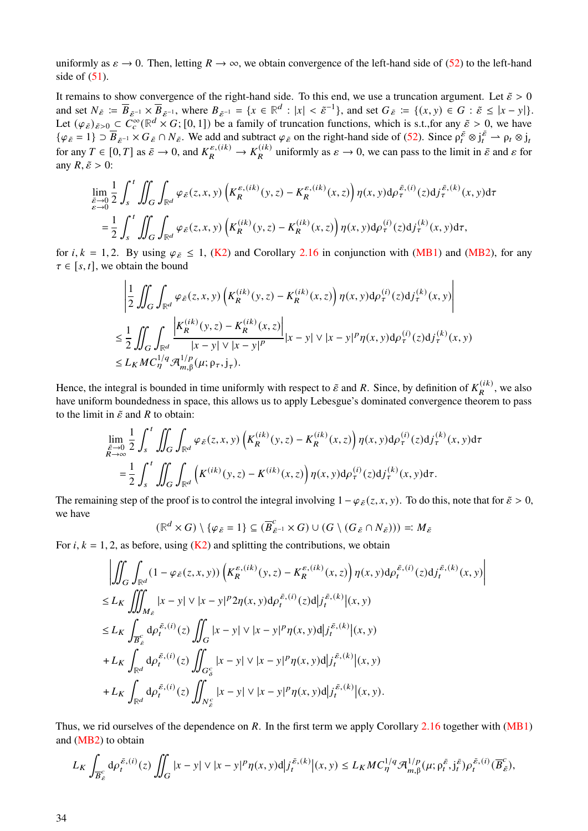uniformly as  $\varepsilon \to 0$ . Then, letting  $R \to \infty$ , we obtain convergence of the left-hand side of [\(52\)](#page-32-1) to the left-hand side of  $(51)$ .

It remains to show convergence of the right-hand side. To this end, we use a truncation argument. Let  $\tilde{\varepsilon} > 0$ and set  $N_{\tilde{\varepsilon}} := \overline{B}_{\tilde{\varepsilon}^{-1}} \times \overline{B}_{\tilde{\varepsilon}^{-1}}$ , where  $B_{\tilde{\varepsilon}^{-1}} = \{x \in \mathbb{R}^d : |x| < \tilde{\varepsilon}^{-1}\}$ , and set  $G_{\tilde{\varepsilon}} := \{(x, y) \in G : \tilde{\varepsilon} \leq |x - y|\}$ . Let  $(\varphi_{\tilde{\varepsilon}})_{\tilde{\varepsilon}>0} \subset C_c^{\infty}(\mathbb{R}^d \times G; [0,1])$  be a family of truncation functions, which is s.t.,for any  $\tilde{\varepsilon} > 0$ , we have  $\{\varphi_{\tilde{\varepsilon}}=1\}\supset \overline{B}_{\tilde{\varepsilon}}\cap N_{\tilde{\varepsilon}}\cap N_{\tilde{\varepsilon}}\}$ . We add and subtract  $\varphi_{\tilde{\varepsilon}}$  on the right-hand side of [\(52\)](#page-32-1). Since  $\rho_t^{\tilde{\varepsilon}}\otimes j_t^{\tilde{\varepsilon}}\to \rho_t\otimes j_t$ for any  $T \in [0, T]$  as  $\bar{\varepsilon} \to 0$ , and  $K_R^{\varepsilon, (ik)} \to K_R^{(ik)}$  uniformly as  $\varepsilon \to 0$ , we can pass to the limit in  $\bar{\varepsilon}$  and  $\varepsilon$  for any  $R, \tilde{\varepsilon} > 0$ :

$$
\lim_{\varepsilon \to 0} \frac{1}{2} \int_{s}^{t} \iint_{G} \int_{\mathbb{R}^{d}} \varphi_{\tilde{\varepsilon}}(z, x, y) \left( K_{R}^{\varepsilon, (ik)}(y, z) - K_{R}^{\varepsilon, (ik)}(x, z) \right) \eta(x, y) d\rho_{\tau}^{\tilde{\varepsilon}, (i)}(z) d j_{\tau}^{\tilde{\varepsilon}, (k)}(x, y) d\tau \n= \frac{1}{2} \int_{s}^{t} \iint_{G} \int_{\mathbb{R}^{d}} \varphi_{\tilde{\varepsilon}}(z, x, y) \left( K_{R}^{(ik)}(y, z) - K_{R}^{(ik)}(x, z) \right) \eta(x, y) d\rho_{\tau}^{(i)}(z) d j_{\tau}^{(k)}(x, y) d\tau,
$$

for  $i, k = 1, 2$ . By using  $\varphi_{\tilde{\varepsilon}} \le 1$ , [\(K2\)](#page-17-0) and Corollary [2.16](#page-9-2) in conjunction with [\(MB1\)](#page-3-4) and [\(MB2\)](#page-3-3), for any  $\tau \in [s, t]$ , we obtain the bound

$$
\begin{split} & \left| \frac{1}{2} \iint_{G} \int_{\mathbb{R}^{d}} \varphi_{\tilde{\varepsilon}}(z, x, y) \left( K_{R}^{(ik)}(y, z) - K_{R}^{(ik)}(x, z) \right) \eta(x, y) \mathrm{d} \rho_{\tau}^{(i)}(z) \mathrm{d} j_{\tau}^{(k)}(x, y) \right| \\ & \leq \frac{1}{2} \iint_{G} \int_{\mathbb{R}^{d}} \frac{\left| K_{R}^{(ik)}(y, z) - K_{R}^{(ik)}(x, z) \right|}{|x - y| \vee |x - y|^{p}} |x - y| \vee |x - y|^{p} \eta(x, y) \mathrm{d} \rho_{\tau}^{(i)}(z) \mathrm{d} j_{\tau}^{(k)}(x, y) \\ & \leq L_{K} M C_{\eta}^{1/q} \mathcal{A}_{m, \beta}^{1/p}(\mu; \rho_{\tau}, j_{\tau}). \end{split}
$$

Hence, the integral is bounded in time uniformly with respect to  $\tilde{\varepsilon}$  and R. Since, by definition of  $K_R^{(ik)}$ , we also have uniform boundedness in space, this allows us to apply Lebesgue's dominated convergence theorem to pass to the limit in  $\tilde{\varepsilon}$  and R to obtain:

$$
\lim_{\substack{\tilde{\varepsilon}\to 0\\R\to\infty}} \frac{1}{2} \int_{s}^{t} \iint_{G} \int_{\mathbb{R}^{d}} \varphi_{\tilde{\varepsilon}}(z, x, y) \left(K_{R}^{(ik)}(y, z) - K_{R}^{(ik)}(x, z)\right) \eta(x, y) d\rho_{\tau}^{(i)}(z) d j_{\tau}^{(k)}(x, y) d\tau \n= \frac{1}{2} \int_{s}^{t} \iint_{G} \int_{\mathbb{R}^{d}} \left(K^{(ik)}(y, z) - K^{(ik)}(x, z)\right) \eta(x, y) d\rho_{\tau}^{(i)}(z) d j_{\tau}^{(k)}(x, y) d\tau.
$$

The remaining step of the proof is to control the integral involving  $1 - \varphi_{\tilde{\varepsilon}}(z, x, y)$ . To do this, note that for  $\tilde{\varepsilon} > 0$ , we have  $\overline{c}$ 

$$
(\mathbb{R}^d \times G) \setminus \{ \varphi_{\tilde{\varepsilon}} = 1 \} \subseteq (\overline{B}_{\tilde{\varepsilon}^{-1}}^c \times G) \cup (G \setminus (G_{\tilde{\varepsilon}} \cap N_{\tilde{\varepsilon}}))) =: M_{\tilde{\varepsilon}}
$$

For *i*,  $k = 1, 2$ , as before, using ( $K2$ ) and splitting the contributions, we obtain

$$
\left| \iint_{G} \int_{\mathbb{R}^{d}} (1 - \varphi_{\tilde{\varepsilon}}(z, x, y)) \left( K_{R}^{\varepsilon, (ik)}(y, z) - K_{R}^{\varepsilon, (ik)}(x, z) \right) \eta(x, y) d\rho_{t}^{\tilde{\varepsilon}, (i)}(z) d j_{t}^{\tilde{\varepsilon}, (k)}(x, y) \right|
$$
  
\n
$$
\leq L_{K} \iiint_{M_{\tilde{\varepsilon}}} |x - y| \vee |x - y|^{p} 2\eta(x, y) d\rho_{t}^{\tilde{\varepsilon}, (i)}(z) d |j_{t}^{\tilde{\varepsilon}, (k)}|(x, y)
$$
  
\n
$$
\leq L_{K} \int_{\overline{B}_{\varepsilon}^c} d\rho_{t}^{\tilde{\varepsilon}, (i)}(z) \iint_{G_{\delta}^c} |x - y| \vee |x - y|^{p} \eta(x, y) d |j_{t}^{\tilde{\varepsilon}, (k)}|(x, y)
$$
  
\n
$$
+ L_{K} \int_{\mathbb{R}^{d}} d\rho_{t}^{\tilde{\varepsilon}, (i)}(z) \iint_{G_{\delta}^c} |x - y| \vee |x - y|^{p} \eta(x, y) d |j_{t}^{\tilde{\varepsilon}, (k)}|(x, y)
$$
  
\n
$$
+ L_{K} \int_{\mathbb{R}^{d}} d\rho_{t}^{\tilde{\varepsilon}, (i)}(z) \iint_{N_{\varepsilon}^c} |x - y| \vee |x - y|^{p} \eta(x, y) d |j_{t}^{\tilde{\varepsilon}, (k)}|(x, y).
$$

Thus, we rid ourselves of the dependence on  $R$ . In the first term we apply Corollary [2.16](#page-9-2) together with [\(MB1\)](#page-3-4) and [\(MB2\)](#page-3-3) to obtain

$$
L_K \int_{\overline{B}_{\tilde{\varepsilon}}} d\rho_t^{\tilde{\varepsilon},(i)}(z) \iint_G |x - y| \vee |x - y|^p \eta(x, y) d| j_t^{\tilde{\varepsilon},(k)} \big|(x, y) \le L_K M C_{\eta}^{1/q} \mathcal{A}_{m, \beta}^{1/p}(\mu; \rho_t^{\tilde{\varepsilon}}, j_t^{\tilde{\varepsilon}}) \rho_t^{\tilde{\varepsilon},(i)}(\overline{B}_{\tilde{\varepsilon}}^c),
$$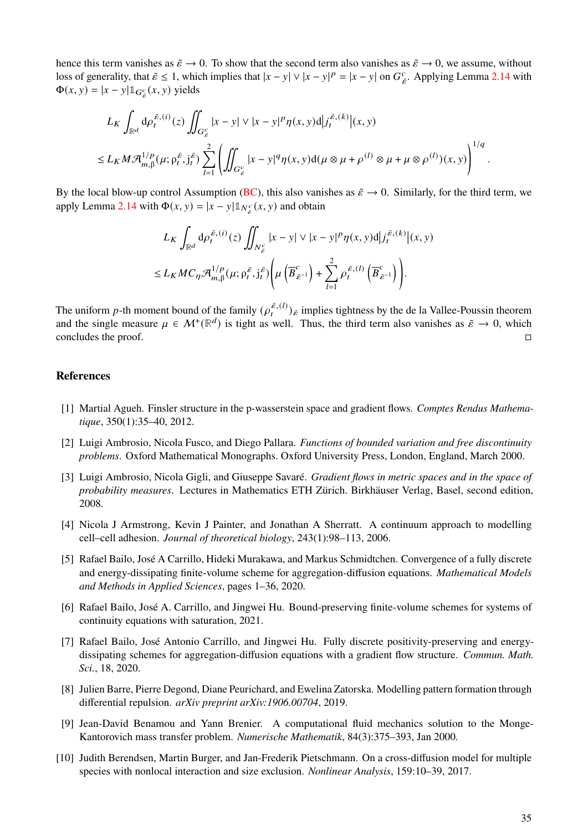hence this term vanishes as  $\tilde{\varepsilon} \to 0$ . To show that the second term also vanishes as  $\tilde{\varepsilon} \to 0$ , we assume, without loss of generality, that  $\tilde{\varepsilon} \le 1$ , which implies that  $|x - y| \vee |x - y|^p = |x - y|$  on  $G_{\tilde{\varepsilon}}^c$ . Applying Lemma [2.14](#page-8-0) with  $\Phi(x, y) = |x - y| \mathbb{1}_{G_{\tilde{\epsilon}}^c}(x, y)$  yields

$$
L_K \int_{\mathbb{R}^d} d\rho_t^{\bar{\varepsilon},(i)}(z) \iint_{G_{\bar{\varepsilon}}^c} |x - y| \vee |x - y|^p \eta(x, y) d| j_t^{\bar{\varepsilon},(k)}|(x, y) \le L_K M \mathcal{A}_{m, \beta}^{1/p}(\mu; \rho_t^{\bar{\varepsilon}}, j_t^{\bar{\varepsilon}}) \sum_{l=1}^2 \left( \iint_{G_{\bar{\varepsilon}}^c} |x - y|^q \eta(x, y) d(\mu \otimes \mu + \rho^{(l)} \otimes \mu + \mu \otimes \rho^{(l)})(x, y) \right)^{1/q}.
$$

By the local blow-up control Assumption [\(BC\)](#page-3-2), this also vanishes as  $\tilde{\varepsilon} \to 0$ . Similarly, for the third term, we apply Lemma [2.14](#page-8-0) with  $\Phi(x, y) = |x - y| \mathbb{1}_{N_{\breve{\varepsilon}}}(x, y)$  and obtain

$$
L_K \int_{\mathbb{R}^d} d\rho_t^{\bar{\varepsilon},(i)}(z) \iint_{N_{\varepsilon}^c} |x - y| \vee |x - y|^p \eta(x, y) d| j_t^{\bar{\varepsilon},(k)}|(x, y) \leq L_K M C_\eta \mathcal{A}_{m, \beta}^{1/p}(\mu; \rho_t^{\bar{\varepsilon}}, j_t^{\bar{\varepsilon}}) \left( \mu \left( \overline{B}_{\varepsilon^{-1}}^c \right) + \sum_{l=1}^2 \rho_t^{\bar{\varepsilon},(l)} \left( \overline{B}_{\varepsilon^{-1}}^c \right) \right).
$$

The uniform p-th moment bound of the family  $(\rho_t^{\bar{\varepsilon},(l)})_{\tilde{\varepsilon}}$  implies tightness by the de la Vallee-Poussin theorem and the single measure  $\mu \in \mathcal{M}^+(\mathbb{R}^d)$  is tight as well. Thus, the third term also vanishes as  $\tilde{\varepsilon} \to 0$ , which concludes the proof.

# **References**

- <span id="page-34-7"></span>[1] Martial Agueh. Finsler structure in the p-wasserstein space and gradient flows. *Comptes Rendus Mathematique*, 350(1):35–40, 2012.
- <span id="page-34-8"></span>[2] Luigi Ambrosio, Nicola Fusco, and Diego Pallara. *Functions of bounded variation and free discontinuity problems*. Oxford Mathematical Monographs. Oxford University Press, London, England, March 2000.
- <span id="page-34-9"></span>[3] Luigi Ambrosio, Nicola Gigli, and Giuseppe Savaré. *Gradient flows in metric spaces and in the space of probability measures*. Lectures in Mathematics ETH Zürich. Birkhäuser Verlag, Basel, second edition, 2008.
- <span id="page-34-0"></span>[4] Nicola J Armstrong, Kevin J Painter, and Jonathan A Sherratt. A continuum approach to modelling cell–cell adhesion. *Journal of theoretical biology*, 243(1):98–113, 2006.
- <span id="page-34-4"></span>[5] Rafael Bailo, José A Carrillo, Hideki Murakawa, and Markus Schmidtchen. Convergence of a fully discrete and energy-dissipating finite-volume scheme for aggregation-diffusion equations. *Mathematical Models and Methods in Applied Sciences*, pages 1–36, 2020.
- <span id="page-34-6"></span>[6] Rafael Bailo, José A. Carrillo, and Jingwei Hu. Bound-preserving finite-volume schemes for systems of continuity equations with saturation, 2021.
- <span id="page-34-5"></span>[7] Rafael Bailo, José Antonio Carrillo, and Jingwei Hu. Fully discrete positivity-preserving and energydissipating schemes for aggregation-diffusion equations with a gradient flow structure. *Commun. Math. Sci.*, 18, 2020.
- <span id="page-34-1"></span>[8] Julien Barre, Pierre Degond, Diane Peurichard, and Ewelina Zatorska. Modelling pattern formation through differential repulsion. *arXiv preprint arXiv:1906.00704*, 2019.
- <span id="page-34-3"></span>[9] Jean-David Benamou and Yann Brenier. A computational fluid mechanics solution to the Monge-Kantorovich mass transfer problem. *Numerische Mathematik*, 84(3):375–393, Jan 2000.
- <span id="page-34-2"></span>[10] Judith Berendsen, Martin Burger, and Jan-Frederik Pietschmann. On a cross-diffusion model for multiple species with nonlocal interaction and size exclusion. *Nonlinear Analysis*, 159:10–39, 2017.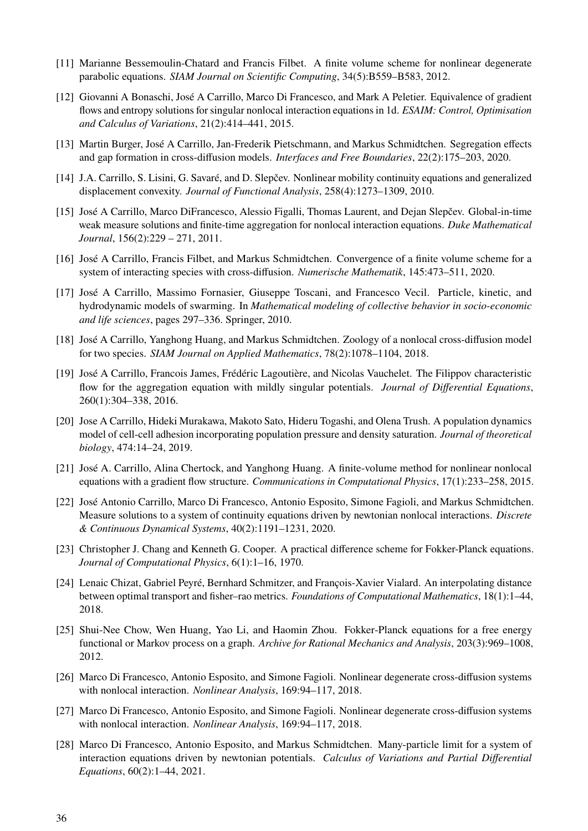- <span id="page-35-14"></span>[11] Marianne Bessemoulin-Chatard and Francis Filbet. A finite volume scheme for nonlinear degenerate parabolic equations. *SIAM Journal on Scientific Computing*, 34(5):B559–B583, 2012.
- <span id="page-35-2"></span>[12] Giovanni A Bonaschi, José A Carrillo, Marco Di Francesco, and Mark A Peletier. Equivalence of gradient flows and entropy solutions for singular nonlocal interaction equations in 1d. *ESAIM: Control, Optimisation and Calculus of Variations*, 21(2):414–441, 2015.
- <span id="page-35-9"></span>[13] Martin Burger, José A Carrillo, Jan-Frederik Pietschmann, and Markus Schmidtchen. Segregation effects and gap formation in cross-diffusion models. *Interfaces and Free Boundaries*, 22(2):175–203, 2020.
- <span id="page-35-17"></span>[14] J.A. Carrillo, S. Lisini, G. Savaré, and D. Slepčev. Nonlinear mobility continuity equations and generalized displacement convexity. *Journal of Functional Analysis*, 258(4):1273–1309, 2010.
- <span id="page-35-0"></span>[15] José A Carrillo, Marco DiFrancesco, Alessio Figalli, Thomas Laurent, and Dejan Slepčev. Global-in-time weak measure solutions and finite-time aggregation for nonlocal interaction equations. *Duke Mathematical Journal*, 156(2):229 – 271, 2011.
- <span id="page-35-13"></span>[16] José A Carrillo, Francis Filbet, and Markus Schmidtchen. Convergence of a finite volume scheme for a system of interacting species with cross-diffusion. *Numerische Mathematik*, 145:473–511, 2020.
- <span id="page-35-1"></span>[17] José A Carrillo, Massimo Fornasier, Giuseppe Toscani, and Francesco Vecil. Particle, kinetic, and hydrodynamic models of swarming. In *Mathematical modeling of collective behavior in socio-economic and life sciences*, pages 297–336. Springer, 2010.
- <span id="page-35-7"></span>[18] José A Carrillo, Yanghong Huang, and Markus Schmidtchen. Zoology of a nonlocal cross-diffusion model for two species. *SIAM Journal on Applied Mathematics*, 78(2):1078–1104, 2018.
- <span id="page-35-16"></span>[19] José A Carrillo, Francois James, Frédéric Lagoutière, and Nicolas Vauchelet. The Filippov characteristic flow for the aggregation equation with mildly singular potentials. *Journal of Differential Equations*, 260(1):304–338, 2016.
- <span id="page-35-6"></span>[20] Jose A Carrillo, Hideki Murakawa, Makoto Sato, Hideru Togashi, and Olena Trush. A population dynamics model of cell-cell adhesion incorporating population pressure and density saturation. *Journal of theoretical biology*, 474:14–24, 2019.
- <span id="page-35-15"></span>[21] José A. Carrillo, Alina Chertock, and Yanghong Huang. A finite-volume method for nonlinear nonlocal equations with a gradient flow structure. *Communications in Computational Physics*, 17(1):233–258, 2015.
- <span id="page-35-4"></span>[22] José Antonio Carrillo, Marco Di Francesco, Antonio Esposito, Simone Fagioli, and Markus Schmidtchen. Measure solutions to a system of continuity equations driven by newtonian nonlocal interactions. *Discrete & Continuous Dynamical Systems*, 40(2):1191–1231, 2020.
- <span id="page-35-12"></span>[23] Christopher J. Chang and Kenneth G. Cooper. A practical difference scheme for Fokker-Planck equations. *Journal of Computational Physics*, 6(1):1–16, 1970.
- <span id="page-35-10"></span>[24] Lenaic Chizat, Gabriel Peyré, Bernhard Schmitzer, and François-Xavier Vialard. An interpolating distance between optimal transport and fisher–rao metrics. *Foundations of Computational Mathematics*, 18(1):1–44, 2018.
- <span id="page-35-11"></span>[25] Shui-Nee Chow, Wen Huang, Yao Li, and Haomin Zhou. Fokker-Planck equations for a free energy functional or Markov process on a graph. *Archive for Rational Mechanics and Analysis*, 203(3):969–1008, 2012.
- <span id="page-35-5"></span>[26] Marco Di Francesco, Antonio Esposito, and Simone Fagioli. Nonlinear degenerate cross-diffusion systems with nonlocal interaction. *Nonlinear Analysis*, 169:94–117, 2018.
- <span id="page-35-8"></span>[27] Marco Di Francesco, Antonio Esposito, and Simone Fagioli. Nonlinear degenerate cross-diffusion systems with nonlocal interaction. *Nonlinear Analysis*, 169:94–117, 2018.
- <span id="page-35-3"></span>[28] Marco Di Francesco, Antonio Esposito, and Markus Schmidtchen. Many-particle limit for a system of interaction equations driven by newtonian potentials. *Calculus of Variations and Partial Differential Equations*, 60(2):1–44, 2021.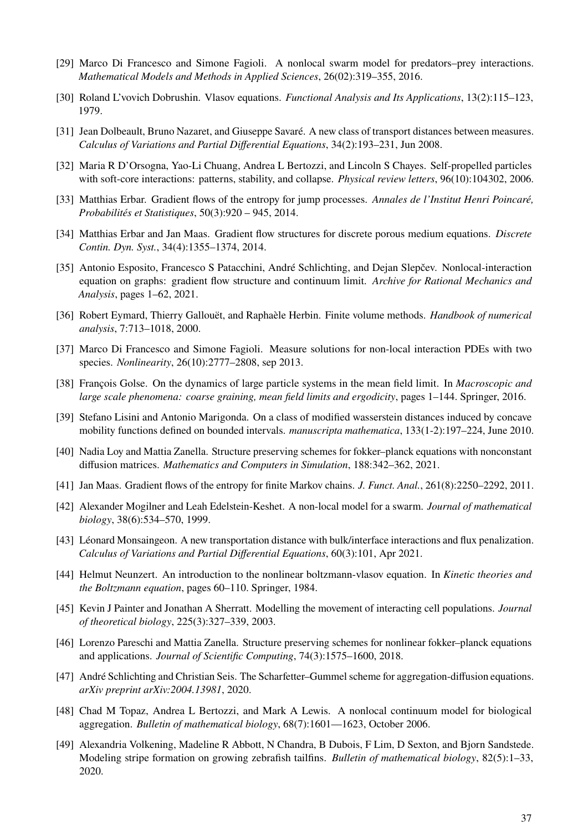- <span id="page-36-7"></span>[29] Marco Di Francesco and Simone Fagioli. A nonlocal swarm model for predators–prey interactions. *Mathematical Models and Methods in Applied Sciences*, 26(02):319–355, 2016.
- <span id="page-36-3"></span>[30] Roland L'vovich Dobrushin. Vlasov equations. *Functional Analysis and Its Applications*, 13(2):115–123, 1979.
- <span id="page-36-11"></span>[31] Jean Dolbeault, Bruno Nazaret, and Giuseppe Savaré. A new class of transport distances between measures. *Calculus of Variations and Partial Differential Equations*, 34(2):193–231, Jun 2008.
- <span id="page-36-1"></span>[32] Maria R D'Orsogna, Yao-Li Chuang, Andrea L Bertozzi, and Lincoln S Chayes. Self-propelled particles with soft-core interactions: patterns, stability, and collapse. *Physical review letters*, 96(10):104302, 2006.
- <span id="page-36-15"></span>[33] Matthias Erbar. Gradient flows of the entropy for jump processes. *Annales de l'Institut Henri Poincaré, Probabilités et Statistiques*, 50(3):920 – 945, 2014.
- <span id="page-36-14"></span>[34] Matthias Erbar and Jan Maas. Gradient flow structures for discrete porous medium equations. *Discrete Contin. Dyn. Syst.*, 34(4):1355–1374, 2014.
- <span id="page-36-10"></span>[35] Antonio Esposito, Francesco S Patacchini, André Schlichting, and Dejan Slepčev. Nonlocal-interaction equation on graphs: gradient flow structure and continuum limit. *Archive for Rational Mechanics and Analysis*, pages 1–62, 2021.
- <span id="page-36-17"></span>[36] Robert Eymard, Thierry Gallouët, and Raphaèle Herbin. Finite volume methods. *Handbook of numerical analysis*, 7:713–1018, 2000.
- <span id="page-36-6"></span>[37] Marco Di Francesco and Simone Fagioli. Measure solutions for non-local interaction PDEs with two species. *Nonlinearity*, 26(10):2777–2808, sep 2013.
- <span id="page-36-5"></span>[38] François Golse. On the dynamics of large particle systems in the mean field limit. In *Macroscopic and large scale phenomena: coarse graining, mean field limits and ergodicity*, pages 1–144. Springer, 2016.
- <span id="page-36-20"></span>[39] Stefano Lisini and Antonio Marigonda. On a class of modified wasserstein distances induced by concave mobility functions defined on bounded intervals. *manuscripta mathematica*, 133(1-2):197–224, June 2010.
- <span id="page-36-19"></span>[40] Nadia Loy and Mattia Zanella. Structure preserving schemes for fokker–planck equations with nonconstant diffusion matrices. *Mathematics and Computers in Simulation*, 188:342–362, 2021.
- <span id="page-36-13"></span><span id="page-36-2"></span>[41] Jan Maas. Gradient flows of the entropy for finite Markov chains. *J. Funct. Anal.*, 261(8):2250–2292, 2011.
- [42] Alexander Mogilner and Leah Edelstein-Keshet. A non-local model for a swarm. *Journal of mathematical biology*, 38(6):534–570, 1999.
- <span id="page-36-12"></span>[43] Léonard Monsaingeon. A new transportation distance with bulk/interface interactions and flux penalization. *Calculus of Variations and Partial Differential Equations*, 60(3):101, Apr 2021.
- <span id="page-36-4"></span>[44] Helmut Neunzert. An introduction to the nonlinear boltzmann-vlasov equation. In *Kinetic theories and the Boltzmann equation*, pages 60–110. Springer, 1984.
- <span id="page-36-8"></span>[45] Kevin J Painter and Jonathan A Sherratt. Modelling the movement of interacting cell populations. *Journal of theoretical biology*, 225(3):327–339, 2003.
- <span id="page-36-16"></span>[46] Lorenzo Pareschi and Mattia Zanella. Structure preserving schemes for nonlinear fokker–planck equations and applications. *Journal of Scientific Computing*, 74(3):1575–1600, 2018.
- <span id="page-36-18"></span>[47] André Schlichting and Christian Seis. The Scharfetter–Gummel scheme for aggregation-diffusion equations. *arXiv preprint arXiv:2004.13981*, 2020.
- <span id="page-36-0"></span>[48] Chad M Topaz, Andrea L Bertozzi, and Mark A Lewis. A nonlocal continuum model for biological aggregation. *Bulletin of mathematical biology*, 68(7):1601—1623, October 2006.
- <span id="page-36-9"></span>[49] Alexandria Volkening, Madeline R Abbott, N Chandra, B Dubois, F Lim, D Sexton, and Bjorn Sandstede. Modeling stripe formation on growing zebrafish tailfins. *Bulletin of mathematical biology*, 82(5):1–33, 2020.